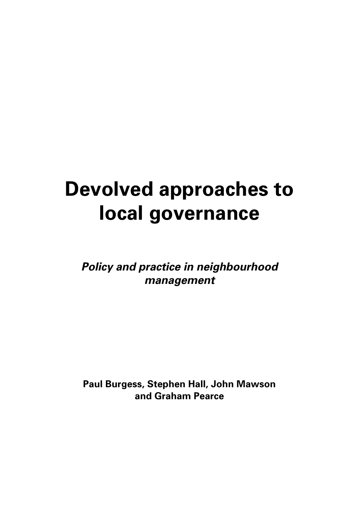# **Devolved approaches to local governance**

**Policy and practice in neighbourhood management**

**Paul Burgess, Stephen Hall, John Mawson and Graham Pearce**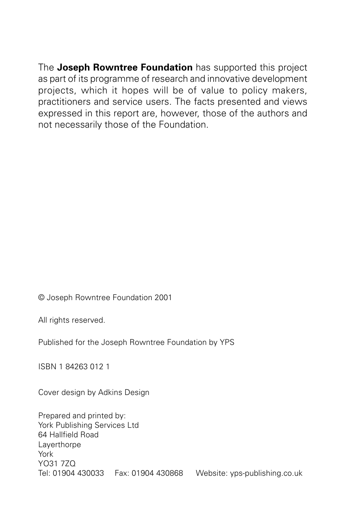The **Joseph Rowntree Foundation** has supported this project as part of its programme of research and innovative development projects, which it hopes will be of value to policy makers, practitioners and service users. The facts presented and views expressed in this report are, however, those of the authors and not necessarily those of the Foundation.

© Joseph Rowntree Foundation 2001

All rights reserved.

Published for the Joseph Rowntree Foundation by YPS

ISBN 1 84263 012 1

Cover design by Adkins Design

Prepared and printed by: York Publishing Services Ltd 64 Hallfield Road **Laverthorpe** York YO31 7ZQ Tel: 01904 430033 Fax: 01904 430868 Website: yps-publishing.co.uk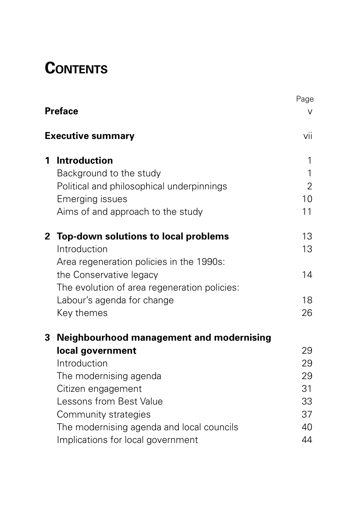## **CONTENTS**

|   |                                                 | Page           |  |  |
|---|-------------------------------------------------|----------------|--|--|
|   | <b>Preface</b>                                  |                |  |  |
|   | <b>Executive summary</b>                        |                |  |  |
| 1 | <b>Introduction</b>                             | 1              |  |  |
|   | Background to the study                         | 1              |  |  |
|   | Political and philosophical underpinnings       | $\overline{2}$ |  |  |
|   | <b>Emerging issues</b>                          | 10             |  |  |
|   | Aims of and approach to the study               | 11             |  |  |
|   | 2 Top-down solutions to local problems          | 13             |  |  |
|   | Introduction                                    | 13             |  |  |
|   | Area regeneration policies in the 1990s:        |                |  |  |
|   | the Conservative legacy                         | 14             |  |  |
|   | The evolution of area regeneration policies:    |                |  |  |
|   | Labour's agenda for change                      | 18             |  |  |
|   | Key themes                                      | 26             |  |  |
| 3 | <b>Neighbourhood management and modernising</b> |                |  |  |
|   | local government                                | 29             |  |  |
|   | Introduction                                    | 29             |  |  |
|   | The modernising agenda                          | 29             |  |  |
|   | Citizen engagement                              | 31             |  |  |
|   | Lessons from Best Value                         | 33             |  |  |
|   | Community strategies                            | 37             |  |  |
|   | The modernising agenda and local councils       | 40             |  |  |
|   | Implications for local government               | 44             |  |  |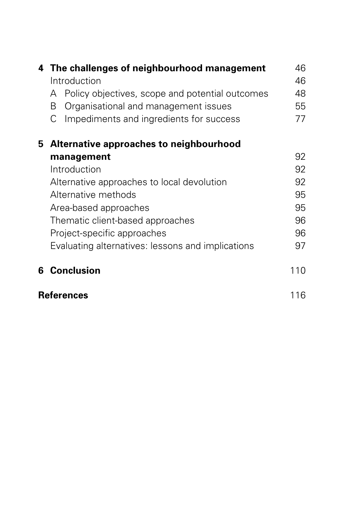|   | 4 The challenges of neighbourhood management<br>Introduction |     |  |  |
|---|--------------------------------------------------------------|-----|--|--|
|   | Policy objectives, scope and potential outcomes<br>A         | 48  |  |  |
|   | Organisational and management issues<br>B                    | 55  |  |  |
|   | Impediments and ingredients for success<br>С                 | 77  |  |  |
|   | 5 Alternative approaches to neighbourhood                    |     |  |  |
|   | management                                                   | 92  |  |  |
|   | Introduction                                                 | 92  |  |  |
|   | Alternative approaches to local devolution                   | 92  |  |  |
|   | Alternative methods                                          | 95  |  |  |
|   | Area-based approaches                                        | 95  |  |  |
|   | Thematic client-based approaches                             | 96  |  |  |
|   | Project-specific approaches                                  | 96  |  |  |
|   | Evaluating alternatives: lessons and implications            | 97  |  |  |
| 6 | <b>Conclusion</b>                                            | 110 |  |  |
|   | <b>References</b>                                            |     |  |  |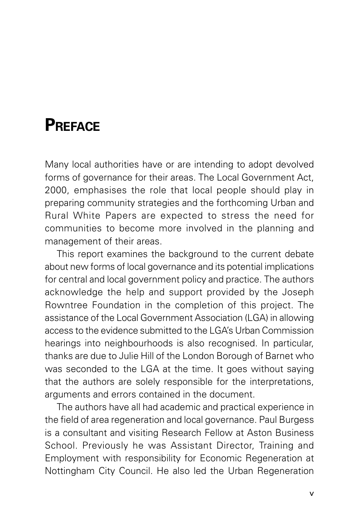## **PREFACE**

Many local authorities have or are intending to adopt devolved forms of governance for their areas. The Local Government Act, 2000, emphasises the role that local people should play in preparing community strategies and the forthcoming Urban and Rural White Papers are expected to stress the need for communities to become more involved in the planning and management of their areas.

This report examines the background to the current debate about new forms of local governance and its potential implications for central and local government policy and practice. The authors acknowledge the help and support provided by the Joseph Rowntree Foundation in the completion of this project. The assistance of the Local Government Association (LGA) in allowing access to the evidence submitted to the LGA's Urban Commission hearings into neighbourhoods is also recognised. In particular, thanks are due to Julie Hill of the London Borough of Barnet who was seconded to the LGA at the time. It goes without saying that the authors are solely responsible for the interpretations, arguments and errors contained in the document.

The authors have all had academic and practical experience in the field of area regeneration and local governance. Paul Burgess is a consultant and visiting Research Fellow at Aston Business School. Previously he was Assistant Director, Training and Employment with responsibility for Economic Regeneration at Nottingham City Council. He also led the Urban Regeneration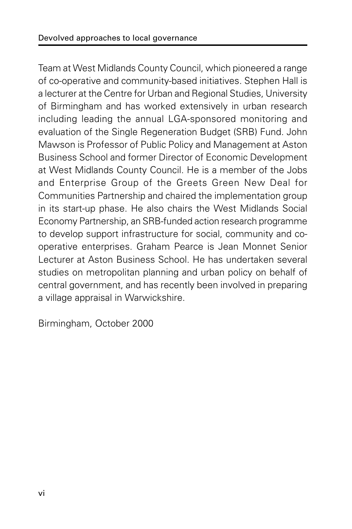Team at West Midlands County Council, which pioneered a range of co-operative and community-based initiatives. Stephen Hall is a lecturer at the Centre for Urban and Regional Studies, University of Birmingham and has worked extensively in urban research including leading the annual LGA-sponsored monitoring and evaluation of the Single Regeneration Budget (SRB) Fund. John Mawson is Professor of Public Policy and Management at Aston Business School and former Director of Economic Development at West Midlands County Council. He is a member of the Jobs and Enterprise Group of the Greets Green New Deal for Communities Partnership and chaired the implementation group in its start-up phase. He also chairs the West Midlands Social Economy Partnership, an SRB-funded action research programme to develop support infrastructure for social, community and cooperative enterprises. Graham Pearce is Jean Monnet Senior Lecturer at Aston Business School. He has undertaken several studies on metropolitan planning and urban policy on behalf of central government, and has recently been involved in preparing a village appraisal in Warwickshire.

Birmingham, October 2000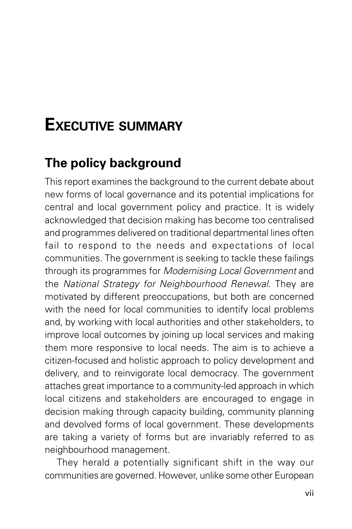## **EXECUTIVE SUMMARY**

## **The policy background**

This report examines the background to the current debate about new forms of local governance and its potential implications for central and local government policy and practice. It is widely acknowledged that decision making has become too centralised and programmes delivered on traditional departmental lines often fail to respond to the needs and expectations of local communities. The government is seeking to tackle these failings through its programmes for Modernising Local Government and the National Strategy for Neighbourhood Renewal. They are motivated by different preoccupations, but both are concerned with the need for local communities to identify local problems and, by working with local authorities and other stakeholders, to improve local outcomes by joining up local services and making them more responsive to local needs. The aim is to achieve a citizen-focused and holistic approach to policy development and delivery, and to reinvigorate local democracy. The government attaches great importance to a community-led approach in which local citizens and stakeholders are encouraged to engage in decision making through capacity building, community planning and devolved forms of local government. These developments are taking a variety of forms but are invariably referred to as neighbourhood management.

They herald a potentially significant shift in the way our communities are governed. However, unlike some other European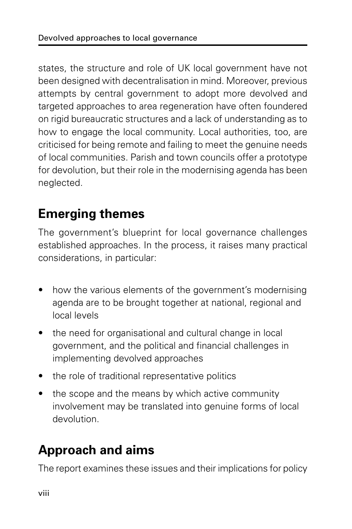states, the structure and role of UK local government have not been designed with decentralisation in mind. Moreover, previous attempts by central government to adopt more devolved and targeted approaches to area regeneration have often foundered on rigid bureaucratic structures and a lack of understanding as to how to engage the local community. Local authorities, too, are criticised for being remote and failing to meet the genuine needs of local communities. Parish and town councils offer a prototype for devolution, but their role in the modernising agenda has been neglected.

## **Emerging themes**

The government's blueprint for local governance challenges established approaches. In the process, it raises many practical considerations, in particular:

- how the various elements of the government's modernising agenda are to be brought together at national, regional and local levels
- the need for organisational and cultural change in local government, and the political and financial challenges in implementing devolved approaches
- the role of traditional representative politics
- the scope and the means by which active community involvement may be translated into genuine forms of local devolution.

## **Approach and aims**

The report examines these issues and their implications for policy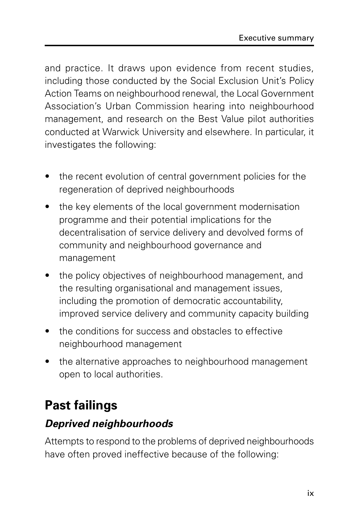and practice. It draws upon evidence from recent studies, including those conducted by the Social Exclusion Unit's Policy Action Teams on neighbourhood renewal, the Local Government Association's Urban Commission hearing into neighbourhood management, and research on the Best Value pilot authorities conducted at Warwick University and elsewhere. In particular, it investigates the following:

- the recent evolution of central government policies for the regeneration of deprived neighbourhoods
- the key elements of the local government modernisation programme and their potential implications for the decentralisation of service delivery and devolved forms of community and neighbourhood governance and management
- the policy objectives of neighbourhood management, and the resulting organisational and management issues, including the promotion of democratic accountability, improved service delivery and community capacity building
- the conditions for success and obstacles to effective neighbourhood management
- the alternative approaches to neighbourhood management open to local authorities.

## **Past failings**

#### **Deprived neighbourhoods**

Attempts to respond to the problems of deprived neighbourhoods have often proved ineffective because of the following: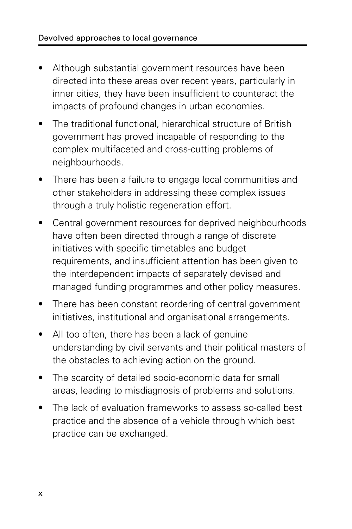- Although substantial government resources have been directed into these areas over recent years, particularly in inner cities, they have been insufficient to counteract the impacts of profound changes in urban economies.
- The traditional functional, hierarchical structure of British government has proved incapable of responding to the complex multifaceted and cross-cutting problems of neighbourhoods.
- There has been a failure to engage local communities and other stakeholders in addressing these complex issues through a truly holistic regeneration effort.
- Central government resources for deprived neighbourhoods have often been directed through a range of discrete initiatives with specific timetables and budget requirements, and insufficient attention has been given to the interdependent impacts of separately devised and managed funding programmes and other policy measures.
- There has been constant reordering of central government initiatives, institutional and organisational arrangements.
- All too often, there has been a lack of genuine understanding by civil servants and their political masters of the obstacles to achieving action on the ground.
- The scarcity of detailed socio-economic data for small areas, leading to misdiagnosis of problems and solutions.
- The lack of evaluation frameworks to assess so-called best practice and the absence of a vehicle through which best practice can be exchanged.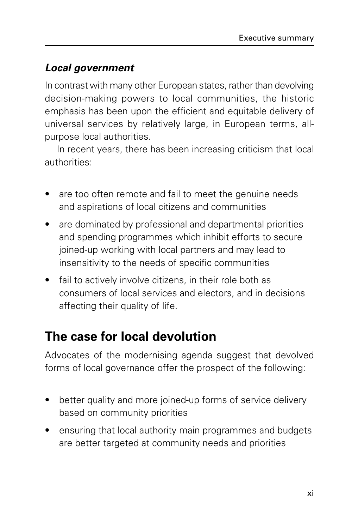#### **Local government**

In contrast with many other European states, rather than devolving decision-making powers to local communities, the historic emphasis has been upon the efficient and equitable delivery of universal services by relatively large, in European terms, allpurpose local authorities.

In recent years, there has been increasing criticism that local authorities:

- are too often remote and fail to meet the genuine needs and aspirations of local citizens and communities
- are dominated by professional and departmental priorities and spending programmes which inhibit efforts to secure joined-up working with local partners and may lead to insensitivity to the needs of specific communities
- fail to actively involve citizens, in their role both as consumers of local services and electors, and in decisions affecting their quality of life.

### **The case for local devolution**

Advocates of the modernising agenda suggest that devolved forms of local governance offer the prospect of the following:

- better quality and more joined-up forms of service delivery based on community priorities
- ensuring that local authority main programmes and budgets are better targeted at community needs and priorities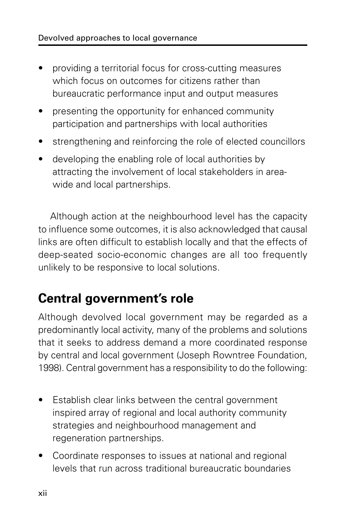- providing a territorial focus for cross-cutting measures which focus on outcomes for citizens rather than bureaucratic performance input and output measures
- presenting the opportunity for enhanced community participation and partnerships with local authorities
- strengthening and reinforcing the role of elected councillors
- developing the enabling role of local authorities by attracting the involvement of local stakeholders in areawide and local partnerships.

Although action at the neighbourhood level has the capacity to influence some outcomes, it is also acknowledged that causal links are often difficult to establish locally and that the effects of deep-seated socio-economic changes are all too frequently unlikely to be responsive to local solutions.

## **Central government's role**

Although devolved local government may be regarded as a predominantly local activity, many of the problems and solutions that it seeks to address demand a more coordinated response by central and local government (Joseph Rowntree Foundation, 1998). Central government has a responsibility to do the following:

- Establish clear links between the central government inspired array of regional and local authority community strategies and neighbourhood management and regeneration partnerships.
- Coordinate responses to issues at national and regional levels that run across traditional bureaucratic boundaries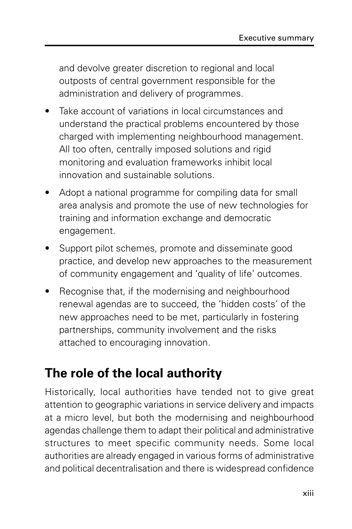and devolve greater discretion to regional and local outposts of central government responsible for the administration and delivery of programmes.

- Take account of variations in local circumstances and understand the practical problems encountered by those charged with implementing neighbourhood management. All too often, centrally imposed solutions and rigid monitoring and evaluation frameworks inhibit local innovation and sustainable solutions.
- Adopt a national programme for compiling data for small area analysis and promote the use of new technologies for training and information exchange and democratic engagement.
- Support pilot schemes, promote and disseminate good practice, and develop new approaches to the measurement of community engagement and 'quality of life' outcomes.
- Recognise that, if the modernising and neighbourhood renewal agendas are to succeed, the 'hidden costs' of the new approaches need to be met, particularly in fostering partnerships, community involvement and the risks attached to encouraging innovation.

## **The role of the local authority**

Historically, local authorities have tended not to give great attention to geographic variations in service delivery and impacts at a micro level, but both the modernising and neighbourhood agendas challenge them to adapt their political and administrative structures to meet specific community needs. Some local authorities are already engaged in various forms of administrative and political decentralisation and there is widespread confidence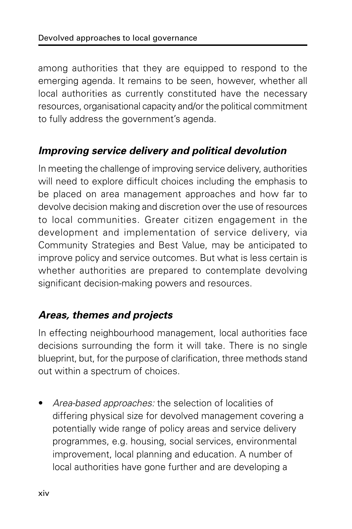among authorities that they are equipped to respond to the emerging agenda. It remains to be seen, however, whether all local authorities as currently constituted have the necessary resources, organisational capacity and/or the political commitment to fully address the government's agenda.

#### **Improving service delivery and political devolution**

In meeting the challenge of improving service delivery, authorities will need to explore difficult choices including the emphasis to be placed on area management approaches and how far to devolve decision making and discretion over the use of resources to local communities. Greater citizen engagement in the development and implementation of service delivery, via Community Strategies and Best Value, may be anticipated to improve policy and service outcomes. But what is less certain is whether authorities are prepared to contemplate devolving significant decision-making powers and resources.

#### **Areas, themes and projects**

In effecting neighbourhood management, local authorities face decisions surrounding the form it will take. There is no single blueprint, but, for the purpose of clarification, three methods stand out within a spectrum of choices.

• Area-based approaches: the selection of localities of differing physical size for devolved management covering a potentially wide range of policy areas and service delivery programmes, e.g. housing, social services, environmental improvement, local planning and education. A number of local authorities have gone further and are developing a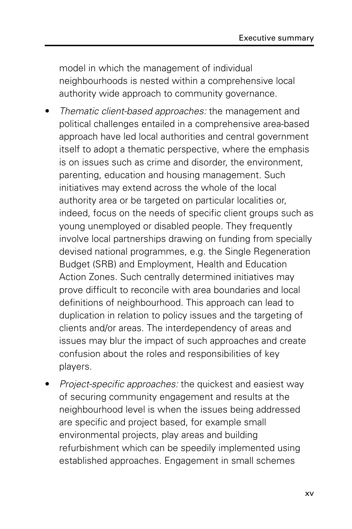model in which the management of individual neighbourhoods is nested within a comprehensive local authority wide approach to community governance.

- Thematic client-based approaches: the management and political challenges entailed in a comprehensive area-based approach have led local authorities and central government itself to adopt a thematic perspective, where the emphasis is on issues such as crime and disorder, the environment, parenting, education and housing management. Such initiatives may extend across the whole of the local authority area or be targeted on particular localities or, indeed, focus on the needs of specific client groups such as young unemployed or disabled people. They frequently involve local partnerships drawing on funding from specially devised national programmes, e.g. the Single Regeneration Budget (SRB) and Employment, Health and Education Action Zones. Such centrally determined initiatives may prove difficult to reconcile with area boundaries and local definitions of neighbourhood. This approach can lead to duplication in relation to policy issues and the targeting of clients and/or areas. The interdependency of areas and issues may blur the impact of such approaches and create confusion about the roles and responsibilities of key players.
- Project-specific approaches: the quickest and easiest way of securing community engagement and results at the neighbourhood level is when the issues being addressed are specific and project based, for example small environmental projects, play areas and building refurbishment which can be speedily implemented using established approaches. Engagement in small schemes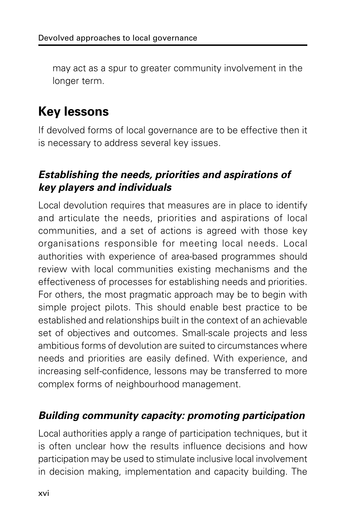may act as a spur to greater community involvement in the longer term.

## **Key lessons**

If devolved forms of local governance are to be effective then it is necessary to address several key issues.

#### **Establishing the needs, priorities and aspirations of key players and individuals**

Local devolution requires that measures are in place to identify and articulate the needs, priorities and aspirations of local communities, and a set of actions is agreed with those key organisations responsible for meeting local needs. Local authorities with experience of area-based programmes should review with local communities existing mechanisms and the effectiveness of processes for establishing needs and priorities. For others, the most pragmatic approach may be to begin with simple project pilots. This should enable best practice to be established and relationships built in the context of an achievable set of objectives and outcomes. Small-scale projects and less ambitious forms of devolution are suited to circumstances where needs and priorities are easily defined. With experience, and increasing self-confidence, lessons may be transferred to more complex forms of neighbourhood management.

#### **Building community capacity: promoting participation**

Local authorities apply a range of participation techniques, but it is often unclear how the results influence decisions and how participation may be used to stimulate inclusive local involvement in decision making, implementation and capacity building. The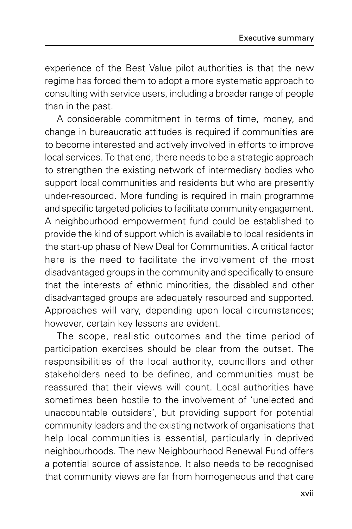experience of the Best Value pilot authorities is that the new regime has forced them to adopt a more systematic approach to consulting with service users, including a broader range of people than in the past.

A considerable commitment in terms of time, money, and change in bureaucratic attitudes is required if communities are to become interested and actively involved in efforts to improve local services. To that end, there needs to be a strategic approach to strengthen the existing network of intermediary bodies who support local communities and residents but who are presently under-resourced. More funding is required in main programme and specific targeted policies to facilitate community engagement. A neighbourhood empowerment fund could be established to provide the kind of support which is available to local residents in the start-up phase of New Deal for Communities. A critical factor here is the need to facilitate the involvement of the most disadvantaged groups in the community and specifically to ensure that the interests of ethnic minorities, the disabled and other disadvantaged groups are adequately resourced and supported. Approaches will vary, depending upon local circumstances; however, certain key lessons are evident.

The scope, realistic outcomes and the time period of participation exercises should be clear from the outset. The responsibilities of the local authority, councillors and other stakeholders need to be defined, and communities must be reassured that their views will count. Local authorities have sometimes been hostile to the involvement of 'unelected and unaccountable outsiders', but providing support for potential community leaders and the existing network of organisations that help local communities is essential, particularly in deprived neighbourhoods. The new Neighbourhood Renewal Fund offers a potential source of assistance. It also needs to be recognised that community views are far from homogeneous and that care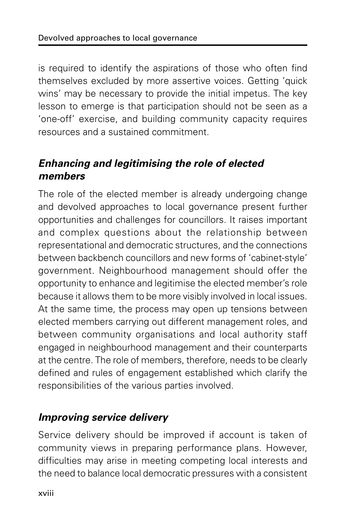is required to identify the aspirations of those who often find themselves excluded by more assertive voices. Getting 'quick wins' may be necessary to provide the initial impetus. The key lesson to emerge is that participation should not be seen as a 'one-off' exercise, and building community capacity requires resources and a sustained commitment.

#### **Enhancing and legitimising the role of elected members**

The role of the elected member is already undergoing change and devolved approaches to local governance present further opportunities and challenges for councillors. It raises important and complex questions about the relationship between representational and democratic structures, and the connections between backbench councillors and new forms of 'cabinet-style' government. Neighbourhood management should offer the opportunity to enhance and legitimise the elected member's role because it allows them to be more visibly involved in local issues. At the same time, the process may open up tensions between elected members carrying out different management roles, and between community organisations and local authority staff engaged in neighbourhood management and their counterparts at the centre. The role of members, therefore, needs to be clearly defined and rules of engagement established which clarify the responsibilities of the various parties involved.

#### **Improving service delivery**

Service delivery should be improved if account is taken of community views in preparing performance plans. However, difficulties may arise in meeting competing local interests and the need to balance local democratic pressures with a consistent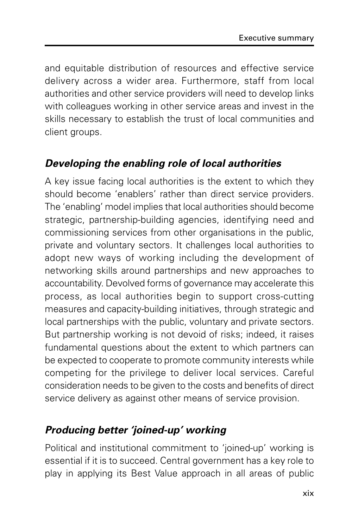and equitable distribution of resources and effective service delivery across a wider area. Furthermore, staff from local authorities and other service providers will need to develop links with colleagues working in other service areas and invest in the skills necessary to establish the trust of local communities and client groups.

#### **Developing the enabling role of local authorities**

A key issue facing local authorities is the extent to which they should become 'enablers' rather than direct service providers. The 'enabling' model implies that local authorities should become strategic, partnership-building agencies, identifying need and commissioning services from other organisations in the public, private and voluntary sectors. It challenges local authorities to adopt new ways of working including the development of networking skills around partnerships and new approaches to accountability. Devolved forms of governance may accelerate this process, as local authorities begin to support cross-cutting measures and capacity-building initiatives, through strategic and local partnerships with the public, voluntary and private sectors. But partnership working is not devoid of risks; indeed, it raises fundamental questions about the extent to which partners can be expected to cooperate to promote community interests while competing for the privilege to deliver local services. Careful consideration needs to be given to the costs and benefits of direct service delivery as against other means of service provision.

#### **Producing better 'joined-up' working**

Political and institutional commitment to 'joined-up' working is essential if it is to succeed. Central government has a key role to play in applying its Best Value approach in all areas of public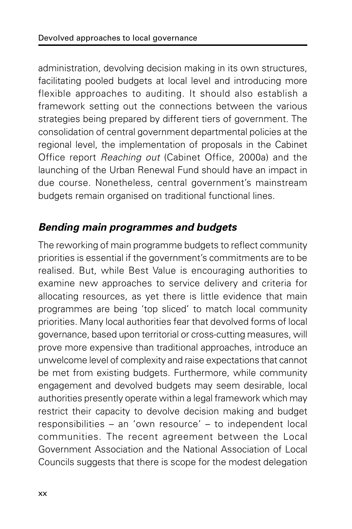administration, devolving decision making in its own structures, facilitating pooled budgets at local level and introducing more flexible approaches to auditing. It should also establish a framework setting out the connections between the various strategies being prepared by different tiers of government. The consolidation of central government departmental policies at the regional level, the implementation of proposals in the Cabinet Office report Reaching out (Cabinet Office, 2000a) and the launching of the Urban Renewal Fund should have an impact in due course. Nonetheless, central government's mainstream budgets remain organised on traditional functional lines.

#### **Bending main programmes and budgets**

The reworking of main programme budgets to reflect community priorities is essential if the government's commitments are to be realised. But, while Best Value is encouraging authorities to examine new approaches to service delivery and criteria for allocating resources, as yet there is little evidence that main programmes are being 'top sliced' to match local community priorities. Many local authorities fear that devolved forms of local governance, based upon territorial or cross-cutting measures, will prove more expensive than traditional approaches, introduce an unwelcome level of complexity and raise expectations that cannot be met from existing budgets. Furthermore, while community engagement and devolved budgets may seem desirable, local authorities presently operate within a legal framework which may restrict their capacity to devolve decision making and budget responsibilities – an 'own resource' – to independent local communities. The recent agreement between the Local Government Association and the National Association of Local Councils suggests that there is scope for the modest delegation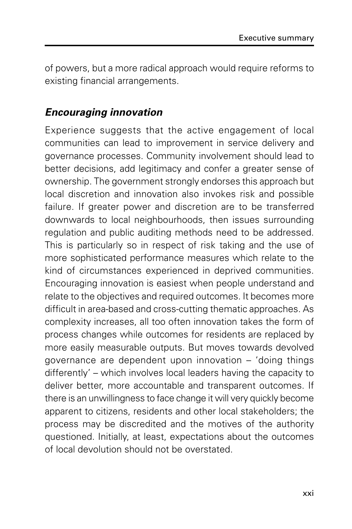of powers, but a more radical approach would require reforms to existing financial arrangements.

#### **Encouraging innovation**

Experience suggests that the active engagement of local communities can lead to improvement in service delivery and governance processes. Community involvement should lead to better decisions, add legitimacy and confer a greater sense of ownership. The government strongly endorses this approach but local discretion and innovation also invokes risk and possible failure. If greater power and discretion are to be transferred downwards to local neighbourhoods, then issues surrounding regulation and public auditing methods need to be addressed. This is particularly so in respect of risk taking and the use of more sophisticated performance measures which relate to the kind of circumstances experienced in deprived communities. Encouraging innovation is easiest when people understand and relate to the objectives and required outcomes. It becomes more difficult in area-based and cross-cutting thematic approaches. As complexity increases, all too often innovation takes the form of process changes while outcomes for residents are replaced by more easily measurable outputs. But moves towards devolved governance are dependent upon innovation – 'doing things differently' – which involves local leaders having the capacity to deliver better, more accountable and transparent outcomes. If there is an unwillingness to face change it will very quickly become apparent to citizens, residents and other local stakeholders; the process may be discredited and the motives of the authority questioned. Initially, at least, expectations about the outcomes of local devolution should not be overstated.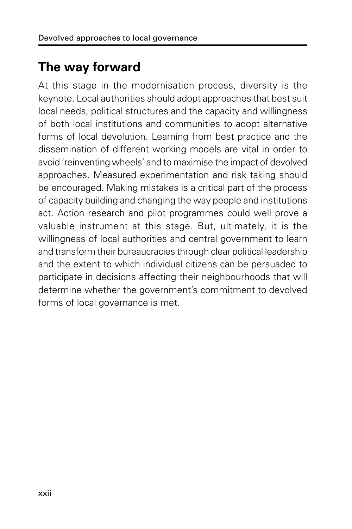## **The way forward**

At this stage in the modernisation process, diversity is the keynote. Local authorities should adopt approaches that best suit local needs, political structures and the capacity and willingness of both local institutions and communities to adopt alternative forms of local devolution. Learning from best practice and the dissemination of different working models are vital in order to avoid 'reinventing wheels' and to maximise the impact of devolved approaches. Measured experimentation and risk taking should be encouraged. Making mistakes is a critical part of the process of capacity building and changing the way people and institutions act. Action research and pilot programmes could well prove a valuable instrument at this stage. But, ultimately, it is the willingness of local authorities and central government to learn and transform their bureaucracies through clear political leadership and the extent to which individual citizens can be persuaded to participate in decisions affecting their neighbourhoods that will determine whether the government's commitment to devolved forms of local governance is met.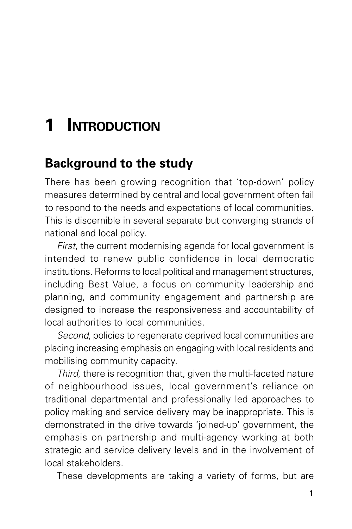## **1 INTRODUCTION**

### **Background to the study**

There has been growing recognition that 'top-down' policy measures determined by central and local government often fail to respond to the needs and expectations of local communities. This is discernible in several separate but converging strands of national and local policy.

First, the current modernising agenda for local government is intended to renew public confidence in local democratic institutions. Reforms to local political and management structures, including Best Value, a focus on community leadership and planning, and community engagement and partnership are designed to increase the responsiveness and accountability of local authorities to local communities.

Second, policies to regenerate deprived local communities are placing increasing emphasis on engaging with local residents and mobilising community capacity.

Third, there is recognition that, given the multi-faceted nature of neighbourhood issues, local government's reliance on traditional departmental and professionally led approaches to policy making and service delivery may be inappropriate. This is demonstrated in the drive towards 'joined-up' government, the emphasis on partnership and multi-agency working at both strategic and service delivery levels and in the involvement of local stakeholders.

These developments are taking a variety of forms, but are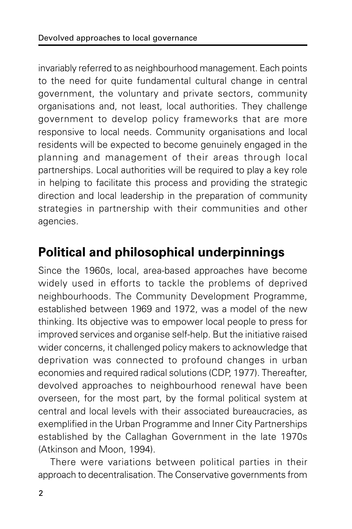invariably referred to as neighbourhood management. Each points to the need for quite fundamental cultural change in central government, the voluntary and private sectors, community organisations and, not least, local authorities. They challenge government to develop policy frameworks that are more responsive to local needs. Community organisations and local residents will be expected to become genuinely engaged in the planning and management of their areas through local partnerships. Local authorities will be required to play a key role in helping to facilitate this process and providing the strategic direction and local leadership in the preparation of community strategies in partnership with their communities and other agencies.

## **Political and philosophical underpinnings**

Since the 1960s, local, area-based approaches have become widely used in efforts to tackle the problems of deprived neighbourhoods. The Community Development Programme, established between 1969 and 1972, was a model of the new thinking. Its objective was to empower local people to press for improved services and organise self-help. But the initiative raised wider concerns, it challenged policy makers to acknowledge that deprivation was connected to profound changes in urban economies and required radical solutions (CDP, 1977). Thereafter, devolved approaches to neighbourhood renewal have been overseen, for the most part, by the formal political system at central and local levels with their associated bureaucracies, as exemplified in the Urban Programme and Inner City Partnerships established by the Callaghan Government in the late 1970s (Atkinson and Moon, 1994).

There were variations between political parties in their approach to decentralisation. The Conservative governments from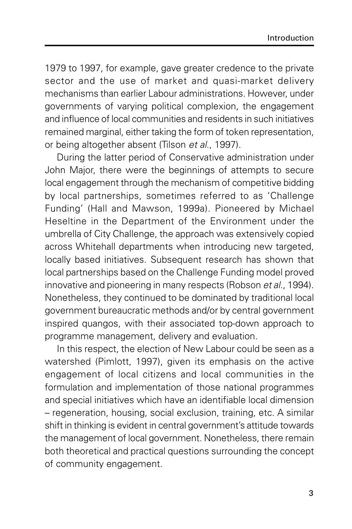1979 to 1997, for example, gave greater credence to the private sector and the use of market and quasi-market delivery mechanisms than earlier Labour administrations. However, under governments of varying political complexion, the engagement and influence of local communities and residents in such initiatives remained marginal, either taking the form of token representation, or being altogether absent (Tilson et al., 1997).

During the latter period of Conservative administration under John Major, there were the beginnings of attempts to secure local engagement through the mechanism of competitive bidding by local partnerships, sometimes referred to as 'Challenge Funding' (Hall and Mawson, 1999a). Pioneered by Michael Heseltine in the Department of the Environment under the umbrella of City Challenge, the approach was extensively copied across Whitehall departments when introducing new targeted, locally based initiatives. Subsequent research has shown that local partnerships based on the Challenge Funding model proved innovative and pioneering in many respects (Robson et al., 1994). Nonetheless, they continued to be dominated by traditional local government bureaucratic methods and/or by central government inspired quangos, with their associated top-down approach to programme management, delivery and evaluation.

In this respect, the election of New Labour could be seen as a watershed (Pimlott, 1997), given its emphasis on the active engagement of local citizens and local communities in the formulation and implementation of those national programmes and special initiatives which have an identifiable local dimension – regeneration, housing, social exclusion, training, etc. A similar shift in thinking is evident in central government's attitude towards the management of local government. Nonetheless, there remain both theoretical and practical questions surrounding the concept of community engagement.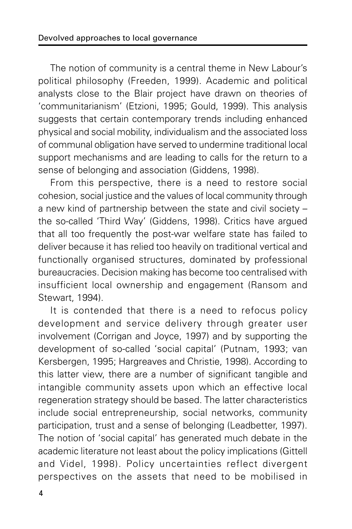The notion of community is a central theme in New Labour's political philosophy (Freeden, 1999). Academic and political analysts close to the Blair project have drawn on theories of 'communitarianism' (Etzioni, 1995; Gould, 1999). This analysis suggests that certain contemporary trends including enhanced physical and social mobility, individualism and the associated loss of communal obligation have served to undermine traditional local support mechanisms and are leading to calls for the return to a sense of belonging and association (Giddens, 1998).

From this perspective, there is a need to restore social cohesion, social justice and the values of local community through a new kind of partnership between the state and civil society – the so-called 'Third Way' (Giddens, 1998). Critics have argued that all too frequently the post-war welfare state has failed to deliver because it has relied too heavily on traditional vertical and functionally organised structures, dominated by professional bureaucracies. Decision making has become too centralised with insufficient local ownership and engagement (Ransom and Stewart, 1994).

It is contended that there is a need to refocus policy development and service delivery through greater user involvement (Corrigan and Joyce, 1997) and by supporting the development of so-called 'social capital' (Putnam, 1993; van Kersbergen, 1995; Hargreaves and Christie, 1998). According to this latter view, there are a number of significant tangible and intangible community assets upon which an effective local regeneration strategy should be based. The latter characteristics include social entrepreneurship, social networks, community participation, trust and a sense of belonging (Leadbetter, 1997). The notion of 'social capital' has generated much debate in the academic literature not least about the policy implications (Gittell and Videl, 1998). Policy uncertainties reflect divergent perspectives on the assets that need to be mobilised in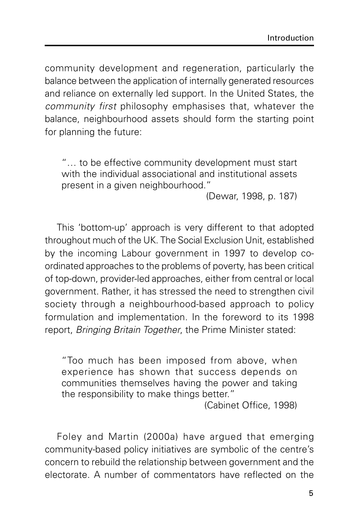community development and regeneration, particularly the balance between the application of internally generated resources and reliance on externally led support. In the United States, the community first philosophy emphasises that, whatever the balance, neighbourhood assets should form the starting point for planning the future:

"… to be effective community development must start with the individual associational and institutional assets present in a given neighbourhood."

(Dewar, 1998, p. 187)

This 'bottom-up' approach is very different to that adopted throughout much of the UK. The Social Exclusion Unit, established by the incoming Labour government in 1997 to develop coordinated approaches to the problems of poverty, has been critical of top-down, provider-led approaches, either from central or local government. Rather, it has stressed the need to strengthen civil society through a neighbourhood-based approach to policy formulation and implementation. In the foreword to its 1998 report, Bringing Britain Together, the Prime Minister stated:

"Too much has been imposed from above, when experience has shown that success depends on communities themselves having the power and taking the responsibility to make things better."

(Cabinet Office, 1998)

Foley and Martin (2000a) have argued that emerging community-based policy initiatives are symbolic of the centre's concern to rebuild the relationship between government and the electorate. A number of commentators have reflected on the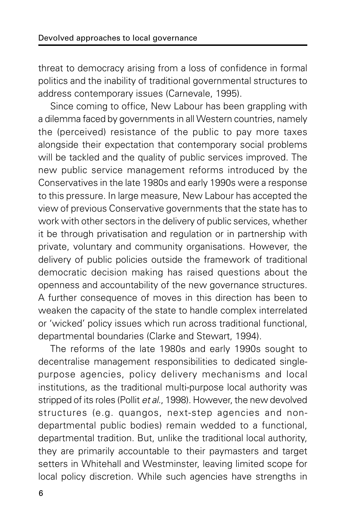threat to democracy arising from a loss of confidence in formal politics and the inability of traditional governmental structures to address contemporary issues (Carnevale, 1995).

Since coming to office, New Labour has been grappling with a dilemma faced by governments in all Western countries, namely the (perceived) resistance of the public to pay more taxes alongside their expectation that contemporary social problems will be tackled and the quality of public services improved. The new public service management reforms introduced by the Conservatives in the late 1980s and early 1990s were a response to this pressure. In large measure, New Labour has accepted the view of previous Conservative governments that the state has to work with other sectors in the delivery of public services, whether it be through privatisation and regulation or in partnership with private, voluntary and community organisations. However, the delivery of public policies outside the framework of traditional democratic decision making has raised questions about the openness and accountability of the new governance structures. A further consequence of moves in this direction has been to weaken the capacity of the state to handle complex interrelated or 'wicked' policy issues which run across traditional functional, departmental boundaries (Clarke and Stewart, 1994).

The reforms of the late 1980s and early 1990s sought to decentralise management responsibilities to dedicated singlepurpose agencies, policy delivery mechanisms and local institutions, as the traditional multi-purpose local authority was stripped of its roles (Pollit et al., 1998). However, the new devolved structures (e.g. quangos, next-step agencies and nondepartmental public bodies) remain wedded to a functional, departmental tradition. But, unlike the traditional local authority, they are primarily accountable to their paymasters and target setters in Whitehall and Westminster, leaving limited scope for local policy discretion. While such agencies have strengths in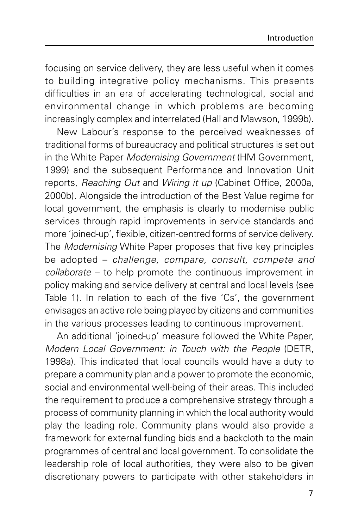focusing on service delivery, they are less useful when it comes to building integrative policy mechanisms. This presents difficulties in an era of accelerating technological, social and environmental change in which problems are becoming increasingly complex and interrelated (Hall and Mawson, 1999b).

New Labour's response to the perceived weaknesses of traditional forms of bureaucracy and political structures is set out in the White Paper Modernising Government (HM Government, 1999) and the subsequent Performance and Innovation Unit reports, Reaching Out and Wiring it up (Cabinet Office, 2000a, 2000b). Alongside the introduction of the Best Value regime for local government, the emphasis is clearly to modernise public services through rapid improvements in service standards and more 'joined-up', flexible, citizen-centred forms of service delivery. The Modernising White Paper proposes that five key principles be adopted – challenge, compare, consult, compete and collaborate – to help promote the continuous improvement in policy making and service delivery at central and local levels (see Table 1). In relation to each of the five 'Cs', the government envisages an active role being played by citizens and communities in the various processes leading to continuous improvement.

An additional 'joined-up' measure followed the White Paper, Modern Local Government: in Touch with the People (DETR, 1998a). This indicated that local councils would have a duty to prepare a community plan and a power to promote the economic, social and environmental well-being of their areas. This included the requirement to produce a comprehensive strategy through a process of community planning in which the local authority would play the leading role. Community plans would also provide a framework for external funding bids and a backcloth to the main programmes of central and local government. To consolidate the leadership role of local authorities, they were also to be given discretionary powers to participate with other stakeholders in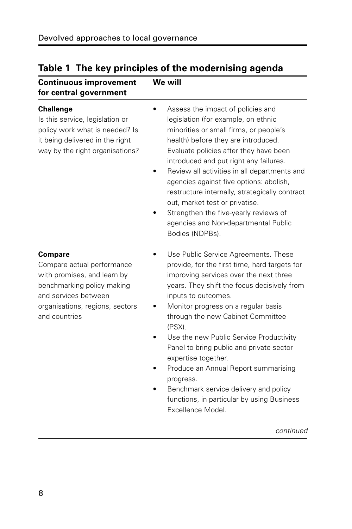| <b>Continuous improvement</b><br>for central government                                                                                                                               | We will                                                                                                                                                                                                                                                                                                                                                                                                                                                                                                                                                                    |  |
|---------------------------------------------------------------------------------------------------------------------------------------------------------------------------------------|----------------------------------------------------------------------------------------------------------------------------------------------------------------------------------------------------------------------------------------------------------------------------------------------------------------------------------------------------------------------------------------------------------------------------------------------------------------------------------------------------------------------------------------------------------------------------|--|
| <b>Challenge</b><br>Is this service, legislation or<br>policy work what is needed? Is<br>it being delivered in the right<br>way by the right organisations?                           | Assess the impact of policies and<br>legislation (for example, on ethnic<br>minorities or small firms, or people's<br>health) before they are introduced.<br>Evaluate policies after they have been<br>introduced and put right any failures.<br>Review all activities in all departments and<br>agencies against five options: abolish,<br>restructure internally, strategically contract<br>out, market test or privatise.<br>Strengthen the five-yearly reviews of<br>agencies and Non-departmental Public<br>Bodies (NDPBs).                                           |  |
| <b>Compare</b><br>Compare actual performance<br>with promises, and learn by<br>benchmarking policy making<br>and services between<br>organisations, regions, sectors<br>and countries | Use Public Service Agreements. These<br>provide, for the first time, hard targets for<br>improving services over the next three<br>years. They shift the focus decisively from<br>inputs to outcomes.<br>Monitor progress on a regular basis<br>through the new Cabinet Committee<br>(PSX).<br>Use the new Public Service Productivity<br>Panel to bring public and private sector<br>expertise together.<br>Produce an Annual Report summarising<br>progress.<br>Benchmark service delivery and policy<br>functions, in particular by using Business<br>Excellence Model. |  |
|                                                                                                                                                                                       | continued                                                                                                                                                                                                                                                                                                                                                                                                                                                                                                                                                                  |  |

### **Table 1 The key principles of the modernising agenda**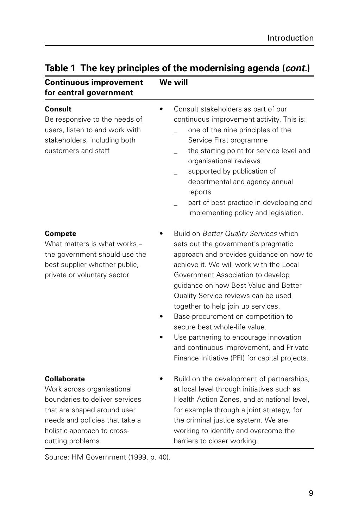| <b>Continuous improvement</b><br>for central government                                                                                                                                         | We will                                                                                                                                                                                                                                                                                                                                                                                                                                                                                                                                       |
|-------------------------------------------------------------------------------------------------------------------------------------------------------------------------------------------------|-----------------------------------------------------------------------------------------------------------------------------------------------------------------------------------------------------------------------------------------------------------------------------------------------------------------------------------------------------------------------------------------------------------------------------------------------------------------------------------------------------------------------------------------------|
| Consult<br>Be responsive to the needs of<br>users, listen to and work with<br>stakeholders, including both<br>customers and staff                                                               | Consult stakeholders as part of our<br>$\bullet$<br>continuous improvement activity. This is:<br>one of the nine principles of the<br>Service First programme<br>the starting point for service level and<br>organisational reviews<br>supported by publication of<br>departmental and agency annual<br>reports<br>part of best practice in developing and<br>implementing policy and legislation.                                                                                                                                            |
| <b>Compete</b><br>What matters is what works -<br>the government should use the<br>best supplier whether public,<br>private or voluntary sector                                                 | Build on Better Quality Services which<br>sets out the government's pragmatic<br>approach and provides guidance on how to<br>achieve it. We will work with the Local<br>Government Association to develop<br>guidance on how Best Value and Better<br>Quality Service reviews can be used<br>together to help join up services.<br>Base procurement on competition to<br>secure best whole-life value.<br>Use partnering to encourage innovation<br>and continuous improvement, and Private<br>Finance Initiative (PFI) for capital projects. |
| Collaborate<br>Work across organisational<br>boundaries to deliver services<br>that are shaped around user<br>needs and policies that take a<br>holistic approach to cross-<br>cutting problems | Build on the development of partnerships,<br>at local level through initiatives such as<br>Health Action Zones, and at national level,<br>for example through a joint strategy, for<br>the criminal justice system. We are<br>working to identify and overcome the<br>barriers to closer working.                                                                                                                                                                                                                                             |

#### **Table 1 The key principles of the modernising agenda (cont.)**

Source: HM Government (1999, p. 40).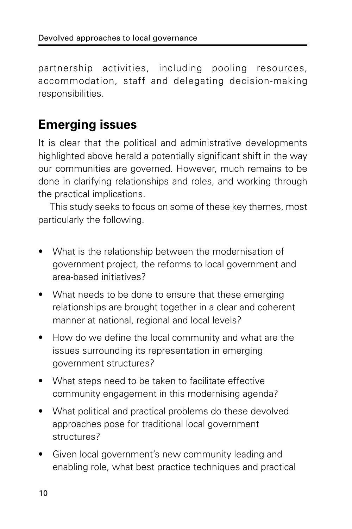partnership activities, including pooling resources, accommodation, staff and delegating decision-making responsibilities.

### **Emerging issues**

It is clear that the political and administrative developments highlighted above herald a potentially significant shift in the way our communities are governed. However, much remains to be done in clarifying relationships and roles, and working through the practical implications.

This study seeks to focus on some of these key themes, most particularly the following.

- What is the relationship between the modernisation of government project, the reforms to local government and area-based initiatives?
- What needs to be done to ensure that these emerging relationships are brought together in a clear and coherent manner at national, regional and local levels?
- How do we define the local community and what are the issues surrounding its representation in emerging government structures?
- What steps need to be taken to facilitate effective community engagement in this modernising agenda?
- What political and practical problems do these devolved approaches pose for traditional local government structures?
- Given local government's new community leading and enabling role, what best practice techniques and practical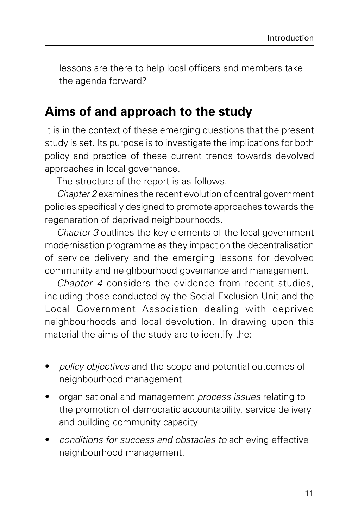lessons are there to help local officers and members take the agenda forward?

#### **Aims of and approach to the study**

It is in the context of these emerging questions that the present study is set. Its purpose is to investigate the implications for both policy and practice of these current trends towards devolved approaches in local governance.

The structure of the report is as follows.

Chapter 2 examines the recent evolution of central government policies specifically designed to promote approaches towards the regeneration of deprived neighbourhoods.

Chapter 3 outlines the key elements of the local government modernisation programme as they impact on the decentralisation of service delivery and the emerging lessons for devolved community and neighbourhood governance and management.

Chapter 4 considers the evidence from recent studies, including those conducted by the Social Exclusion Unit and the Local Government Association dealing with deprived neighbourhoods and local devolution. In drawing upon this material the aims of the study are to identify the:

- policy objectives and the scope and potential outcomes of neighbourhood management
- organisational and management process issues relating to the promotion of democratic accountability, service delivery and building community capacity
- conditions for success and obstacles to achieving effective neighbourhood management.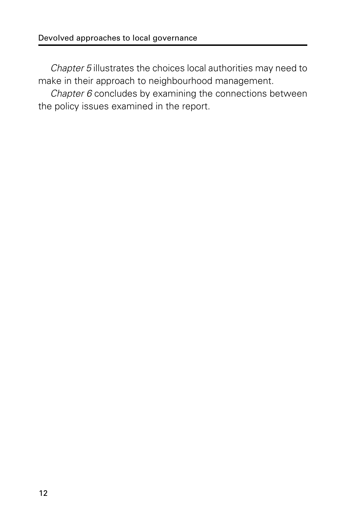Chapter 5 illustrates the choices local authorities may need to make in their approach to neighbourhood management.

Chapter 6 concludes by examining the connections between the policy issues examined in the report.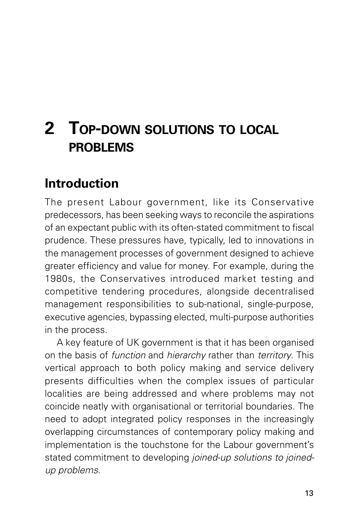## **2 TOP-DOWN SOLUTIONS TO LOCAL PROBLEMS**

### **Introduction**

The present Labour government, like its Conservative predecessors, has been seeking ways to reconcile the aspirations of an expectant public with its often-stated commitment to fiscal prudence. These pressures have, typically, led to innovations in the management processes of government designed to achieve greater efficiency and value for money. For example, during the 1980s, the Conservatives introduced market testing and competitive tendering procedures, alongside decentralised management responsibilities to sub-national, single-purpose, executive agencies, bypassing elected, multi-purpose authorities in the process.

A key feature of UK government is that it has been organised on the basis of function and hierarchy rather than territory. This vertical approach to both policy making and service delivery presents difficulties when the complex issues of particular localities are being addressed and where problems may not coincide neatly with organisational or territorial boundaries. The need to adopt integrated policy responses in the increasingly overlapping circumstances of contemporary policy making and implementation is the touchstone for the Labour government's stated commitment to developing joined-up solutions to joinedup problems.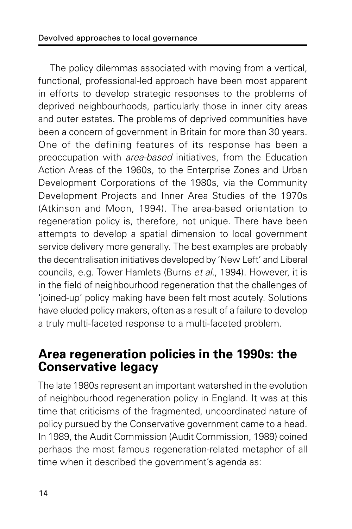The policy dilemmas associated with moving from a vertical, functional, professional-led approach have been most apparent in efforts to develop strategic responses to the problems of deprived neighbourhoods, particularly those in inner city areas and outer estates. The problems of deprived communities have been a concern of government in Britain for more than 30 years. One of the defining features of its response has been a preoccupation with area-based initiatives, from the Education Action Areas of the 1960s, to the Enterprise Zones and Urban Development Corporations of the 1980s, via the Community Development Projects and Inner Area Studies of the 1970s (Atkinson and Moon, 1994). The area-based orientation to regeneration policy is, therefore, not unique. There have been attempts to develop a spatial dimension to local government service delivery more generally. The best examples are probably the decentralisation initiatives developed by 'New Left' and Liberal councils, e.g. Tower Hamlets (Burns et al., 1994). However, it is in the field of neighbourhood regeneration that the challenges of 'joined-up' policy making have been felt most acutely. Solutions have eluded policy makers, often as a result of a failure to develop a truly multi-faceted response to a multi-faceted problem.

#### **Area regeneration policies in the 1990s: the Conservative legacy**

The late 1980s represent an important watershed in the evolution of neighbourhood regeneration policy in England. It was at this time that criticisms of the fragmented, uncoordinated nature of policy pursued by the Conservative government came to a head. In 1989, the Audit Commission (Audit Commission, 1989) coined perhaps the most famous regeneration-related metaphor of all time when it described the government's agenda as: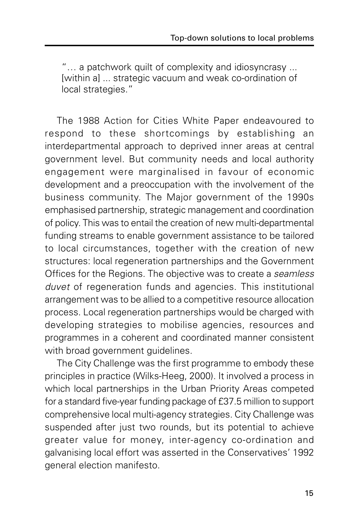"… a patchwork quilt of complexity and idiosyncrasy ... [within a] ... strategic vacuum and weak co-ordination of local strategies."

The 1988 Action for Cities White Paper endeavoured to respond to these shortcomings by establishing an interdepartmental approach to deprived inner areas at central government level. But community needs and local authority engagement were marginalised in favour of economic development and a preoccupation with the involvement of the business community. The Major government of the 1990s emphasised partnership, strategic management and coordination of policy. This was to entail the creation of new multi-departmental funding streams to enable government assistance to be tailored to local circumstances, together with the creation of new structures: local regeneration partnerships and the Government Offices for the Regions. The objective was to create a seamless duvet of regeneration funds and agencies. This institutional arrangement was to be allied to a competitive resource allocation process. Local regeneration partnerships would be charged with developing strategies to mobilise agencies, resources and programmes in a coherent and coordinated manner consistent with broad government guidelines.

The City Challenge was the first programme to embody these principles in practice (Wilks-Heeg, 2000). It involved a process in which local partnerships in the Urban Priority Areas competed for a standard five-year funding package of £37.5 million to support comprehensive local multi-agency strategies. City Challenge was suspended after just two rounds, but its potential to achieve greater value for money, inter-agency co-ordination and galvanising local effort was asserted in the Conservatives' 1992 general election manifesto.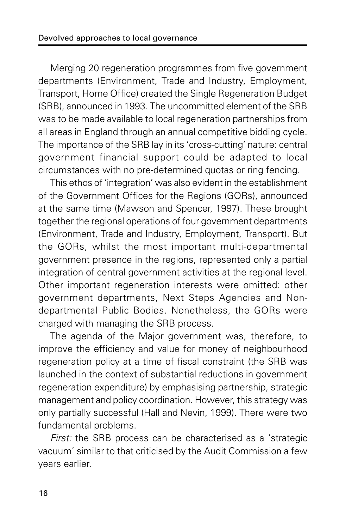Merging 20 regeneration programmes from five government departments (Environment, Trade and Industry, Employment, Transport, Home Office) created the Single Regeneration Budget (SRB), announced in 1993. The uncommitted element of the SRB was to be made available to local regeneration partnerships from all areas in England through an annual competitive bidding cycle. The importance of the SRB lay in its 'cross-cutting' nature: central government financial support could be adapted to local circumstances with no pre-determined quotas or ring fencing.

This ethos of 'integration' was also evident in the establishment of the Government Offices for the Regions (GORs), announced at the same time (Mawson and Spencer, 1997). These brought together the regional operations of four government departments (Environment, Trade and Industry, Employment, Transport). But the GORs, whilst the most important multi-departmental government presence in the regions, represented only a partial integration of central government activities at the regional level. Other important regeneration interests were omitted: other government departments, Next Steps Agencies and Nondepartmental Public Bodies. Nonetheless, the GORs were charged with managing the SRB process.

The agenda of the Major government was, therefore, to improve the efficiency and value for money of neighbourhood regeneration policy at a time of fiscal constraint (the SRB was launched in the context of substantial reductions in government regeneration expenditure) by emphasising partnership, strategic management and policy coordination. However, this strategy was only partially successful (Hall and Nevin, 1999). There were two fundamental problems.

First: the SRB process can be characterised as a 'strategic vacuum' similar to that criticised by the Audit Commission a few years earlier.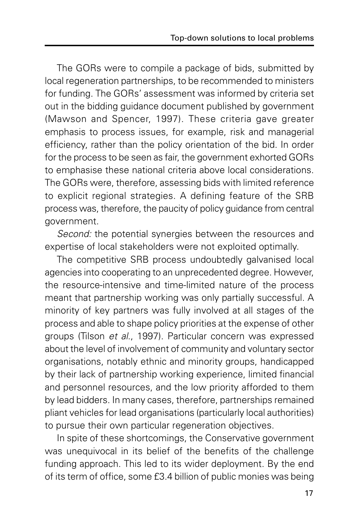The GORs were to compile a package of bids, submitted by local regeneration partnerships, to be recommended to ministers for funding. The GORs' assessment was informed by criteria set out in the bidding guidance document published by government (Mawson and Spencer, 1997). These criteria gave greater emphasis to process issues, for example, risk and managerial efficiency, rather than the policy orientation of the bid. In order for the process to be seen as fair, the government exhorted GORs to emphasise these national criteria above local considerations. The GORs were, therefore, assessing bids with limited reference to explicit regional strategies. A defining feature of the SRB process was, therefore, the paucity of policy guidance from central government.

Second: the potential synergies between the resources and expertise of local stakeholders were not exploited optimally.

The competitive SRB process undoubtedly galvanised local agencies into cooperating to an unprecedented degree. However, the resource-intensive and time-limited nature of the process meant that partnership working was only partially successful. A minority of key partners was fully involved at all stages of the process and able to shape policy priorities at the expense of other groups (Tilson et al., 1997). Particular concern was expressed about the level of involvement of community and voluntary sector organisations, notably ethnic and minority groups, handicapped by their lack of partnership working experience, limited financial and personnel resources, and the low priority afforded to them by lead bidders. In many cases, therefore, partnerships remained pliant vehicles for lead organisations (particularly local authorities) to pursue their own particular regeneration objectives.

In spite of these shortcomings, the Conservative government was unequivocal in its belief of the benefits of the challenge funding approach. This led to its wider deployment. By the end of its term of office, some £3.4 billion of public monies was being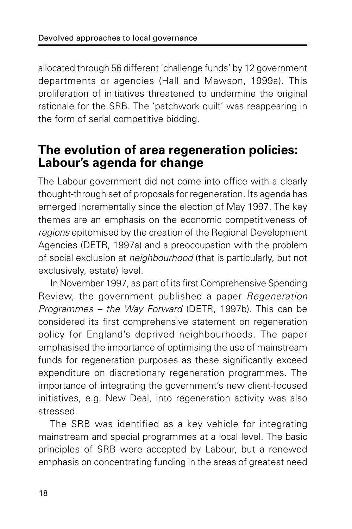allocated through 56 different 'challenge funds' by 12 government departments or agencies (Hall and Mawson, 1999a). This proliferation of initiatives threatened to undermine the original rationale for the SRB. The 'patchwork quilt' was reappearing in the form of serial competitive bidding.

### **The evolution of area regeneration policies: Labour's agenda for change**

The Labour government did not come into office with a clearly thought-through set of proposals for regeneration. Its agenda has emerged incrementally since the election of May 1997. The key themes are an emphasis on the economic competitiveness of regions epitomised by the creation of the Regional Development Agencies (DETR, 1997a) and a preoccupation with the problem of social exclusion at neighbourhood (that is particularly, but not exclusively, estate) level.

In November 1997, as part of its first Comprehensive Spending Review, the government published a paper Regeneration Programmes – the Way Forward (DETR, 1997b). This can be considered its first comprehensive statement on regeneration policy for England's deprived neighbourhoods. The paper emphasised the importance of optimising the use of mainstream funds for regeneration purposes as these significantly exceed expenditure on discretionary regeneration programmes. The importance of integrating the government's new client-focused initiatives, e.g. New Deal, into regeneration activity was also stressed.

The SRB was identified as a key vehicle for integrating mainstream and special programmes at a local level. The basic principles of SRB were accepted by Labour, but a renewed emphasis on concentrating funding in the areas of greatest need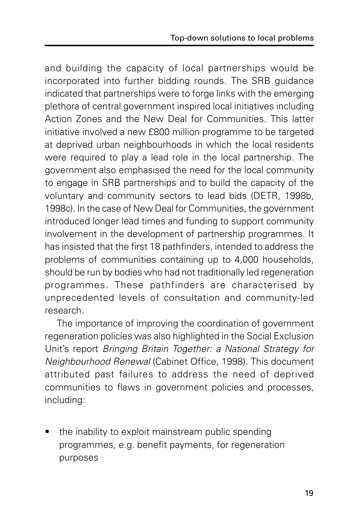and building the capacity of local partnerships would be incorporated into further bidding rounds. The SRB guidance indicated that partnerships were to forge links with the emerging plethora of central government inspired local initiatives including Action Zones and the New Deal for Communities. This latter initiative involved a new £800 million programme to be targeted at deprived urban neighbourhoods in which the local residents were required to play a lead role in the local partnership. The government also emphasised the need for the local community to engage in SRB partnerships and to build the capacity of the voluntary and community sectors to lead bids (DETR, 1998b, 1998c). In the case of New Deal for Communities, the government introduced longer lead times and funding to support community involvement in the development of partnership programmes. It has insisted that the first 18 pathfinders, intended to address the problems of communities containing up to 4,000 households, should be run by bodies who had not traditionally led regeneration programmes. These pathfinders are characterised by unprecedented levels of consultation and community-led research.

The importance of improving the coordination of government regeneration policies was also highlighted in the Social Exclusion Unit's report Bringing Britain Together: a National Strategy for Neighbourhood Renewal (Cabinet Office, 1998). This document attributed past failures to address the need of deprived communities to flaws in government policies and processes, including:

the inability to exploit mainstream public spending programmes, e.g. benefit payments, for regeneration purposes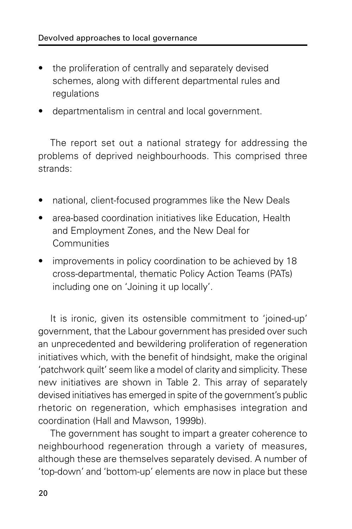- the proliferation of centrally and separately devised schemes, along with different departmental rules and regulations
- departmentalism in central and local government.

The report set out a national strategy for addressing the problems of deprived neighbourhoods. This comprised three strands:

- national, client-focused programmes like the New Deals
- area-based coordination initiatives like Education, Health and Employment Zones, and the New Deal for **Communities**
- improvements in policy coordination to be achieved by 18 cross-departmental, thematic Policy Action Teams (PATs) including one on 'Joining it up locally'.

It is ironic, given its ostensible commitment to 'joined-up' government, that the Labour government has presided over such an unprecedented and bewildering proliferation of regeneration initiatives which, with the benefit of hindsight, make the original 'patchwork quilt' seem like a model of clarity and simplicity. These new initiatives are shown in Table 2. This array of separately devised initiatives has emerged in spite of the government's public rhetoric on regeneration, which emphasises integration and coordination (Hall and Mawson, 1999b).

The government has sought to impart a greater coherence to neighbourhood regeneration through a variety of measures, although these are themselves separately devised. A number of 'top-down' and 'bottom-up' elements are now in place but these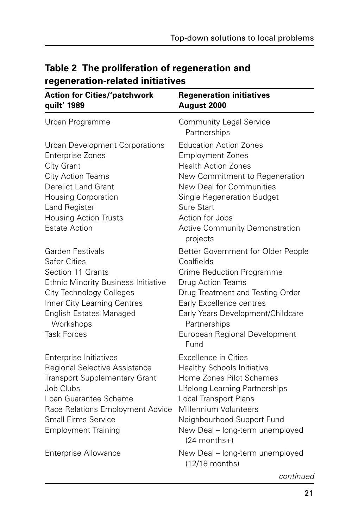| <b>Action for Cities/'patchwork</b><br>quilt' 1989                                                                                                                                                                                                       | <b>Regeneration initiatives</b><br>August 2000                                                                                                                                                                                                                           |  |  |  |  |
|----------------------------------------------------------------------------------------------------------------------------------------------------------------------------------------------------------------------------------------------------------|--------------------------------------------------------------------------------------------------------------------------------------------------------------------------------------------------------------------------------------------------------------------------|--|--|--|--|
| Urban Programme                                                                                                                                                                                                                                          | <b>Community Legal Service</b><br>Partnerships                                                                                                                                                                                                                           |  |  |  |  |
| Urban Development Corporations<br><b>Enterprise Zones</b><br>City Grant<br>City Action Teams<br><b>Derelict Land Grant</b><br><b>Housing Corporation</b><br>Land Register<br><b>Housing Action Trusts</b><br><b>Estate Action</b>                        | <b>Education Action Zones</b><br><b>Employment Zones</b><br><b>Health Action Zones</b><br>New Commitment to Regeneration<br>New Deal for Communities<br>Single Regeneration Budget<br><b>Sure Start</b><br>Action for Jobs<br>Active Community Demonstration<br>projects |  |  |  |  |
| <b>Garden Festivals</b><br><b>Safer Cities</b><br>Section 11 Grants<br><b>Ethnic Minority Business Initiative</b><br><b>City Technology Colleges</b><br>Inner City Learning Centres<br><b>English Estates Managed</b><br>Workshops<br><b>Task Forces</b> | Better Government for Older People<br>Coalfields<br>Crime Reduction Programme<br>Drug Action Teams<br>Drug Treatment and Testing Order<br>Early Excellence centres<br>Early Years Development/Childcare<br>Partnerships<br>European Regional Development<br>Fund         |  |  |  |  |
| Enterprise Initiatives<br><b>Regional Selective Assistance</b><br><b>Transport Supplementary Grant</b><br>Job Clubs<br>Loan Guarantee Scheme<br>Race Relations Employment Advice<br><b>Small Firms Service</b><br><b>Employment Training</b>             | <b>Excellence in Cities</b><br><b>Healthy Schools Initiative</b><br>Home Zones Pilot Schemes<br>Lifelong Learning Partnerships<br>Local Transport Plans<br>Millennium Volunteers<br>Neighbourhood Support Fund<br>New Deal - long-term unemployed<br>$(24$ months+)      |  |  |  |  |
| <b>Enterprise Allowance</b>                                                                                                                                                                                                                              | New Deal - long-term unemployed<br>$(12/18$ months)                                                                                                                                                                                                                      |  |  |  |  |

#### **Table 2 The proliferation of regeneration and regeneration-related initiatives**

continued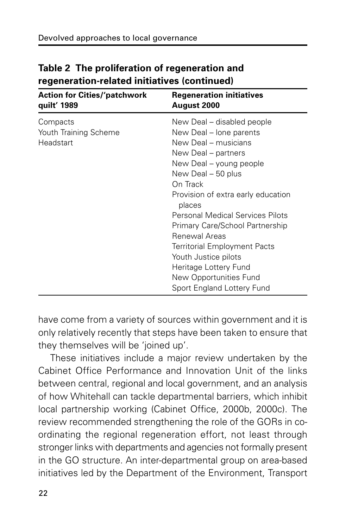| <b>Action for Cities/'patchwork</b><br>quilt' 1989 | <b>Regeneration initiatives</b><br>August 2000                                                                                                                                                                                                                                                                                                                                                                                                                   |  |  |  |
|----------------------------------------------------|------------------------------------------------------------------------------------------------------------------------------------------------------------------------------------------------------------------------------------------------------------------------------------------------------------------------------------------------------------------------------------------------------------------------------------------------------------------|--|--|--|
| Compacts<br>Youth Training Scheme<br>Headstart     | New Deal – disabled people<br>New Deal - lone parents<br>New Deal – musicians<br>New Deal – partners<br>New Deal – young people<br>New Deal - 50 plus<br>On Track<br>Provision of extra early education<br>places<br><b>Personal Medical Services Pilots</b><br>Primary Care/School Partnership<br>Renewal Areas<br><b>Territorial Employment Pacts</b><br>Youth Justice pilots<br>Heritage Lottery Fund<br>New Opportunities Fund<br>Sport England Lottery Fund |  |  |  |
|                                                    |                                                                                                                                                                                                                                                                                                                                                                                                                                                                  |  |  |  |

#### **Table 2 The proliferation of regeneration and regeneration-related initiatives (continued)**

have come from a variety of sources within government and it is only relatively recently that steps have been taken to ensure that they themselves will be 'joined up'.

These initiatives include a major review undertaken by the Cabinet Office Performance and Innovation Unit of the links between central, regional and local government, and an analysis of how Whitehall can tackle departmental barriers, which inhibit local partnership working (Cabinet Office, 2000b, 2000c). The review recommended strengthening the role of the GORs in coordinating the regional regeneration effort, not least through stronger links with departments and agencies not formally present in the GO structure. An inter-departmental group on area-based initiatives led by the Department of the Environment, Transport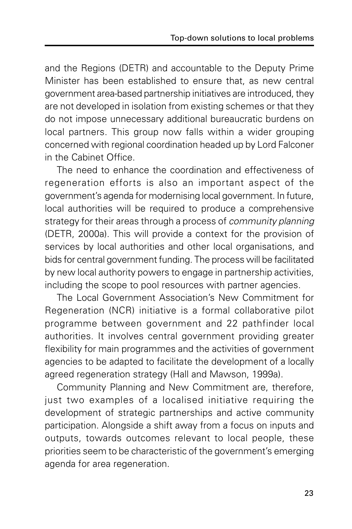and the Regions (DETR) and accountable to the Deputy Prime Minister has been established to ensure that, as new central government area-based partnership initiatives are introduced, they are not developed in isolation from existing schemes or that they do not impose unnecessary additional bureaucratic burdens on local partners. This group now falls within a wider grouping concerned with regional coordination headed up by Lord Falconer in the Cabinet Office.

The need to enhance the coordination and effectiveness of regeneration efforts is also an important aspect of the government's agenda for modernising local government. In future, local authorities will be required to produce a comprehensive strategy for their areas through a process of *community planning* (DETR, 2000a). This will provide a context for the provision of services by local authorities and other local organisations, and bids for central government funding. The process will be facilitated by new local authority powers to engage in partnership activities, including the scope to pool resources with partner agencies.

The Local Government Association's New Commitment for Regeneration (NCR) initiative is a formal collaborative pilot programme between government and 22 pathfinder local authorities. It involves central government providing greater flexibility for main programmes and the activities of government agencies to be adapted to facilitate the development of a locally agreed regeneration strategy (Hall and Mawson, 1999a).

Community Planning and New Commitment are, therefore, just two examples of a localised initiative requiring the development of strategic partnerships and active community participation. Alongside a shift away from a focus on inputs and outputs, towards outcomes relevant to local people, these priorities seem to be characteristic of the government's emerging agenda for area regeneration.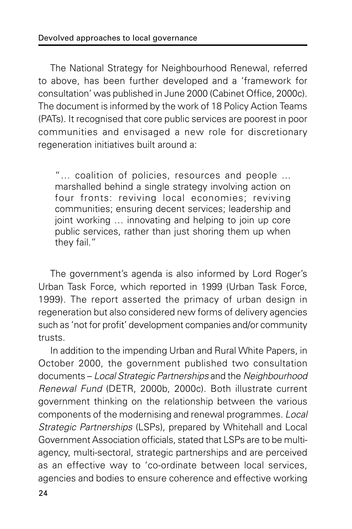The National Strategy for Neighbourhood Renewal, referred to above, has been further developed and a 'framework for consultation' was published in June 2000 (Cabinet Office, 2000c). The document is informed by the work of 18 Policy Action Teams (PATs). It recognised that core public services are poorest in poor communities and envisaged a new role for discretionary regeneration initiatives built around a:

"… coalition of policies, resources and people ... marshalled behind a single strategy involving action on four fronts: reviving local economies; reviving communities; ensuring decent services; leadership and joint working … innovating and helping to join up core public services, rather than just shoring them up when they fail."

The government's agenda is also informed by Lord Roger's Urban Task Force, which reported in 1999 (Urban Task Force, 1999). The report asserted the primacy of urban design in regeneration but also considered new forms of delivery agencies such as 'not for profit' development companies and/or community trusts.

In addition to the impending Urban and Rural White Papers, in October 2000, the government published two consultation documents – Local Strategic Partnerships and the Neighbourhood Renewal Fund (DETR, 2000b, 2000c). Both illustrate current government thinking on the relationship between the various components of the modernising and renewal programmes. Local Strategic Partnerships (LSPs), prepared by Whitehall and Local Government Association officials, stated that LSPs are to be multiagency, multi-sectoral, strategic partnerships and are perceived as an effective way to 'co-ordinate between local services, agencies and bodies to ensure coherence and effective working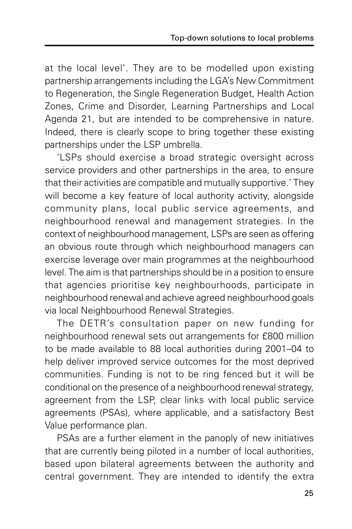at the local level'. They are to be modelled upon existing partnership arrangements including the LGA's New Commitment to Regeneration, the Single Regeneration Budget, Health Action Zones, Crime and Disorder, Learning Partnerships and Local Agenda 21, but are intended to be comprehensive in nature. Indeed, there is clearly scope to bring together these existing partnerships under the LSP umbrella.

'LSPs should exercise a broad strategic oversight across service providers and other partnerships in the area, to ensure that their activities are compatible and mutually supportive.' They will become a key feature of local authority activity, alongside community plans, local public service agreements, and neighbourhood renewal and management strategies. In the context of neighbourhood management, LSPs are seen as offering an obvious route through which neighbourhood managers can exercise leverage over main programmes at the neighbourhood level. The aim is that partnerships should be in a position to ensure that agencies prioritise key neighbourhoods, participate in neighbourhood renewal and achieve agreed neighbourhood goals via local Neighbourhood Renewal Strategies.

The DETR's consultation paper on new funding for neighbourhood renewal sets out arrangements for £800 million to be made available to 88 local authorities during 2001–04 to help deliver improved service outcomes for the most deprived communities. Funding is not to be ring fenced but it will be conditional on the presence of a neighbourhood renewal strategy, agreement from the LSP, clear links with local public service agreements (PSAs), where applicable, and a satisfactory Best Value performance plan.

PSAs are a further element in the panoply of new initiatives that are currently being piloted in a number of local authorities, based upon bilateral agreements between the authority and central government. They are intended to identify the extra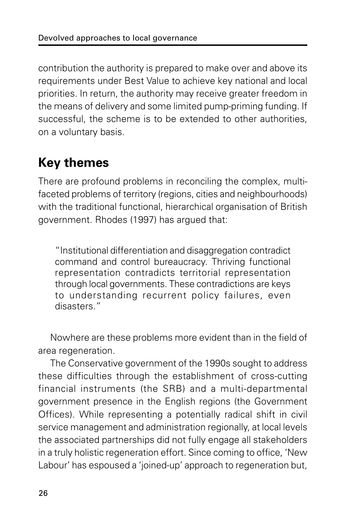contribution the authority is prepared to make over and above its requirements under Best Value to achieve key national and local priorities. In return, the authority may receive greater freedom in the means of delivery and some limited pump-priming funding. If successful, the scheme is to be extended to other authorities, on a voluntary basis.

### **Key themes**

There are profound problems in reconciling the complex, multifaceted problems of territory (regions, cities and neighbourhoods) with the traditional functional, hierarchical organisation of British government. Rhodes (1997) has argued that:

"Institutional differentiation and disaggregation contradict command and control bureaucracy. Thriving functional representation contradicts territorial representation through local governments. These contradictions are keys to understanding recurrent policy failures, even disasters."

Nowhere are these problems more evident than in the field of area regeneration.

The Conservative government of the 1990s sought to address these difficulties through the establishment of cross-cutting financial instruments (the SRB) and a multi-departmental government presence in the English regions (the Government Offices). While representing a potentially radical shift in civil service management and administration regionally, at local levels the associated partnerships did not fully engage all stakeholders in a truly holistic regeneration effort. Since coming to office, 'New Labour' has espoused a 'joined-up' approach to regeneration but,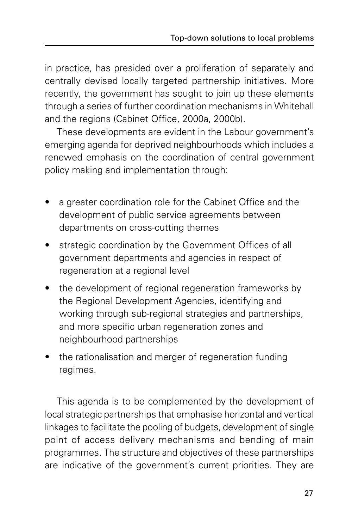in practice, has presided over a proliferation of separately and centrally devised locally targeted partnership initiatives. More recently, the government has sought to join up these elements through a series of further coordination mechanisms in Whitehall and the regions (Cabinet Office, 2000a, 2000b).

These developments are evident in the Labour government's emerging agenda for deprived neighbourhoods which includes a renewed emphasis on the coordination of central government policy making and implementation through:

- a greater coordination role for the Cabinet Office and the development of public service agreements between departments on cross-cutting themes
- strategic coordination by the Government Offices of all government departments and agencies in respect of regeneration at a regional level
- the development of regional regeneration frameworks by the Regional Development Agencies, identifying and working through sub-regional strategies and partnerships, and more specific urban regeneration zones and neighbourhood partnerships
- the rationalisation and merger of regeneration funding regimes.

This agenda is to be complemented by the development of local strategic partnerships that emphasise horizontal and vertical linkages to facilitate the pooling of budgets, development of single point of access delivery mechanisms and bending of main programmes. The structure and objectives of these partnerships are indicative of the government's current priorities. They are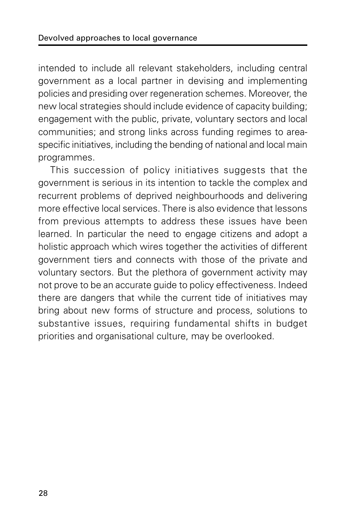intended to include all relevant stakeholders, including central government as a local partner in devising and implementing policies and presiding over regeneration schemes. Moreover, the new local strategies should include evidence of capacity building; engagement with the public, private, voluntary sectors and local communities; and strong links across funding regimes to areaspecific initiatives, including the bending of national and local main programmes.

This succession of policy initiatives suggests that the government is serious in its intention to tackle the complex and recurrent problems of deprived neighbourhoods and delivering more effective local services. There is also evidence that lessons from previous attempts to address these issues have been learned. In particular the need to engage citizens and adopt a holistic approach which wires together the activities of different government tiers and connects with those of the private and voluntary sectors. But the plethora of government activity may not prove to be an accurate guide to policy effectiveness. Indeed there are dangers that while the current tide of initiatives may bring about new forms of structure and process, solutions to substantive issues, requiring fundamental shifts in budget priorities and organisational culture, may be overlooked.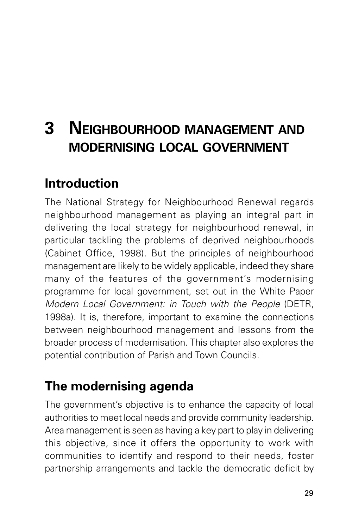# **3 NEIGHBOURHOOD MANAGEMENT AND MODERNISING LOCAL GOVERNMENT**

### **Introduction**

The National Strategy for Neighbourhood Renewal regards neighbourhood management as playing an integral part in delivering the local strategy for neighbourhood renewal, in particular tackling the problems of deprived neighbourhoods (Cabinet Office, 1998). But the principles of neighbourhood management are likely to be widely applicable, indeed they share many of the features of the government's modernising programme for local government, set out in the White Paper Modern Local Government: in Touch with the People (DETR, 1998a). It is, therefore, important to examine the connections between neighbourhood management and lessons from the broader process of modernisation. This chapter also explores the potential contribution of Parish and Town Councils.

## **The modernising agenda**

The government's objective is to enhance the capacity of local authorities to meet local needs and provide community leadership. Area management is seen as having a key part to play in delivering this objective, since it offers the opportunity to work with communities to identify and respond to their needs, foster partnership arrangements and tackle the democratic deficit by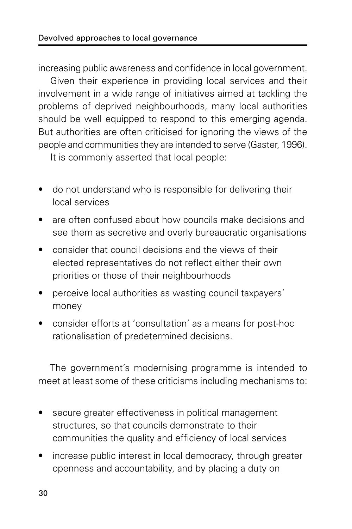increasing public awareness and confidence in local government.

Given their experience in providing local services and their involvement in a wide range of initiatives aimed at tackling the problems of deprived neighbourhoods, many local authorities should be well equipped to respond to this emerging agenda. But authorities are often criticised for ignoring the views of the people and communities they are intended to serve (Gaster, 1996).

It is commonly asserted that local people:

- do not understand who is responsible for delivering their local services
- are often confused about how councils make decisions and see them as secretive and overly bureaucratic organisations
- consider that council decisions and the views of their elected representatives do not reflect either their own priorities or those of their neighbourhoods
- perceive local authorities as wasting council taxpayers' money
- consider efforts at 'consultation' as a means for post-hoc rationalisation of predetermined decisions.

The government's modernising programme is intended to meet at least some of these criticisms including mechanisms to:

- secure greater effectiveness in political management structures, so that councils demonstrate to their communities the quality and efficiency of local services
- increase public interest in local democracy, through greater openness and accountability, and by placing a duty on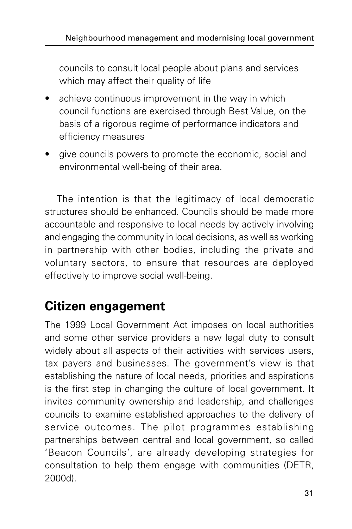councils to consult local people about plans and services which may affect their quality of life

- achieve continuous improvement in the way in which council functions are exercised through Best Value, on the basis of a rigorous regime of performance indicators and efficiency measures
- give councils powers to promote the economic, social and environmental well-being of their area.

The intention is that the legitimacy of local democratic structures should be enhanced. Councils should be made more accountable and responsive to local needs by actively involving and engaging the community in local decisions, as well as working in partnership with other bodies, including the private and voluntary sectors, to ensure that resources are deployed effectively to improve social well-being.

### **Citizen engagement**

The 1999 Local Government Act imposes on local authorities and some other service providers a new legal duty to consult widely about all aspects of their activities with services users, tax payers and businesses. The government's view is that establishing the nature of local needs, priorities and aspirations is the first step in changing the culture of local government. It invites community ownership and leadership, and challenges councils to examine established approaches to the delivery of service outcomes. The pilot programmes establishing partnerships between central and local government, so called 'Beacon Councils', are already developing strategies for consultation to help them engage with communities (DETR, 2000d).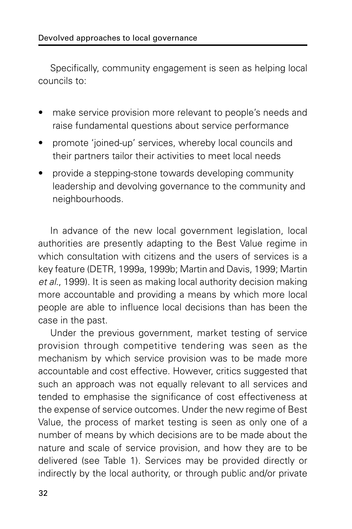Specifically, community engagement is seen as helping local councils to:

- make service provision more relevant to people's needs and raise fundamental questions about service performance
- promote 'joined-up' services, whereby local councils and their partners tailor their activities to meet local needs
- provide a stepping-stone towards developing community leadership and devolving governance to the community and neighbourhoods.

In advance of the new local government legislation, local authorities are presently adapting to the Best Value regime in which consultation with citizens and the users of services is a key feature (DETR, 1999a, 1999b; Martin and Davis, 1999; Martin et al., 1999). It is seen as making local authority decision making more accountable and providing a means by which more local people are able to influence local decisions than has been the case in the past.

Under the previous government, market testing of service provision through competitive tendering was seen as the mechanism by which service provision was to be made more accountable and cost effective. However, critics suggested that such an approach was not equally relevant to all services and tended to emphasise the significance of cost effectiveness at the expense of service outcomes. Under the new regime of Best Value, the process of market testing is seen as only one of a number of means by which decisions are to be made about the nature and scale of service provision, and how they are to be delivered (see Table 1). Services may be provided directly or indirectly by the local authority, or through public and/or private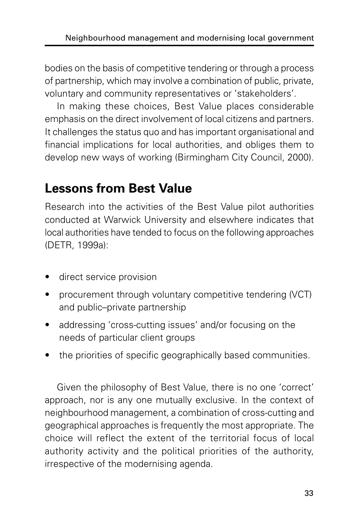bodies on the basis of competitive tendering or through a process of partnership, which may involve a combination of public, private, voluntary and community representatives or 'stakeholders'.

In making these choices, Best Value places considerable emphasis on the direct involvement of local citizens and partners. It challenges the status quo and has important organisational and financial implications for local authorities, and obliges them to develop new ways of working (Birmingham City Council, 2000).

### **Lessons from Best Value**

Research into the activities of the Best Value pilot authorities conducted at Warwick University and elsewhere indicates that local authorities have tended to focus on the following approaches (DETR, 1999a):

- direct service provision
- procurement through voluntary competitive tendering (VCT) and public–private partnership
- addressing 'cross-cutting issues' and/or focusing on the needs of particular client groups
- the priorities of specific geographically based communities.

Given the philosophy of Best Value, there is no one 'correct' approach, nor is any one mutually exclusive. In the context of neighbourhood management, a combination of cross-cutting and geographical approaches is frequently the most appropriate. The choice will reflect the extent of the territorial focus of local authority activity and the political priorities of the authority, irrespective of the modernising agenda.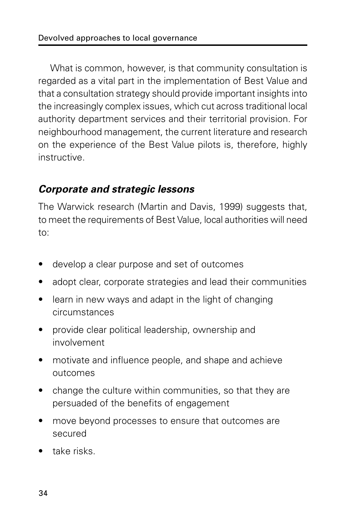What is common, however, is that community consultation is regarded as a vital part in the implementation of Best Value and that a consultation strategy should provide important insights into the increasingly complex issues, which cut across traditional local authority department services and their territorial provision. For neighbourhood management, the current literature and research on the experience of the Best Value pilots is, therefore, highly instructive.

#### **Corporate and strategic lessons**

The Warwick research (Martin and Davis, 1999) suggests that, to meet the requirements of Best Value, local authorities will need to:

- develop a clear purpose and set of outcomes
- adopt clear, corporate strategies and lead their communities
- learn in new ways and adapt in the light of changing circumstances
- provide clear political leadership, ownership and involvement
- motivate and influence people, and shape and achieve outcomes
- change the culture within communities, so that they are persuaded of the benefits of engagement
- move beyond processes to ensure that outcomes are secured
- take risks.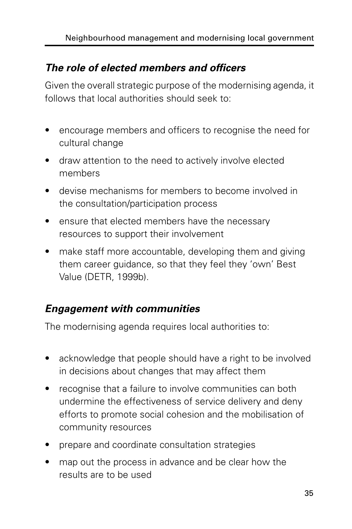#### **The role of elected members and officers**

Given the overall strategic purpose of the modernising agenda, it follows that local authorities should seek to:

- encourage members and officers to recognise the need for cultural change
- draw attention to the need to actively involve elected members
- devise mechanisms for members to become involved in the consultation/participation process
- ensure that elected members have the necessary resources to support their involvement
- make staff more accountable, developing them and giving them career guidance, so that they feel they 'own' Best Value (DETR, 1999b).

#### **Engagement with communities**

The modernising agenda requires local authorities to:

- acknowledge that people should have a right to be involved in decisions about changes that may affect them
- recognise that a failure to involve communities can both undermine the effectiveness of service delivery and deny efforts to promote social cohesion and the mobilisation of community resources
- prepare and coordinate consultation strategies
- map out the process in advance and be clear how the results are to be used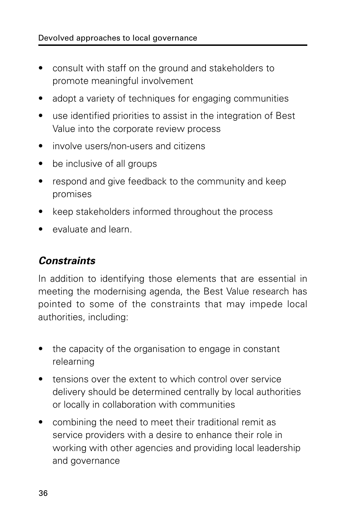- consult with staff on the ground and stakeholders to promote meaningful involvement
- adopt a variety of techniques for engaging communities
- use identified priorities to assist in the integration of Best Value into the corporate review process
- involve users/non-users and citizens
- be inclusive of all groups
- respond and give feedback to the community and keep promises
- keep stakeholders informed throughout the process
- evaluate and learn.

#### **Constraints**

In addition to identifying those elements that are essential in meeting the modernising agenda, the Best Value research has pointed to some of the constraints that may impede local authorities, including:

- the capacity of the organisation to engage in constant relearning
- tensions over the extent to which control over service delivery should be determined centrally by local authorities or locally in collaboration with communities
- combining the need to meet their traditional remit as service providers with a desire to enhance their role in working with other agencies and providing local leadership and governance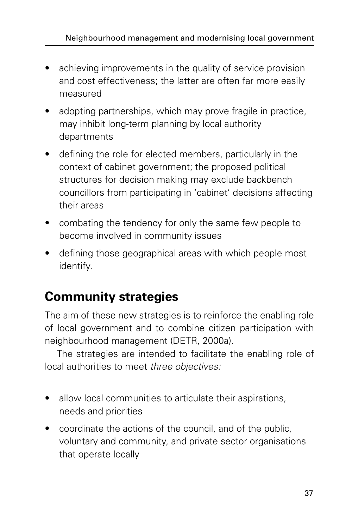- achieving improvements in the quality of service provision and cost effectiveness; the latter are often far more easily measured
- adopting partnerships, which may prove fragile in practice, may inhibit long-term planning by local authority departments
- defining the role for elected members, particularly in the context of cabinet government; the proposed political structures for decision making may exclude backbench councillors from participating in 'cabinet' decisions affecting their areas
- combating the tendency for only the same few people to become involved in community issues
- defining those geographical areas with which people most identify.

## **Community strategies**

The aim of these new strategies is to reinforce the enabling role of local government and to combine citizen participation with neighbourhood management (DETR, 2000a).

The strategies are intended to facilitate the enabling role of local authorities to meet three objectives:

- allow local communities to articulate their aspirations, needs and priorities
- coordinate the actions of the council, and of the public, voluntary and community, and private sector organisations that operate locally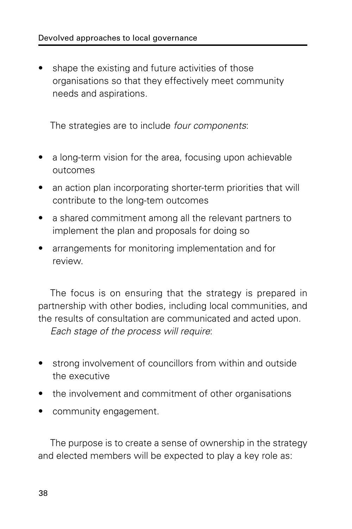• shape the existing and future activities of those organisations so that they effectively meet community needs and aspirations.

The strategies are to include four components:

- a long-term vision for the area, focusing upon achievable outcomes
- an action plan incorporating shorter-term priorities that will contribute to the long-tem outcomes
- a shared commitment among all the relevant partners to implement the plan and proposals for doing so
- arrangements for monitoring implementation and for review.

The focus is on ensuring that the strategy is prepared in partnership with other bodies, including local communities, and the results of consultation are communicated and acted upon. Each stage of the process will require:

- strong involvement of councillors from within and outside the executive
- the involvement and commitment of other organisations
- community engagement.

The purpose is to create a sense of ownership in the strategy and elected members will be expected to play a key role as: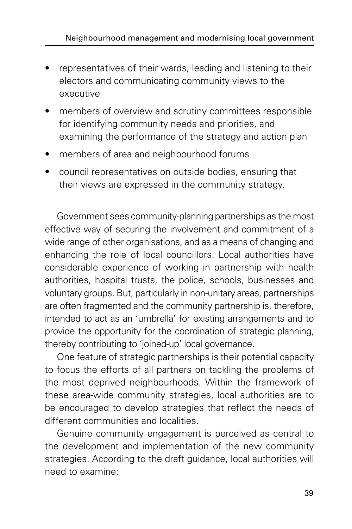- representatives of their wards, leading and listening to their electors and communicating community views to the executive
- members of overview and scrutiny committees responsible for identifying community needs and priorities, and examining the performance of the strategy and action plan
- members of area and neighbourhood forums
- council representatives on outside bodies, ensuring that their views are expressed in the community strategy.

Government sees community-planning partnerships as the most effective way of securing the involvement and commitment of a wide range of other organisations, and as a means of changing and enhancing the role of local councillors. Local authorities have considerable experience of working in partnership with health authorities, hospital trusts, the police, schools, businesses and voluntary groups. But, particularly in non-unitary areas, partnerships are often fragmented and the community partnership is, therefore, intended to act as an 'umbrella' for existing arrangements and to provide the opportunity for the coordination of strategic planning, thereby contributing to 'joined-up' local governance.

One feature of strategic partnerships is their potential capacity to focus the efforts of all partners on tackling the problems of the most deprived neighbourhoods. Within the framework of these area-wide community strategies, local authorities are to be encouraged to develop strategies that reflect the needs of different communities and localities.

Genuine community engagement is perceived as central to the development and implementation of the new community strategies. According to the draft guidance, local authorities will need to examine: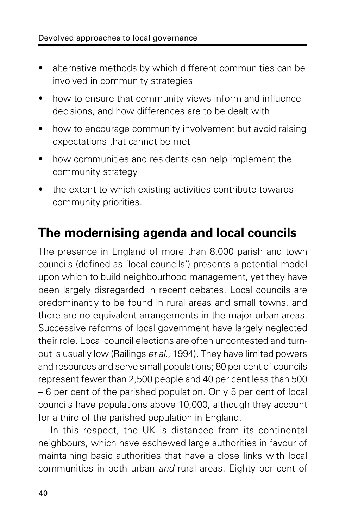- alternative methods by which different communities can be involved in community strategies
- how to ensure that community views inform and influence decisions, and how differences are to be dealt with
- how to encourage community involvement but avoid raising expectations that cannot be met
- how communities and residents can help implement the community strategy
- the extent to which existing activities contribute towards community priorities.

### **The modernising agenda and local councils**

The presence in England of more than 8,000 parish and town councils (defined as 'local councils') presents a potential model upon which to build neighbourhood management, yet they have been largely disregarded in recent debates. Local councils are predominantly to be found in rural areas and small towns, and there are no equivalent arrangements in the major urban areas. Successive reforms of local government have largely neglected their role. Local council elections are often uncontested and turnout is usually low (Railings et al., 1994). They have limited powers and resources and serve small populations; 80 per cent of councils represent fewer than 2,500 people and 40 per cent less than 500 – 6 per cent of the parished population. Only 5 per cent of local councils have populations above 10,000, although they account for a third of the parished population in England.

In this respect, the UK is distanced from its continental neighbours, which have eschewed large authorities in favour of maintaining basic authorities that have a close links with local communities in both urban and rural areas. Eighty per cent of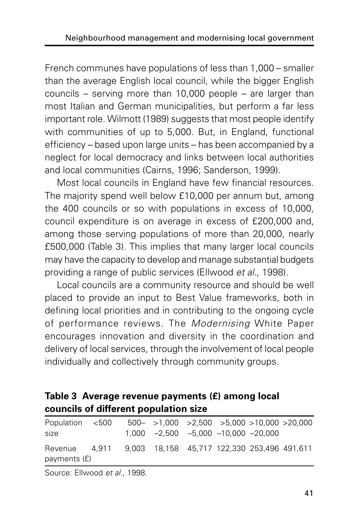French communes have populations of less than 1,000 – smaller than the average English local council, while the bigger English councils – serving more than 10,000 people – are larger than most Italian and German municipalities, but perform a far less important role. Wilmott (1989) suggests that most people identify with communities of up to 5,000. But, in England, functional efficiency – based upon large units – has been accompanied by a neglect for local democracy and links between local authorities and local communities (Cairns, 1996; Sanderson, 1999).

Most local councils in England have few financial resources. The majority spend well below £10,000 per annum but, among the 400 councils or so with populations in excess of 10,000, council expenditure is on average in excess of £200,000 and, among those serving populations of more than 20,000, nearly £500,000 (Table 3). This implies that many larger local councils may have the capacity to develop and manage substantial budgets providing a range of public services (Ellwood et al., 1998).

Local councils are a community resource and should be well placed to provide an input to Best Value frameworks, both in defining local priorities and in contributing to the ongoing cycle of performance reviews. The Modernising White Paper encourages innovation and diversity in the coordination and delivery of local services, through the involvement of local people individually and collectively through community groups.

#### **Table 3 Average revenue payments (£) among local councils of different population size**

| Population <500<br>size                                                   |  |  | $500 - 1,000 > 2,500 > 5,000 > 10,000 > 20,000$<br>$1,000$ $-2,500$ $-5,000$ $-10,000$ $-20,000$ |  |
|---------------------------------------------------------------------------|--|--|--------------------------------------------------------------------------------------------------|--|
| Revenue 4,911 9,003 18,158 45,717 122,330 253,496 491,611<br>payments (f) |  |  |                                                                                                  |  |

Source: Ellwood et al., 1998.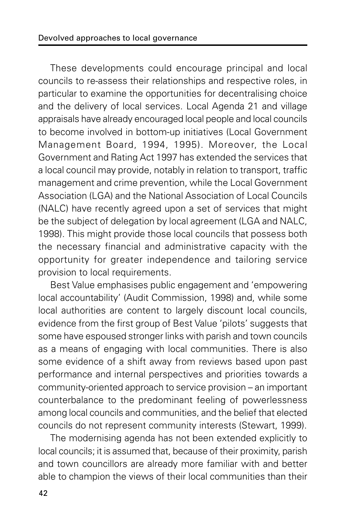These developments could encourage principal and local councils to re-assess their relationships and respective roles, in particular to examine the opportunities for decentralising choice and the delivery of local services. Local Agenda 21 and village appraisals have already encouraged local people and local councils to become involved in bottom-up initiatives (Local Government Management Board, 1994, 1995). Moreover, the Local Government and Rating Act 1997 has extended the services that a local council may provide, notably in relation to transport, traffic management and crime prevention, while the Local Government Association (LGA) and the National Association of Local Councils (NALC) have recently agreed upon a set of services that might be the subject of delegation by local agreement (LGA and NALC, 1998). This might provide those local councils that possess both the necessary financial and administrative capacity with the opportunity for greater independence and tailoring service provision to local requirements.

Best Value emphasises public engagement and 'empowering local accountability' (Audit Commission, 1998) and, while some local authorities are content to largely discount local councils, evidence from the first group of Best Value 'pilots' suggests that some have espoused stronger links with parish and town councils as a means of engaging with local communities. There is also some evidence of a shift away from reviews based upon past performance and internal perspectives and priorities towards a community-oriented approach to service provision – an important counterbalance to the predominant feeling of powerlessness among local councils and communities, and the belief that elected councils do not represent community interests (Stewart, 1999).

The modernising agenda has not been extended explicitly to local councils; it is assumed that, because of their proximity, parish and town councillors are already more familiar with and better able to champion the views of their local communities than their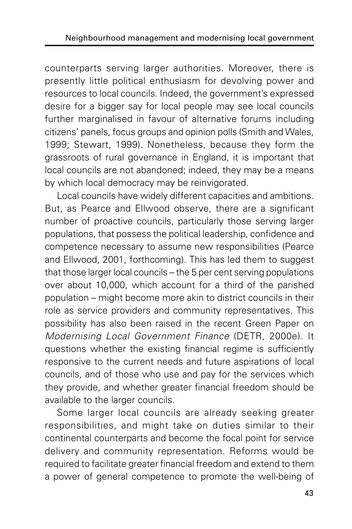counterparts serving larger authorities. Moreover, there is presently little political enthusiasm for devolving power and resources to local councils. Indeed, the government's expressed desire for a bigger say for local people may see local councils further marginalised in favour of alternative forums including citizens' panels, focus groups and opinion polls (Smith and Wales, 1999; Stewart, 1999). Nonetheless, because they form the grassroots of rural governance in England, it is important that local councils are not abandoned; indeed, they may be a means by which local democracy may be reinvigorated.

Local councils have widely different capacities and ambitions. But, as Pearce and Ellwood observe, there are a significant number of proactive councils, particularly those serving larger populations, that possess the political leadership, confidence and competence necessary to assume new responsibilities (Pearce and Ellwood, 2001, forthcoming). This has led them to suggest that those larger local councils – the 5 per cent serving populations over about 10,000, which account for a third of the parished population – might become more akin to district councils in their role as service providers and community representatives. This possibility has also been raised in the recent Green Paper on Modernising Local Government Finance (DETR, 2000e). It questions whether the existing financial regime is sufficiently responsive to the current needs and future aspirations of local councils, and of those who use and pay for the services which they provide, and whether greater financial freedom should be available to the larger councils.

Some larger local councils are already seeking greater responsibilities, and might take on duties similar to their continental counterparts and become the focal point for service delivery and community representation. Reforms would be required to facilitate greater financial freedom and extend to them a power of general competence to promote the well-being of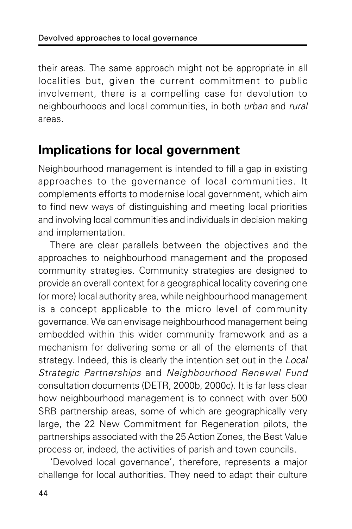their areas. The same approach might not be appropriate in all localities but, given the current commitment to public involvement, there is a compelling case for devolution to neighbourhoods and local communities, in both urban and rural areas.

### **Implications for local government**

Neighbourhood management is intended to fill a gap in existing approaches to the governance of local communities. It complements efforts to modernise local government, which aim to find new ways of distinguishing and meeting local priorities and involving local communities and individuals in decision making and implementation.

There are clear parallels between the objectives and the approaches to neighbourhood management and the proposed community strategies. Community strategies are designed to provide an overall context for a geographical locality covering one (or more) local authority area, while neighbourhood management is a concept applicable to the micro level of community governance. We can envisage neighbourhood management being embedded within this wider community framework and as a mechanism for delivering some or all of the elements of that strategy. Indeed, this is clearly the intention set out in the Local Strategic Partnerships and Neighbourhood Renewal Fund consultation documents (DETR, 2000b, 2000c). It is far less clear how neighbourhood management is to connect with over 500 SRB partnership areas, some of which are geographically very large, the 22 New Commitment for Regeneration pilots, the partnerships associated with the 25 Action Zones, the Best Value process or, indeed, the activities of parish and town councils.

'Devolved local governance', therefore, represents a major challenge for local authorities. They need to adapt their culture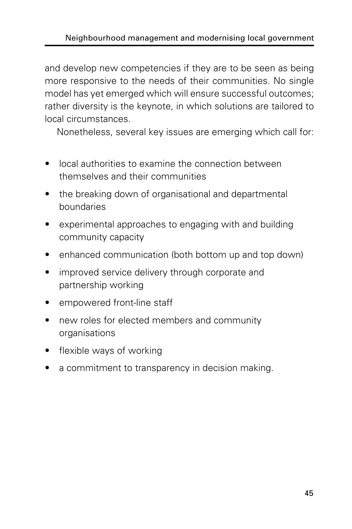and develop new competencies if they are to be seen as being more responsive to the needs of their communities. No single model has yet emerged which will ensure successful outcomes; rather diversity is the keynote, in which solutions are tailored to local circumstances.

Nonetheless, several key issues are emerging which call for:

- local authorities to examine the connection between themselves and their communities
- the breaking down of organisational and departmental boundaries
- experimental approaches to engaging with and building community capacity
- enhanced communication (both bottom up and top down)
- improved service delivery through corporate and partnership working
- empowered front-line staff
- new roles for elected members and community organisations
- flexible ways of working
- a commitment to transparency in decision making.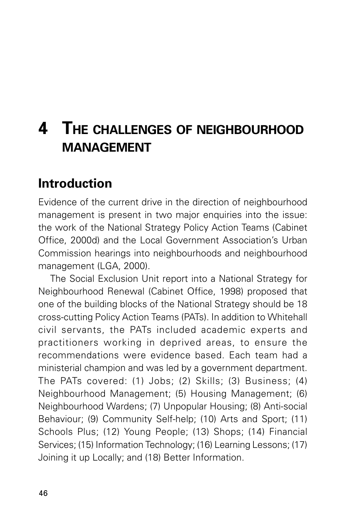# **4 THE CHALLENGES OF NEIGHBOURHOOD MANAGEMENT**

### **Introduction**

Evidence of the current drive in the direction of neighbourhood management is present in two major enquiries into the issue: the work of the National Strategy Policy Action Teams (Cabinet Office, 2000d) and the Local Government Association's Urban Commission hearings into neighbourhoods and neighbourhood management (LGA, 2000).

The Social Exclusion Unit report into a National Strategy for Neighbourhood Renewal (Cabinet Office, 1998) proposed that one of the building blocks of the National Strategy should be 18 cross-cutting Policy Action Teams (PATs). In addition to Whitehall civil servants, the PATs included academic experts and practitioners working in deprived areas, to ensure the recommendations were evidence based. Each team had a ministerial champion and was led by a government department. The PATs covered: (1) Jobs; (2) Skills; (3) Business; (4) Neighbourhood Management; (5) Housing Management; (6) Neighbourhood Wardens; (7) Unpopular Housing; (8) Anti-social Behaviour; (9) Community Self-help; (10) Arts and Sport; (11) Schools Plus; (12) Young People; (13) Shops; (14) Financial Services; (15) Information Technology; (16) Learning Lessons; (17) Joining it up Locally; and (18) Better Information.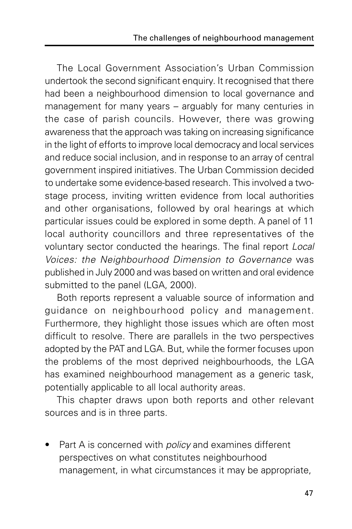The Local Government Association's Urban Commission undertook the second significant enquiry. It recognised that there had been a neighbourhood dimension to local governance and management for many years – arguably for many centuries in the case of parish councils. However, there was growing awareness that the approach was taking on increasing significance in the light of efforts to improve local democracy and local services and reduce social inclusion, and in response to an array of central government inspired initiatives. The Urban Commission decided to undertake some evidence-based research. This involved a twostage process, inviting written evidence from local authorities and other organisations, followed by oral hearings at which particular issues could be explored in some depth. A panel of 11 local authority councillors and three representatives of the voluntary sector conducted the hearings. The final report Local Voices: the Neighbourhood Dimension to Governance was published in July 2000 and was based on written and oral evidence submitted to the panel (LGA, 2000).

Both reports represent a valuable source of information and guidance on neighbourhood policy and management. Furthermore, they highlight those issues which are often most difficult to resolve. There are parallels in the two perspectives adopted by the PAT and LGA. But, while the former focuses upon the problems of the most deprived neighbourhoods, the LGA has examined neighbourhood management as a generic task, potentially applicable to all local authority areas.

This chapter draws upon both reports and other relevant sources and is in three parts.

Part A is concerned with *policy* and examines different perspectives on what constitutes neighbourhood management, in what circumstances it may be appropriate,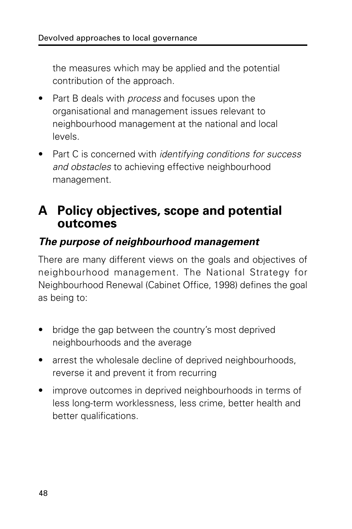the measures which may be applied and the potential contribution of the approach.

- Part B deals with *process* and focuses upon the organisational and management issues relevant to neighbourhood management at the national and local levels.
- Part C is concerned with *identifying conditions for success* and obstacles to achieving effective neighbourhood management.

### **A Policy objectives, scope and potential outcomes**

#### **The purpose of neighbourhood management**

There are many different views on the goals and objectives of neighbourhood management. The National Strategy for Neighbourhood Renewal (Cabinet Office, 1998) defines the goal as being to:

- bridge the gap between the country's most deprived neighbourhoods and the average
- arrest the wholesale decline of deprived neighbourhoods, reverse it and prevent it from recurring
- improve outcomes in deprived neighbourhoods in terms of less long-term worklessness, less crime, better health and better qualifications.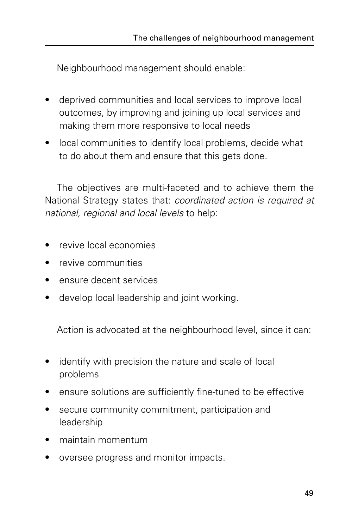Neighbourhood management should enable:

- deprived communities and local services to improve local outcomes, by improving and joining up local services and making them more responsive to local needs
- local communities to identify local problems, decide what to do about them and ensure that this gets done.

The objectives are multi-faceted and to achieve them the National Strategy states that: coordinated action is required at national, regional and local levels to help:

- revive local economies
- revive communities
- ensure decent services
- develop local leadership and joint working.

Action is advocated at the neighbourhood level, since it can:

- identify with precision the nature and scale of local problems
- ensure solutions are sufficiently fine-tuned to be effective
- secure community commitment, participation and leadership
- maintain momentum
- oversee progress and monitor impacts.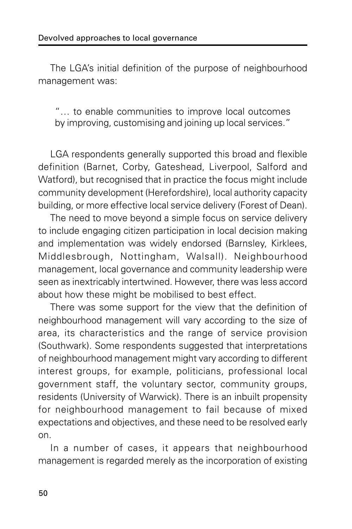The LGA's initial definition of the purpose of neighbourhood management was:

"… to enable communities to improve local outcomes by improving, customising and joining up local services."

LGA respondents generally supported this broad and flexible definition (Barnet, Corby, Gateshead, Liverpool, Salford and Watford), but recognised that in practice the focus might include community development (Herefordshire), local authority capacity building, or more effective local service delivery (Forest of Dean).

The need to move beyond a simple focus on service delivery to include engaging citizen participation in local decision making and implementation was widely endorsed (Barnsley, Kirklees, Middlesbrough, Nottingham, Walsall). Neighbourhood management, local governance and community leadership were seen as inextricably intertwined. However, there was less accord about how these might be mobilised to best effect.

There was some support for the view that the definition of neighbourhood management will vary according to the size of area, its characteristics and the range of service provision (Southwark). Some respondents suggested that interpretations of neighbourhood management might vary according to different interest groups, for example, politicians, professional local government staff, the voluntary sector, community groups, residents (University of Warwick). There is an inbuilt propensity for neighbourhood management to fail because of mixed expectations and objectives, and these need to be resolved early on.

In a number of cases, it appears that neighbourhood management is regarded merely as the incorporation of existing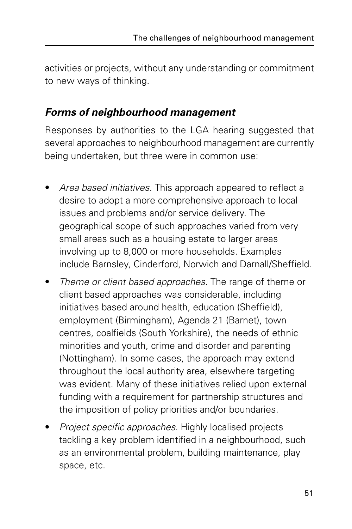activities or projects, without any understanding or commitment to new ways of thinking.

#### **Forms of neighbourhood management**

Responses by authorities to the LGA hearing suggested that several approaches to neighbourhood management are currently being undertaken, but three were in common use:

- Area based initiatives. This approach appeared to reflect a desire to adopt a more comprehensive approach to local issues and problems and/or service delivery. The geographical scope of such approaches varied from very small areas such as a housing estate to larger areas involving up to 8,000 or more households. Examples include Barnsley, Cinderford, Norwich and Darnall/Sheffield.
- Theme or client based approaches. The range of theme or client based approaches was considerable, including initiatives based around health, education (Sheffield), employment (Birmingham), Agenda 21 (Barnet), town centres, coalfields (South Yorkshire), the needs of ethnic minorities and youth, crime and disorder and parenting (Nottingham). In some cases, the approach may extend throughout the local authority area, elsewhere targeting was evident. Many of these initiatives relied upon external funding with a requirement for partnership structures and the imposition of policy priorities and/or boundaries.
- Project specific approaches. Highly localised projects tackling a key problem identified in a neighbourhood, such as an environmental problem, building maintenance, play space, etc.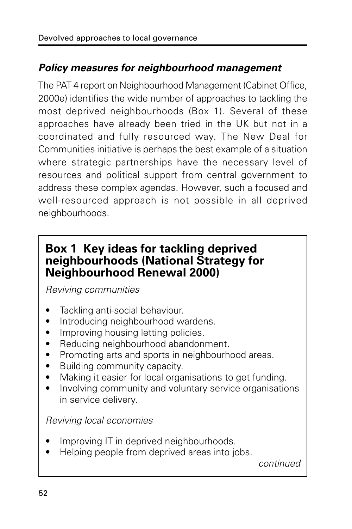## **Policy measures for neighbourhood management**

The PAT 4 report on Neighbourhood Management (Cabinet Office, 2000e) identifies the wide number of approaches to tackling the most deprived neighbourhoods (Box 1). Several of these approaches have already been tried in the UK but not in a coordinated and fully resourced way. The New Deal for Communities initiative is perhaps the best example of a situation where strategic partnerships have the necessary level of resources and political support from central government to address these complex agendas. However, such a focused and well-resourced approach is not possible in all deprived neighbourhoods.

## **Box 1 Key ideas for tackling deprived neighbourhoods (National Strategy for Neighbourhood Renewal 2000)**

Reviving communities

- Tackling anti-social behaviour.
- Introducing neighbourhood wardens.
- Improving housing letting policies.
- Reducing neighbourhood abandonment.
- Promoting arts and sports in neighbourhood areas.
- Building community capacity.
- Making it easier for local organisations to get funding.
- Involving community and voluntary service organisations in service delivery.

Reviving local economies

- Improving IT in deprived neighbourhoods.
- Helping people from deprived areas into jobs.

continued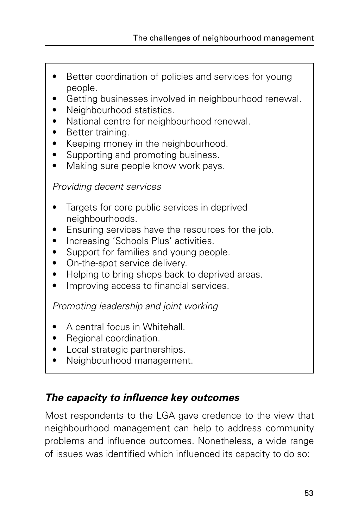- Better coordination of policies and services for young people.
- Getting businesses involved in neighbourhood renewal.
- Neighbourhood statistics.
- National centre for neighbourhood renewal.
- Better training.
- Keeping money in the neighbourhood.
- Supporting and promoting business.
- Making sure people know work pays.

Providing decent services

- Targets for core public services in deprived neighbourhoods.
- Ensuring services have the resources for the job.
- Increasing 'Schools Plus' activities.
- Support for families and young people.
- On-the-spot service delivery.
- Helping to bring shops back to deprived areas.
- Improving access to financial services.

Promoting leadership and joint working

- A central focus in Whitehall.
- Regional coordination.
- Local strategic partnerships.
- Neighbourhood management.

## **The capacity to influence key outcomes**

Most respondents to the LGA gave credence to the view that neighbourhood management can help to address community problems and influence outcomes. Nonetheless, a wide range of issues was identified which influenced its capacity to do so: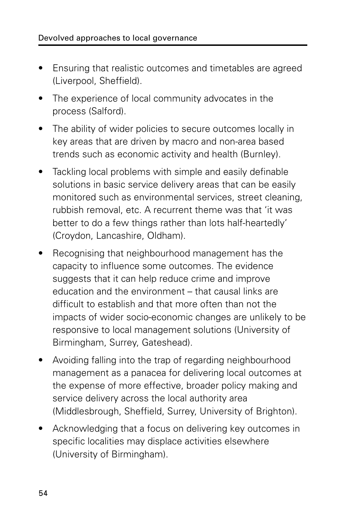- Ensuring that realistic outcomes and timetables are agreed (Liverpool, Sheffield).
- The experience of local community advocates in the process (Salford).
- The ability of wider policies to secure outcomes locally in key areas that are driven by macro and non-area based trends such as economic activity and health (Burnley).
- Tackling local problems with simple and easily definable solutions in basic service delivery areas that can be easily monitored such as environmental services, street cleaning, rubbish removal, etc. A recurrent theme was that 'it was better to do a few things rather than lots half-heartedly' (Croydon, Lancashire, Oldham).
- Recognising that neighbourhood management has the capacity to influence some outcomes. The evidence suggests that it can help reduce crime and improve education and the environment – that causal links are difficult to establish and that more often than not the impacts of wider socio-economic changes are unlikely to be responsive to local management solutions (University of Birmingham, Surrey, Gateshead).
- Avoiding falling into the trap of regarding neighbourhood management as a panacea for delivering local outcomes at the expense of more effective, broader policy making and service delivery across the local authority area (Middlesbrough, Sheffield, Surrey, University of Brighton).
- Acknowledging that a focus on delivering key outcomes in specific localities may displace activities elsewhere (University of Birmingham).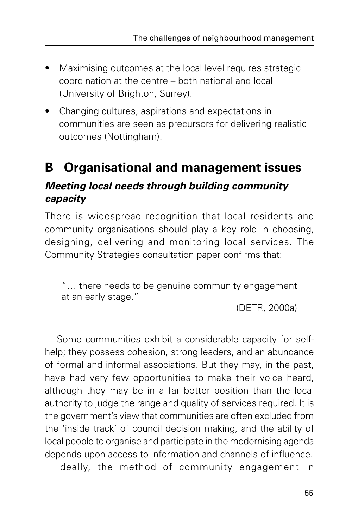- Maximising outcomes at the local level requires strategic coordination at the centre – both national and local (University of Brighton, Surrey).
- Changing cultures, aspirations and expectations in communities are seen as precursors for delivering realistic outcomes (Nottingham).

# **B Organisational and management issues Meeting local needs through building community capacity**

There is widespread recognition that local residents and community organisations should play a key role in choosing, designing, delivering and monitoring local services. The Community Strategies consultation paper confirms that:

"… there needs to be genuine community engagement at an early stage."

(DETR, 2000a)

Some communities exhibit a considerable capacity for selfhelp; they possess cohesion, strong leaders, and an abundance of formal and informal associations. But they may, in the past, have had very few opportunities to make their voice heard, although they may be in a far better position than the local authority to judge the range and quality of services required. It is the government's view that communities are often excluded from the 'inside track' of council decision making, and the ability of local people to organise and participate in the modernising agenda depends upon access to information and channels of influence.

Ideally, the method of community engagement in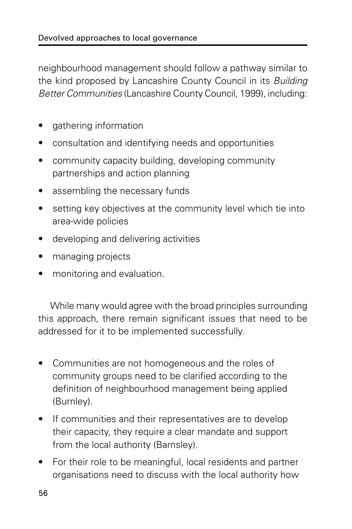neighbourhood management should follow a pathway similar to the kind proposed by Lancashire County Council in its Building Better Communities (Lancashire County Council, 1999), including:

- gathering information
- consultation and identifying needs and opportunities
- community capacity building, developing community partnerships and action planning
- assembling the necessary funds
- setting key objectives at the community level which tie into area-wide policies
- developing and delivering activities
- managing projects
- monitoring and evaluation.

While many would agree with the broad principles surrounding this approach, there remain significant issues that need to be addressed for it to be implemented successfully.

- Communities are not homogeneous and the roles of community groups need to be clarified according to the definition of neighbourhood management being applied (Burnley).
- If communities and their representatives are to develop their capacity, they require a clear mandate and support from the local authority (Barnsley).
- For their role to be meaningful, local residents and partner organisations need to discuss with the local authority how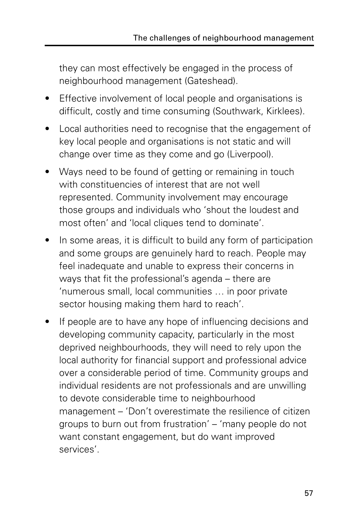they can most effectively be engaged in the process of neighbourhood management (Gateshead).

- Effective involvement of local people and organisations is difficult, costly and time consuming (Southwark, Kirklees).
- Local authorities need to recognise that the engagement of key local people and organisations is not static and will change over time as they come and go (Liverpool).
- Ways need to be found of getting or remaining in touch with constituencies of interest that are not well represented. Community involvement may encourage those groups and individuals who 'shout the loudest and most often' and 'local cliques tend to dominate'.
- In some areas, it is difficult to build any form of participation and some groups are genuinely hard to reach. People may feel inadequate and unable to express their concerns in ways that fit the professional's agenda – there are 'numerous small, local communities … in poor private sector housing making them hard to reach'.
- If people are to have any hope of influencing decisions and developing community capacity, particularly in the most deprived neighbourhoods, they will need to rely upon the local authority for financial support and professional advice over a considerable period of time. Community groups and individual residents are not professionals and are unwilling to devote considerable time to neighbourhood management – 'Don't overestimate the resilience of citizen groups to burn out from frustration' – 'many people do not want constant engagement, but do want improved services'.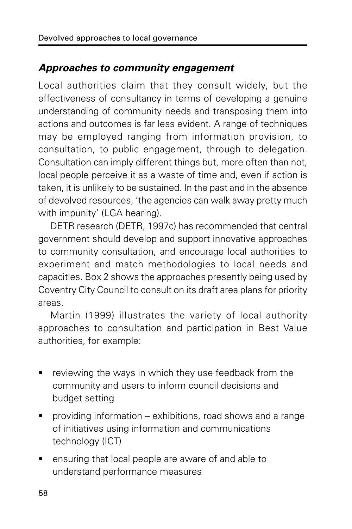## **Approaches to community engagement**

Local authorities claim that they consult widely, but the effectiveness of consultancy in terms of developing a genuine understanding of community needs and transposing them into actions and outcomes is far less evident. A range of techniques may be employed ranging from information provision, to consultation, to public engagement, through to delegation. Consultation can imply different things but, more often than not, local people perceive it as a waste of time and, even if action is taken, it is unlikely to be sustained. In the past and in the absence of devolved resources, 'the agencies can walk away pretty much with impunity' (LGA hearing).

DETR research (DETR, 1997c) has recommended that central government should develop and support innovative approaches to community consultation, and encourage local authorities to experiment and match methodologies to local needs and capacities. Box 2 shows the approaches presently being used by Coventry City Council to consult on its draft area plans for priority areas.

Martin (1999) illustrates the variety of local authority approaches to consultation and participation in Best Value authorities, for example:

- reviewing the ways in which they use feedback from the community and users to inform council decisions and budget setting
- providing information exhibitions, road shows and a range of initiatives using information and communications technology (ICT)
- ensuring that local people are aware of and able to understand performance measures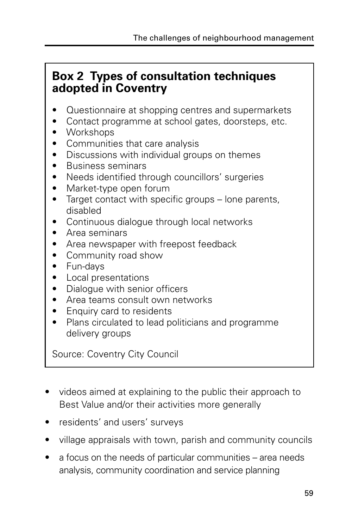## **Box 2 Types of consultation techniques adopted in Coventry**

- Questionnaire at shopping centres and supermarkets
- Contact programme at school gates, doorsteps, etc.
- Workshops
- Communities that care analysis
- Discussions with individual groups on themes
- Business seminars
- Needs identified through councillors' surgeries
- Market-type open forum
- Target contact with specific groups lone parents, disabled
- Continuous dialogue through local networks
- Area seminars
- Area newspaper with freepost feedback
- Community road show
- Fun-days
- Local presentations
- Dialogue with senior officers
- Area teams consult own networks
- Enquiry card to residents
- Plans circulated to lead politicians and programme delivery groups

Source: Coventry City Council

- videos aimed at explaining to the public their approach to Best Value and/or their activities more generally
- residents' and users' surveys
- village appraisals with town, parish and community councils
- a focus on the needs of particular communities area needs analysis, community coordination and service planning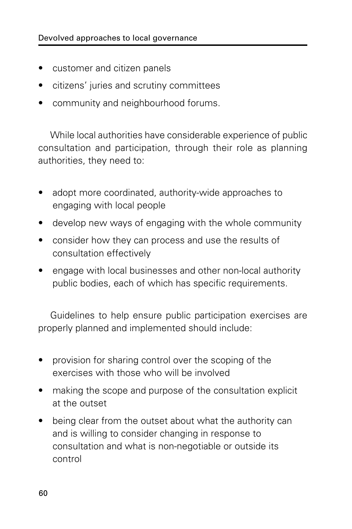- customer and citizen panels
- citizens' juries and scrutiny committees
- community and neighbourhood forums.

While local authorities have considerable experience of public consultation and participation, through their role as planning authorities, they need to:

- adopt more coordinated, authority-wide approaches to engaging with local people
- develop new ways of engaging with the whole community
- consider how they can process and use the results of consultation effectively
- engage with local businesses and other non-local authority public bodies, each of which has specific requirements.

Guidelines to help ensure public participation exercises are properly planned and implemented should include:

- provision for sharing control over the scoping of the exercises with those who will be involved
- making the scope and purpose of the consultation explicit at the outset
- being clear from the outset about what the authority can and is willing to consider changing in response to consultation and what is non-negotiable or outside its control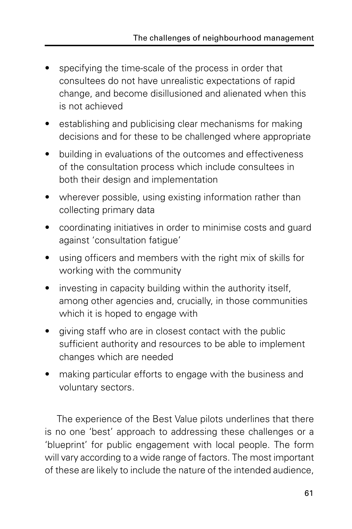- specifying the time-scale of the process in order that consultees do not have unrealistic expectations of rapid change, and become disillusioned and alienated when this is not achieved
- establishing and publicising clear mechanisms for making decisions and for these to be challenged where appropriate
- building in evaluations of the outcomes and effectiveness of the consultation process which include consultees in both their design and implementation
- wherever possible, using existing information rather than collecting primary data
- coordinating initiatives in order to minimise costs and guard against 'consultation fatigue'
- using officers and members with the right mix of skills for working with the community
- investing in capacity building within the authority itself, among other agencies and, crucially, in those communities which it is hoped to engage with
- giving staff who are in closest contact with the public sufficient authority and resources to be able to implement changes which are needed
- making particular efforts to engage with the business and voluntary sectors.

The experience of the Best Value pilots underlines that there is no one 'best' approach to addressing these challenges or a 'blueprint' for public engagement with local people. The form will vary according to a wide range of factors. The most important of these are likely to include the nature of the intended audience,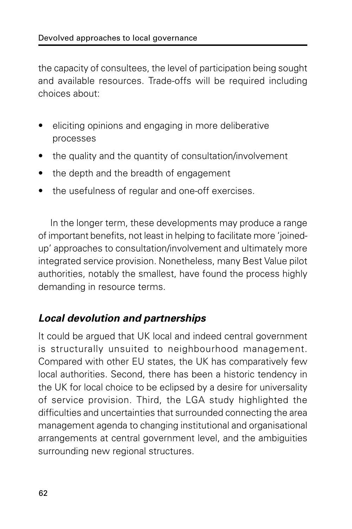the capacity of consultees, the level of participation being sought and available resources. Trade-offs will be required including choices about:

- eliciting opinions and engaging in more deliberative processes
- the quality and the quantity of consultation/involvement
- the depth and the breadth of engagement
- the usefulness of regular and one-off exercises.

In the longer term, these developments may produce a range of important benefits, not least in helping to facilitate more 'joinedup' approaches to consultation/involvement and ultimately more integrated service provision. Nonetheless, many Best Value pilot authorities, notably the smallest, have found the process highly demanding in resource terms.

## **Local devolution and partnerships**

It could be argued that UK local and indeed central government is structurally unsuited to neighbourhood management. Compared with other EU states, the UK has comparatively few local authorities. Second, there has been a historic tendency in the UK for local choice to be eclipsed by a desire for universality of service provision. Third, the LGA study highlighted the difficulties and uncertainties that surrounded connecting the area management agenda to changing institutional and organisational arrangements at central government level, and the ambiguities surrounding new regional structures.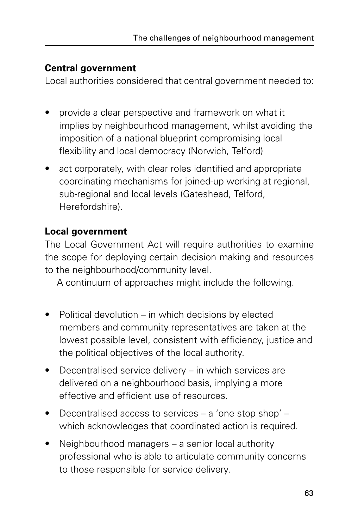#### **Central government**

Local authorities considered that central government needed to:

- provide a clear perspective and framework on what it implies by neighbourhood management, whilst avoiding the imposition of a national blueprint compromising local flexibility and local democracy (Norwich, Telford)
- act corporately, with clear roles identified and appropriate coordinating mechanisms for joined-up working at regional, sub-regional and local levels (Gateshead, Telford, Herefordshire).

#### **Local government**

The Local Government Act will require authorities to examine the scope for deploying certain decision making and resources to the neighbourhood/community level.

A continuum of approaches might include the following.

- Political devolution  $-$  in which decisions by elected members and community representatives are taken at the lowest possible level, consistent with efficiency, justice and the political objectives of the local authority.
- Decentralised service delivery in which services are delivered on a neighbourhood basis, implying a more effective and efficient use of resources.
- Decentralised access to services a 'one stop shop' which acknowledges that coordinated action is required.
- Neighbourhood managers a senior local authority professional who is able to articulate community concerns to those responsible for service delivery.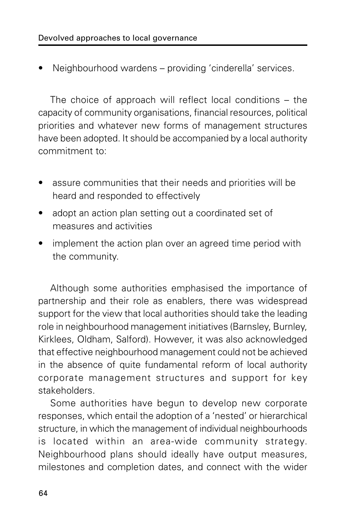• Neighbourhood wardens – providing 'cinderella' services.

The choice of approach will reflect local conditions – the capacity of community organisations, financial resources, political priorities and whatever new forms of management structures have been adopted. It should be accompanied by a local authority commitment to:

- assure communities that their needs and priorities will be heard and responded to effectively
- adopt an action plan setting out a coordinated set of measures and activities
- implement the action plan over an agreed time period with the community.

Although some authorities emphasised the importance of partnership and their role as enablers, there was widespread support for the view that local authorities should take the leading role in neighbourhood management initiatives (Barnsley, Burnley, Kirklees, Oldham, Salford). However, it was also acknowledged that effective neighbourhood management could not be achieved in the absence of quite fundamental reform of local authority corporate management structures and support for key stakeholders.

Some authorities have begun to develop new corporate responses, which entail the adoption of a 'nested' or hierarchical structure, in which the management of individual neighbourhoods is located within an area-wide community strategy. Neighbourhood plans should ideally have output measures, milestones and completion dates, and connect with the wider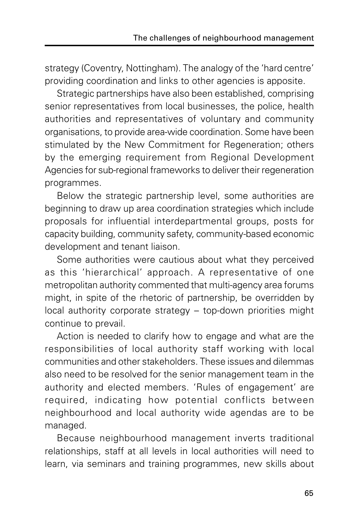strategy (Coventry, Nottingham). The analogy of the 'hard centre' providing coordination and links to other agencies is apposite.

Strategic partnerships have also been established, comprising senior representatives from local businesses, the police, health authorities and representatives of voluntary and community organisations, to provide area-wide coordination. Some have been stimulated by the New Commitment for Regeneration; others by the emerging requirement from Regional Development Agencies for sub-regional frameworks to deliver their regeneration programmes.

Below the strategic partnership level, some authorities are beginning to draw up area coordination strategies which include proposals for influential interdepartmental groups, posts for capacity building, community safety, community-based economic development and tenant liaison.

Some authorities were cautious about what they perceived as this 'hierarchical' approach. A representative of one metropolitan authority commented that multi-agency area forums might, in spite of the rhetoric of partnership, be overridden by local authority corporate strategy – top-down priorities might continue to prevail.

Action is needed to clarify how to engage and what are the responsibilities of local authority staff working with local communities and other stakeholders. These issues and dilemmas also need to be resolved for the senior management team in the authority and elected members. 'Rules of engagement' are required, indicating how potential conflicts between neighbourhood and local authority wide agendas are to be managed.

Because neighbourhood management inverts traditional relationships, staff at all levels in local authorities will need to learn, via seminars and training programmes, new skills about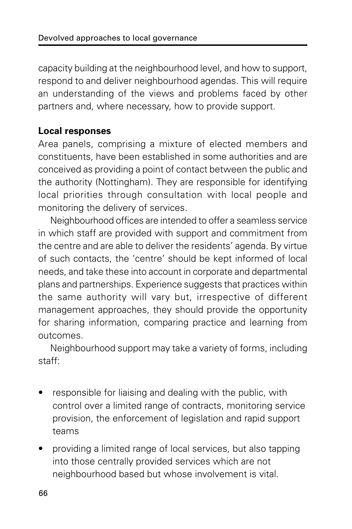capacity building at the neighbourhood level, and how to support, respond to and deliver neighbourhood agendas. This will require an understanding of the views and problems faced by other partners and, where necessary, how to provide support.

#### **Local responses**

Area panels, comprising a mixture of elected members and constituents, have been established in some authorities and are conceived as providing a point of contact between the public and the authority (Nottingham). They are responsible for identifying local priorities through consultation with local people and monitoring the delivery of services.

Neighbourhood offices are intended to offer a seamless service in which staff are provided with support and commitment from the centre and are able to deliver the residents' agenda. By virtue of such contacts, the 'centre' should be kept informed of local needs, and take these into account in corporate and departmental plans and partnerships. Experience suggests that practices within the same authority will vary but, irrespective of different management approaches, they should provide the opportunity for sharing information, comparing practice and learning from outcomes.

Neighbourhood support may take a variety of forms, including staff:

- responsible for liaising and dealing with the public, with control over a limited range of contracts, monitoring service provision, the enforcement of legislation and rapid support teams
- providing a limited range of local services, but also tapping into those centrally provided services which are not neighbourhood based but whose involvement is vital.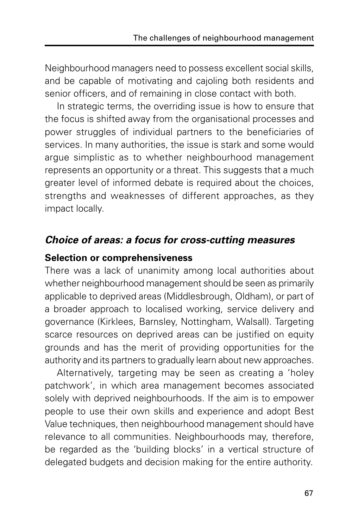Neighbourhood managers need to possess excellent social skills, and be capable of motivating and cajoling both residents and senior officers, and of remaining in close contact with both.

In strategic terms, the overriding issue is how to ensure that the focus is shifted away from the organisational processes and power struggles of individual partners to the beneficiaries of services. In many authorities, the issue is stark and some would argue simplistic as to whether neighbourhood management represents an opportunity or a threat. This suggests that a much greater level of informed debate is required about the choices, strengths and weaknesses of different approaches, as they impact locally.

### **Choice of areas: a focus for cross-cutting measures**

#### **Selection or comprehensiveness**

There was a lack of unanimity among local authorities about whether neighbourhood management should be seen as primarily applicable to deprived areas (Middlesbrough, Oldham), or part of a broader approach to localised working, service delivery and governance (Kirklees, Barnsley, Nottingham, Walsall). Targeting scarce resources on deprived areas can be justified on equity grounds and has the merit of providing opportunities for the authority and its partners to gradually learn about new approaches.

Alternatively, targeting may be seen as creating a 'holey patchwork', in which area management becomes associated solely with deprived neighbourhoods. If the aim is to empower people to use their own skills and experience and adopt Best Value techniques, then neighbourhood management should have relevance to all communities. Neighbourhoods may, therefore, be regarded as the 'building blocks' in a vertical structure of delegated budgets and decision making for the entire authority.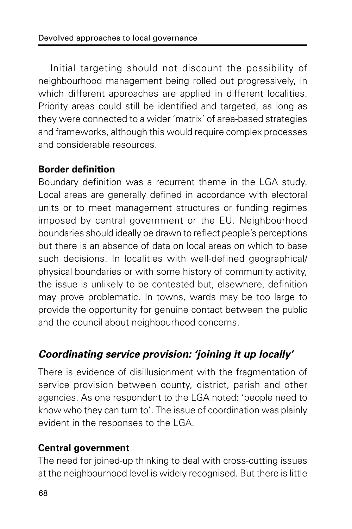Initial targeting should not discount the possibility of neighbourhood management being rolled out progressively, in which different approaches are applied in different localities. Priority areas could still be identified and targeted, as long as they were connected to a wider 'matrix' of area-based strategies and frameworks, although this would require complex processes and considerable resources.

#### **Border definition**

Boundary definition was a recurrent theme in the LGA study. Local areas are generally defined in accordance with electoral units or to meet management structures or funding regimes imposed by central government or the EU. Neighbourhood boundaries should ideally be drawn to reflect people's perceptions but there is an absence of data on local areas on which to base such decisions. In localities with well-defined geographical/ physical boundaries or with some history of community activity, the issue is unlikely to be contested but, elsewhere, definition may prove problematic. In towns, wards may be too large to provide the opportunity for genuine contact between the public and the council about neighbourhood concerns.

## **Coordinating service provision: 'joining it up locally'**

There is evidence of disillusionment with the fragmentation of service provision between county, district, parish and other agencies. As one respondent to the LGA noted: 'people need to know who they can turn to'. The issue of coordination was plainly evident in the responses to the LGA.

#### **Central government**

The need for joined-up thinking to deal with cross-cutting issues at the neighbourhood level is widely recognised. But there is little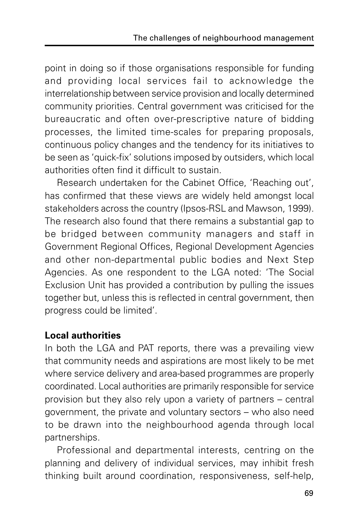point in doing so if those organisations responsible for funding and providing local services fail to acknowledge the interrelationship between service provision and locally determined community priorities. Central government was criticised for the bureaucratic and often over-prescriptive nature of bidding processes, the limited time-scales for preparing proposals, continuous policy changes and the tendency for its initiatives to be seen as 'quick-fix' solutions imposed by outsiders, which local authorities often find it difficult to sustain.

Research undertaken for the Cabinet Office, 'Reaching out', has confirmed that these views are widely held amongst local stakeholders across the country (Ipsos-RSL and Mawson, 1999). The research also found that there remains a substantial gap to be bridged between community managers and staff in Government Regional Offices, Regional Development Agencies and other non-departmental public bodies and Next Step Agencies. As one respondent to the LGA noted: 'The Social Exclusion Unit has provided a contribution by pulling the issues together but, unless this is reflected in central government, then progress could be limited'.

#### **Local authorities**

In both the LGA and PAT reports, there was a prevailing view that community needs and aspirations are most likely to be met where service delivery and area-based programmes are properly coordinated. Local authorities are primarily responsible for service provision but they also rely upon a variety of partners – central government, the private and voluntary sectors – who also need to be drawn into the neighbourhood agenda through local partnerships.

Professional and departmental interests, centring on the planning and delivery of individual services, may inhibit fresh thinking built around coordination, responsiveness, self-help,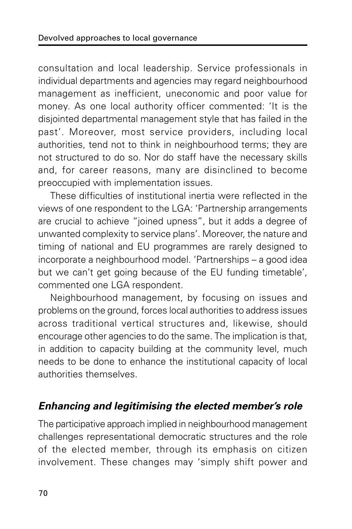consultation and local leadership. Service professionals in individual departments and agencies may regard neighbourhood management as inefficient, uneconomic and poor value for money. As one local authority officer commented: 'It is the disjointed departmental management style that has failed in the past'. Moreover, most service providers, including local authorities, tend not to think in neighbourhood terms; they are not structured to do so. Nor do staff have the necessary skills and, for career reasons, many are disinclined to become preoccupied with implementation issues.

These difficulties of institutional inertia were reflected in the views of one respondent to the LGA: 'Partnership arrangements are crucial to achieve "joined upness", but it adds a degree of unwanted complexity to service plans'. Moreover, the nature and timing of national and EU programmes are rarely designed to incorporate a neighbourhood model. 'Partnerships – a good idea but we can't get going because of the EU funding timetable', commented one LGA respondent.

Neighbourhood management, by focusing on issues and problems on the ground, forces local authorities to address issues across traditional vertical structures and, likewise, should encourage other agencies to do the same. The implication is that, in addition to capacity building at the community level, much needs to be done to enhance the institutional capacity of local authorities themselves.

## **Enhancing and legitimising the elected member's role**

The participative approach implied in neighbourhood management challenges representational democratic structures and the role of the elected member, through its emphasis on citizen involvement. These changes may 'simply shift power and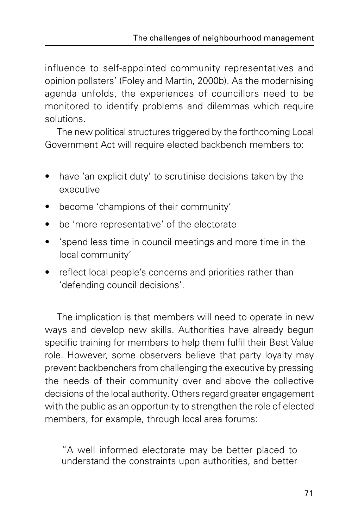influence to self-appointed community representatives and opinion pollsters' (Foley and Martin, 2000b). As the modernising agenda unfolds, the experiences of councillors need to be monitored to identify problems and dilemmas which require solutions.

The new political structures triggered by the forthcoming Local Government Act will require elected backbench members to:

- have 'an explicit duty' to scrutinise decisions taken by the executive
- become 'champions of their community'
- be 'more representative' of the electorate
- 'spend less time in council meetings and more time in the local community'
- reflect local people's concerns and priorities rather than 'defending council decisions'.

The implication is that members will need to operate in new ways and develop new skills. Authorities have already begun specific training for members to help them fulfil their Best Value role. However, some observers believe that party loyalty may prevent backbenchers from challenging the executive by pressing the needs of their community over and above the collective decisions of the local authority. Others regard greater engagement with the public as an opportunity to strengthen the role of elected members, for example, through local area forums:

"A well informed electorate may be better placed to understand the constraints upon authorities, and better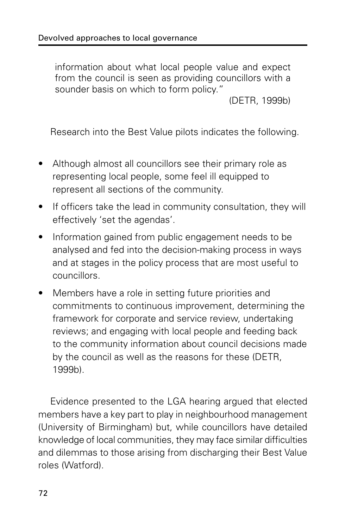information about what local people value and expect from the council is seen as providing councillors with a sounder basis on which to form policy."

(DETR, 1999b)

Research into the Best Value pilots indicates the following.

- Although almost all councillors see their primary role as representing local people, some feel ill equipped to represent all sections of the community.
- If officers take the lead in community consultation, they will effectively 'set the agendas'.
- Information gained from public engagement needs to be analysed and fed into the decision-making process in ways and at stages in the policy process that are most useful to councillors.
- Members have a role in setting future priorities and commitments to continuous improvement, determining the framework for corporate and service review, undertaking reviews; and engaging with local people and feeding back to the community information about council decisions made by the council as well as the reasons for these (DETR, 1999b).

Evidence presented to the LGA hearing argued that elected members have a key part to play in neighbourhood management (University of Birmingham) but, while councillors have detailed knowledge of local communities, they may face similar difficulties and dilemmas to those arising from discharging their Best Value roles (Watford).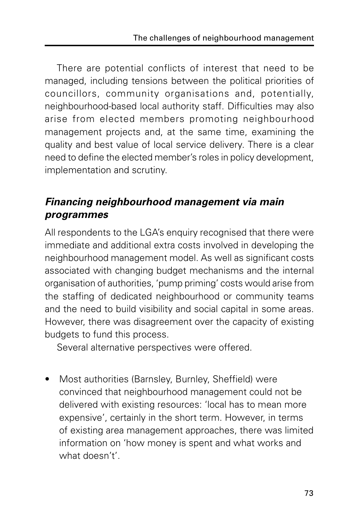There are potential conflicts of interest that need to be managed, including tensions between the political priorities of councillors, community organisations and, potentially, neighbourhood-based local authority staff. Difficulties may also arise from elected members promoting neighbourhood management projects and, at the same time, examining the quality and best value of local service delivery. There is a clear need to define the elected member's roles in policy development, implementation and scrutiny.

## **Financing neighbourhood management via main programmes**

All respondents to the LGA's enquiry recognised that there were immediate and additional extra costs involved in developing the neighbourhood management model. As well as significant costs associated with changing budget mechanisms and the internal organisation of authorities, 'pump priming' costs would arise from the staffing of dedicated neighbourhood or community teams and the need to build visibility and social capital in some areas. However, there was disagreement over the capacity of existing budgets to fund this process.

Several alternative perspectives were offered.

Most authorities (Barnsley, Burnley, Sheffield) were convinced that neighbourhood management could not be delivered with existing resources: 'local has to mean more expensive', certainly in the short term. However, in terms of existing area management approaches, there was limited information on 'how money is spent and what works and what doesn't'.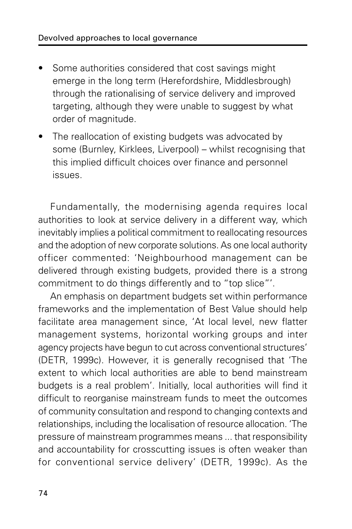- Some authorities considered that cost savings might emerge in the long term (Herefordshire, Middlesbrough) through the rationalising of service delivery and improved targeting, although they were unable to suggest by what order of magnitude.
- The reallocation of existing budgets was advocated by some (Burnley, Kirklees, Liverpool) – whilst recognising that this implied difficult choices over finance and personnel issues.

Fundamentally, the modernising agenda requires local authorities to look at service delivery in a different way, which inevitably implies a political commitment to reallocating resources and the adoption of new corporate solutions. As one local authority officer commented: 'Neighbourhood management can be delivered through existing budgets, provided there is a strong commitment to do things differently and to "top slice"'.

An emphasis on department budgets set within performance frameworks and the implementation of Best Value should help facilitate area management since, 'At local level, new flatter management systems, horizontal working groups and inter agency projects have begun to cut across conventional structures' (DETR, 1999c). However, it is generally recognised that 'The extent to which local authorities are able to bend mainstream budgets is a real problem'. Initially, local authorities will find it difficult to reorganise mainstream funds to meet the outcomes of community consultation and respond to changing contexts and relationships, including the localisation of resource allocation. 'The pressure of mainstream programmes means ... that responsibility and accountability for crosscutting issues is often weaker than for conventional service delivery' (DETR, 1999c). As the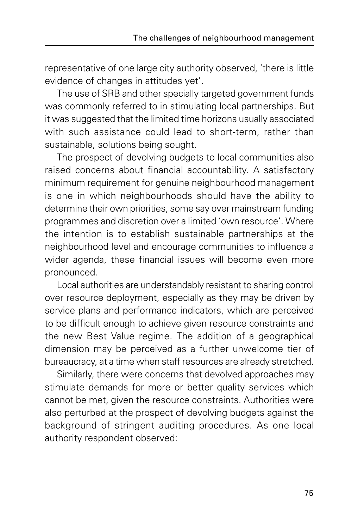representative of one large city authority observed, 'there is little evidence of changes in attitudes yet'.

The use of SRB and other specially targeted government funds was commonly referred to in stimulating local partnerships. But it was suggested that the limited time horizons usually associated with such assistance could lead to short-term, rather than sustainable, solutions being sought.

The prospect of devolving budgets to local communities also raised concerns about financial accountability. A satisfactory minimum requirement for genuine neighbourhood management is one in which neighbourhoods should have the ability to determine their own priorities, some say over mainstream funding programmes and discretion over a limited 'own resource'. Where the intention is to establish sustainable partnerships at the neighbourhood level and encourage communities to influence a wider agenda, these financial issues will become even more pronounced.

Local authorities are understandably resistant to sharing control over resource deployment, especially as they may be driven by service plans and performance indicators, which are perceived to be difficult enough to achieve given resource constraints and the new Best Value regime. The addition of a geographical dimension may be perceived as a further unwelcome tier of bureaucracy, at a time when staff resources are already stretched.

Similarly, there were concerns that devolved approaches may stimulate demands for more or better quality services which cannot be met, given the resource constraints. Authorities were also perturbed at the prospect of devolving budgets against the background of stringent auditing procedures. As one local authority respondent observed: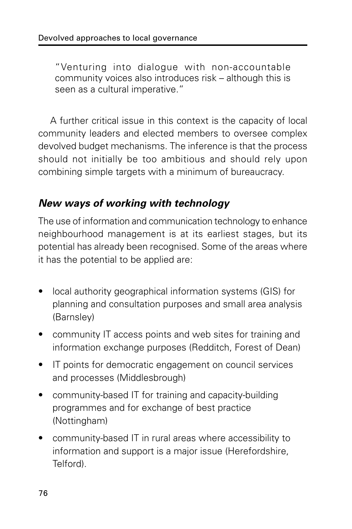"Venturing into dialogue with non-accountable community voices also introduces risk – although this is seen as a cultural imperative."

A further critical issue in this context is the capacity of local community leaders and elected members to oversee complex devolved budget mechanisms. The inference is that the process should not initially be too ambitious and should rely upon combining simple targets with a minimum of bureaucracy.

### **New ways of working with technology**

The use of information and communication technology to enhance neighbourhood management is at its earliest stages, but its potential has already been recognised. Some of the areas where it has the potential to be applied are:

- local authority geographical information systems (GIS) for planning and consultation purposes and small area analysis (Barnsley)
- community IT access points and web sites for training and information exchange purposes (Redditch, Forest of Dean)
- IT points for democratic engagement on council services and processes (Middlesbrough)
- community-based IT for training and capacity-building programmes and for exchange of best practice (Nottingham)
- community-based IT in rural areas where accessibility to information and support is a major issue (Herefordshire, Telford).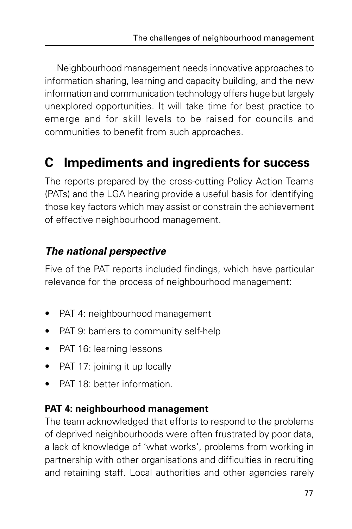Neighbourhood management needs innovative approaches to information sharing, learning and capacity building, and the new information and communication technology offers huge but largely unexplored opportunities. It will take time for best practice to emerge and for skill levels to be raised for councils and communities to benefit from such approaches.

# **C Impediments and ingredients for success**

The reports prepared by the cross-cutting Policy Action Teams (PATs) and the LGA hearing provide a useful basis for identifying those key factors which may assist or constrain the achievement of effective neighbourhood management.

### **The national perspective**

Five of the PAT reports included findings, which have particular relevance for the process of neighbourhood management:

- PAT 4: neighbourhood management
- PAT 9: barriers to community self-help
- PAT 16: learning lessons
- PAT 17: joining it up locally
- PAT 18: better information.

## **PAT 4: neighbourhood management**

The team acknowledged that efforts to respond to the problems of deprived neighbourhoods were often frustrated by poor data, a lack of knowledge of 'what works', problems from working in partnership with other organisations and difficulties in recruiting and retaining staff. Local authorities and other agencies rarely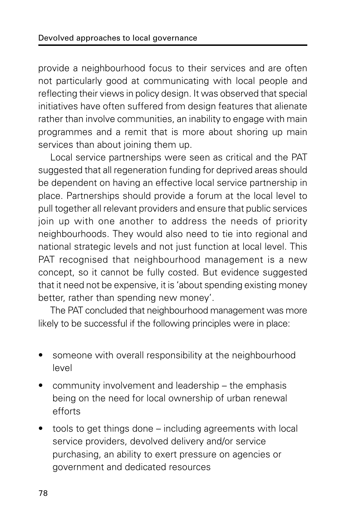provide a neighbourhood focus to their services and are often not particularly good at communicating with local people and reflecting their views in policy design. It was observed that special initiatives have often suffered from design features that alienate rather than involve communities, an inability to engage with main programmes and a remit that is more about shoring up main services than about joining them up.

Local service partnerships were seen as critical and the PAT suggested that all regeneration funding for deprived areas should be dependent on having an effective local service partnership in place. Partnerships should provide a forum at the local level to pull together all relevant providers and ensure that public services join up with one another to address the needs of priority neighbourhoods. They would also need to tie into regional and national strategic levels and not just function at local level. This PAT recognised that neighbourhood management is a new concept, so it cannot be fully costed. But evidence suggested that it need not be expensive, it is 'about spending existing money better, rather than spending new money'.

The PAT concluded that neighbourhood management was more likely to be successful if the following principles were in place:

- someone with overall responsibility at the neighbourhood level
- community involvement and leadership the emphasis being on the need for local ownership of urban renewal efforts
- tools to get things done including agreements with local service providers, devolved delivery and/or service purchasing, an ability to exert pressure on agencies or government and dedicated resources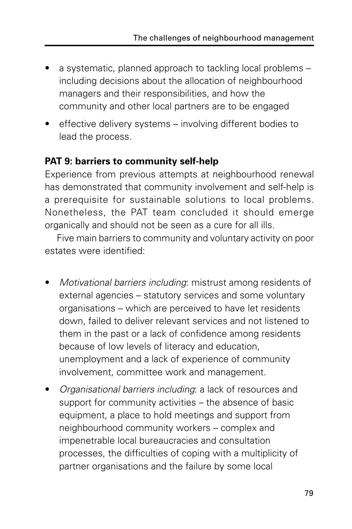- a systematic, planned approach to tackling local problems including decisions about the allocation of neighbourhood managers and their responsibilities, and how the community and other local partners are to be engaged
- effective delivery systems involving different bodies to lead the process.

#### **PAT 9: barriers to community self-help**

Experience from previous attempts at neighbourhood renewal has demonstrated that community involvement and self-help is a prerequisite for sustainable solutions to local problems. Nonetheless, the PAT team concluded it should emerge organically and should not be seen as a cure for all ills.

Five main barriers to community and voluntary activity on poor estates were identified:

- Motivational barriers including: mistrust among residents of external agencies – statutory services and some voluntary organisations – which are perceived to have let residents down, failed to deliver relevant services and not listened to them in the past or a lack of confidence among residents because of low levels of literacy and education, unemployment and a lack of experience of community involvement, committee work and management.
- Organisational barriers including: a lack of resources and support for community activities – the absence of basic equipment, a place to hold meetings and support from neighbourhood community workers – complex and impenetrable local bureaucracies and consultation processes, the difficulties of coping with a multiplicity of partner organisations and the failure by some local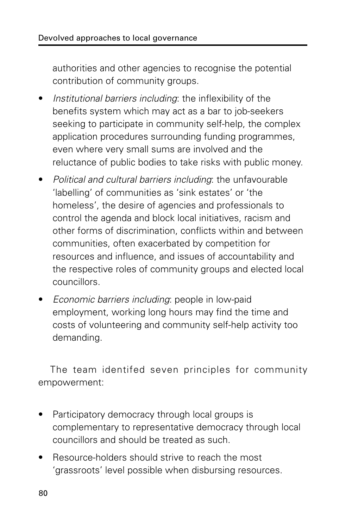authorities and other agencies to recognise the potential contribution of community groups.

- Institutional barriers including: the inflexibility of the benefits system which may act as a bar to job-seekers seeking to participate in community self-help, the complex application procedures surrounding funding programmes, even where very small sums are involved and the reluctance of public bodies to take risks with public money.
- Political and cultural barriers including: the unfavourable 'labelling' of communities as 'sink estates' or 'the homeless', the desire of agencies and professionals to control the agenda and block local initiatives, racism and other forms of discrimination, conflicts within and between communities, often exacerbated by competition for resources and influence, and issues of accountability and the respective roles of community groups and elected local councillors.
- Economic barriers including: people in low-paid employment, working long hours may find the time and costs of volunteering and community self-help activity too demanding.

The team identifed seven principles for community empowerment:

- Participatory democracy through local groups is complementary to representative democracy through local councillors and should be treated as such.
- Resource-holders should strive to reach the most 'grassroots' level possible when disbursing resources.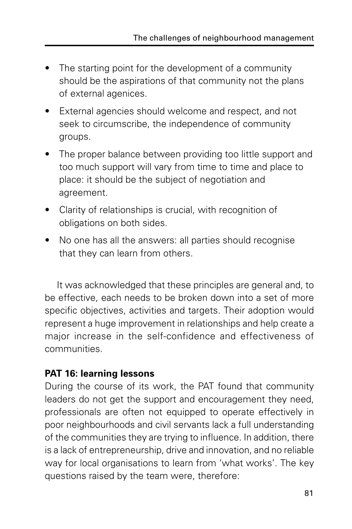- The starting point for the development of a community should be the aspirations of that community not the plans of external agenices.
- External agencies should welcome and respect, and not seek to circumscribe, the independence of community groups.
- The proper balance between providing too little support and too much support will vary from time to time and place to place: it should be the subject of negotiation and agreement.
- Clarity of relationships is crucial, with recognition of obligations on both sides.
- No one has all the answers: all parties should recognise that they can learn from others.

It was acknowledged that these principles are general and, to be effective, each needs to be broken down into a set of more specific objectives, activities and targets. Their adoption would represent a huge improvement in relationships and help create a major increase in the self-confidence and effectiveness of communities.

#### **PAT 16: learning lessons**

During the course of its work, the PAT found that community leaders do not get the support and encouragement they need, professionals are often not equipped to operate effectively in poor neighbourhoods and civil servants lack a full understanding of the communities they are trying to influence. In addition, there is a lack of entrepreneurship, drive and innovation, and no reliable way for local organisations to learn from 'what works'. The key questions raised by the team were, therefore: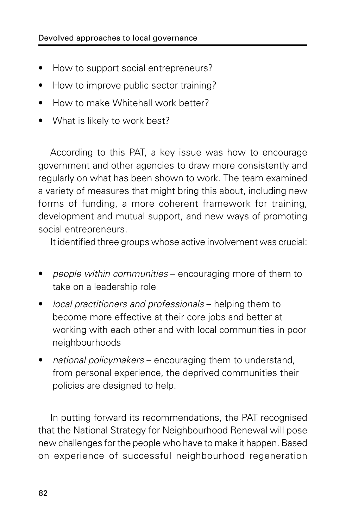- How to support social entrepreneurs?
- How to improve public sector training?
- How to make Whitehall work better?
- What is likely to work best?

According to this PAT, a key issue was how to encourage government and other agencies to draw more consistently and regularly on what has been shown to work. The team examined a variety of measures that might bring this about, including new forms of funding, a more coherent framework for training, development and mutual support, and new ways of promoting social entrepreneurs.

It identified three groups whose active involvement was crucial:

- people within communities encouraging more of them to take on a leadership role
- local practitioners and professionals helping them to become more effective at their core jobs and better at working with each other and with local communities in poor neighbourhoods
- national policymakers encouraging them to understand, from personal experience, the deprived communities their policies are designed to help.

In putting forward its recommendations, the PAT recognised that the National Strategy for Neighbourhood Renewal will pose new challenges for the people who have to make it happen. Based on experience of successful neighbourhood regeneration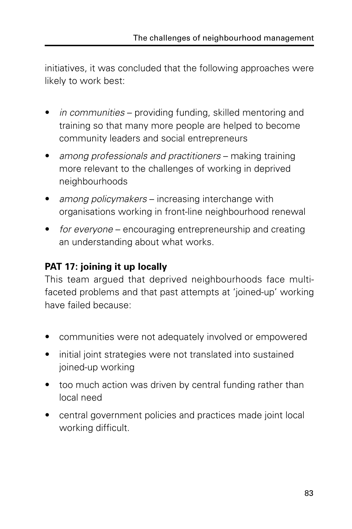initiatives, it was concluded that the following approaches were likely to work best:

- in communities providing funding, skilled mentoring and training so that many more people are helped to become community leaders and social entrepreneurs
- among professionals and practitioners making training more relevant to the challenges of working in deprived neighbourhoods
- among policymakers increasing interchange with organisations working in front-line neighbourhood renewal
- for everyone encouraging entrepreneurship and creating an understanding about what works.

## **PAT 17: joining it up locally**

This team argued that deprived neighbourhoods face multifaceted problems and that past attempts at 'joined-up' working have failed because:

- communities were not adequately involved or empowered
- initial joint strategies were not translated into sustained joined-up working
- too much action was driven by central funding rather than local need
- central government policies and practices made joint local working difficult.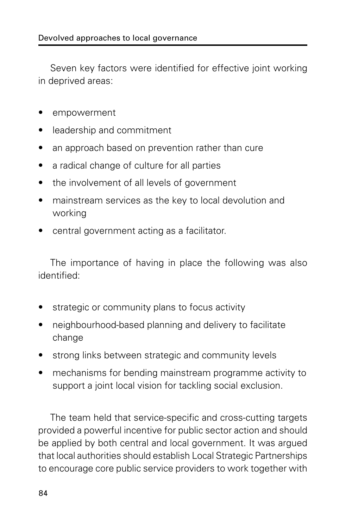Seven key factors were identified for effective joint working in deprived areas:

- empowerment
- leadership and commitment
- an approach based on prevention rather than cure
- a radical change of culture for all parties
- the involvement of all levels of government
- mainstream services as the key to local devolution and working
- central government acting as a facilitator.

The importance of having in place the following was also identified:

- strategic or community plans to focus activity
- neighbourhood-based planning and delivery to facilitate change
- strong links between strategic and community levels
- mechanisms for bending mainstream programme activity to support a joint local vision for tackling social exclusion.

The team held that service-specific and cross-cutting targets provided a powerful incentive for public sector action and should be applied by both central and local government. It was argued that local authorities should establish Local Strategic Partnerships to encourage core public service providers to work together with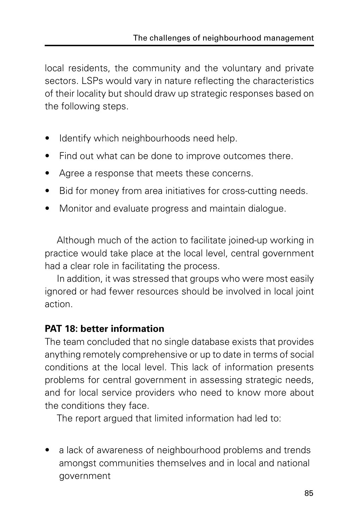local residents, the community and the voluntary and private sectors. LSPs would vary in nature reflecting the characteristics of their locality but should draw up strategic responses based on the following steps.

- Identify which neighbourhoods need help.
- Find out what can be done to improve outcomes there.
- Agree a response that meets these concerns.
- Bid for money from area initiatives for cross-cutting needs.
- Monitor and evaluate progress and maintain dialogue.

Although much of the action to facilitate joined-up working in practice would take place at the local level, central government had a clear role in facilitating the process.

In addition, it was stressed that groups who were most easily ignored or had fewer resources should be involved in local joint action.

#### **PAT 18: better information**

The team concluded that no single database exists that provides anything remotely comprehensive or up to date in terms of social conditions at the local level. This lack of information presents problems for central government in assessing strategic needs, and for local service providers who need to know more about the conditions they face.

The report argued that limited information had led to:

a lack of awareness of neighbourhood problems and trends amongst communities themselves and in local and national government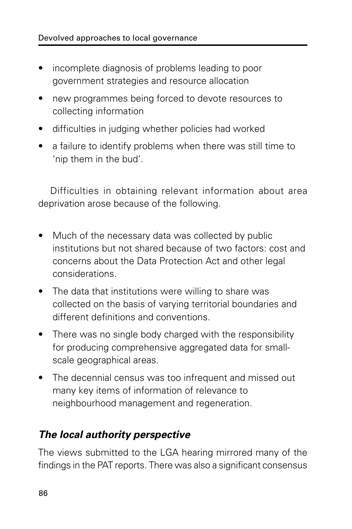- incomplete diagnosis of problems leading to poor government strategies and resource allocation
- new programmes being forced to devote resources to collecting information
- difficulties in judging whether policies had worked
- a failure to identify problems when there was still time to 'nip them in the bud'.

Difficulties in obtaining relevant information about area deprivation arose because of the following.

- Much of the necessary data was collected by public institutions but not shared because of two factors: cost and concerns about the Data Protection Act and other legal considerations.
- The data that institutions were willing to share was collected on the basis of varying territorial boundaries and different definitions and conventions.
- There was no single body charged with the responsibility for producing comprehensive aggregated data for smallscale geographical areas.
- The decennial census was too infrequent and missed out many key items of information of relevance to neighbourhood management and regeneration.

### **The local authority perspective**

The views submitted to the LGA hearing mirrored many of the findings in the PAT reports. There was also a significant consensus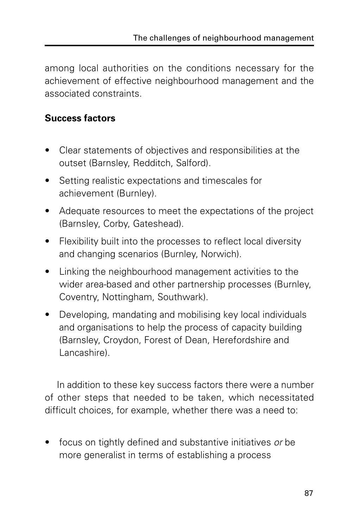among local authorities on the conditions necessary for the achievement of effective neighbourhood management and the associated constraints.

#### **Success factors**

- Clear statements of objectives and responsibilities at the outset (Barnsley, Redditch, Salford).
- Setting realistic expectations and timescales for achievement (Burnley).
- Adequate resources to meet the expectations of the project (Barnsley, Corby, Gateshead).
- Flexibility built into the processes to reflect local diversity and changing scenarios (Burnley, Norwich).
- Linking the neighbourhood management activities to the wider area-based and other partnership processes (Burnley, Coventry, Nottingham, Southwark).
- Developing, mandating and mobilising key local individuals and organisations to help the process of capacity building (Barnsley, Croydon, Forest of Dean, Herefordshire and Lancashire).

In addition to these key success factors there were a number of other steps that needed to be taken, which necessitated difficult choices, for example, whether there was a need to:

focus on tightly defined and substantive initiatives or be more generalist in terms of establishing a process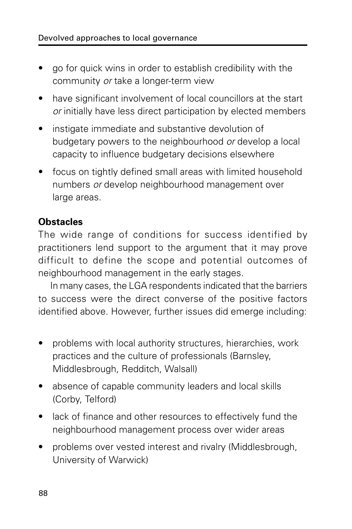- go for quick wins in order to establish credibility with the community or take a longer-term view
- have significant involvement of local councillors at the start or initially have less direct participation by elected members
- instigate immediate and substantive devolution of budgetary powers to the neighbourhood or develop a local capacity to influence budgetary decisions elsewhere
- focus on tightly defined small areas with limited household numbers or develop neighbourhood management over large areas.

#### **Obstacles**

The wide range of conditions for success identified by practitioners lend support to the argument that it may prove difficult to define the scope and potential outcomes of neighbourhood management in the early stages.

In many cases, the LGA respondents indicated that the barriers to success were the direct converse of the positive factors identified above. However, further issues did emerge including:

- problems with local authority structures, hierarchies, work practices and the culture of professionals (Barnsley, Middlesbrough, Redditch, Walsall)
- absence of capable community leaders and local skills (Corby, Telford)
- lack of finance and other resources to effectively fund the neighbourhood management process over wider areas
- problems over vested interest and rivalry (Middlesbrough, University of Warwick)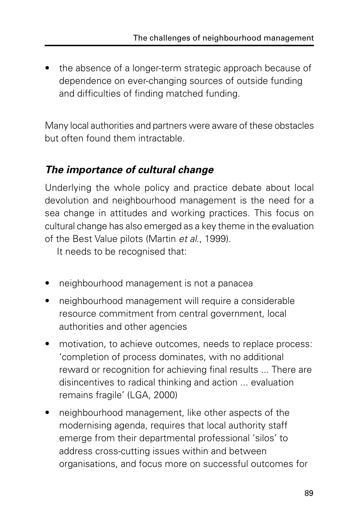• the absence of a longer-term strategic approach because of dependence on ever-changing sources of outside funding and difficulties of finding matched funding.

Many local authorities and partners were aware of these obstacles but often found them intractable.

#### **The importance of cultural change**

Underlying the whole policy and practice debate about local devolution and neighbourhood management is the need for a sea change in attitudes and working practices. This focus on cultural change has also emerged as a key theme in the evaluation of the Best Value pilots (Martin et al., 1999).

It needs to be recognised that:

- neighbourhood management is not a panacea
- neighbourhood management will require a considerable resource commitment from central government, local authorities and other agencies
- motivation, to achieve outcomes, needs to replace process: 'completion of process dominates, with no additional reward or recognition for achieving final results ... There are disincentives to radical thinking and action ... evaluation remains fragile' (LGA, 2000)
- neighbourhood management, like other aspects of the modernising agenda, requires that local authority staff emerge from their departmental professional 'silos' to address cross-cutting issues within and between organisations, and focus more on successful outcomes for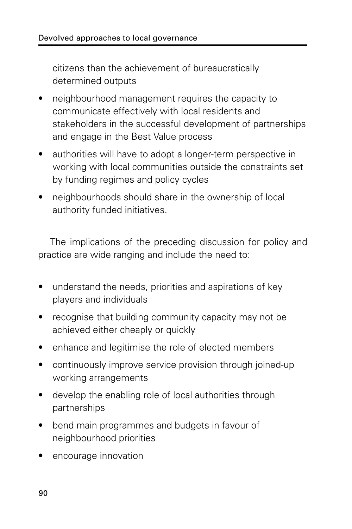citizens than the achievement of bureaucratically determined outputs

- neighbourhood management requires the capacity to communicate effectively with local residents and stakeholders in the successful development of partnerships and engage in the Best Value process
- authorities will have to adopt a longer-term perspective in working with local communities outside the constraints set by funding regimes and policy cycles
- neighbourhoods should share in the ownership of local authority funded initiatives.

The implications of the preceding discussion for policy and practice are wide ranging and include the need to:

- understand the needs, priorities and aspirations of key players and individuals
- recognise that building community capacity may not be achieved either cheaply or quickly
- enhance and legitimise the role of elected members
- continuously improve service provision through joined-up working arrangements
- develop the enabling role of local authorities through partnerships
- bend main programmes and budgets in favour of neighbourhood priorities
- encourage innovation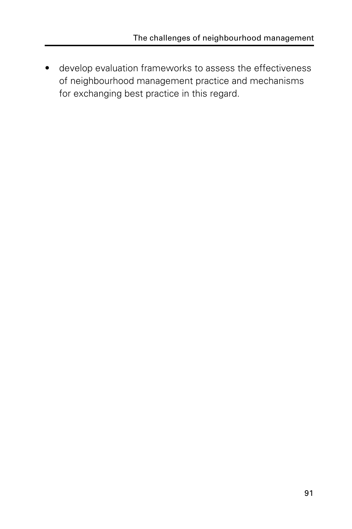• develop evaluation frameworks to assess the effectiveness of neighbourhood management practice and mechanisms for exchanging best practice in this regard.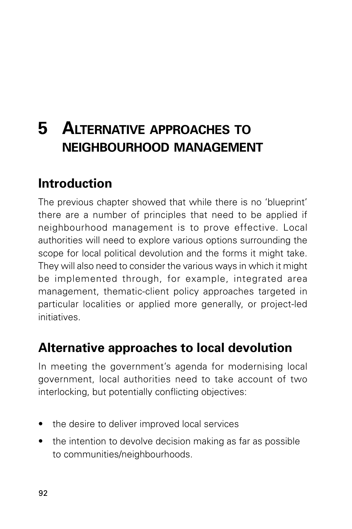# **5 ALTERNATIVE APPROACHES TO NEIGHBOURHOOD MANAGEMENT**

## **Introduction**

The previous chapter showed that while there is no 'blueprint' there are a number of principles that need to be applied if neighbourhood management is to prove effective. Local authorities will need to explore various options surrounding the scope for local political devolution and the forms it might take. They will also need to consider the various ways in which it might be implemented through, for example, integrated area management, thematic-client policy approaches targeted in particular localities or applied more generally, or project-led initiatives.

## **Alternative approaches to local devolution**

In meeting the government's agenda for modernising local government, local authorities need to take account of two interlocking, but potentially conflicting objectives:

- the desire to deliver improved local services
- the intention to devolve decision making as far as possible to communities/neighbourhoods.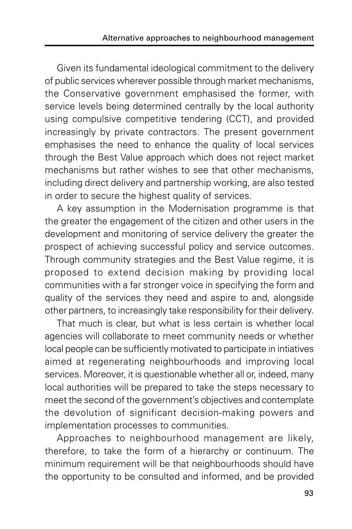Given its fundamental ideological commitment to the delivery of public services wherever possible through market mechanisms, the Conservative government emphasised the former, with service levels being determined centrally by the local authority using compulsive competitive tendering (CCT), and provided increasingly by private contractors. The present government emphasises the need to enhance the quality of local services through the Best Value approach which does not reject market mechanisms but rather wishes to see that other mechanisms, including direct delivery and partnership working, are also tested in order to secure the highest quality of services.

A key assumption in the Modernisation programme is that the greater the engagement of the citizen and other users in the development and monitoring of service delivery the greater the prospect of achieving successful policy and service outcomes. Through community strategies and the Best Value regime, it is proposed to extend decision making by providing local communities with a far stronger voice in specifying the form and quality of the services they need and aspire to and, alongside other partners, to increasingly take responsibility for their delivery.

That much is clear, but what is less certain is whether local agencies will collaborate to meet community needs or whether local people can be sufficiently motivated to participate in intiatives aimed at regenerating neighbourhoods and improving local services. Moreover, it is questionable whether all or, indeed, many local authorities will be prepared to take the steps necessary to meet the second of the government's objectives and contemplate the devolution of significant decision-making powers and implementation processes to communities.

Approaches to neighbourhood management are likely, therefore, to take the form of a hierarchy or continuum. The minimum requirement will be that neighbourhoods should have the opportunity to be consulted and informed, and be provided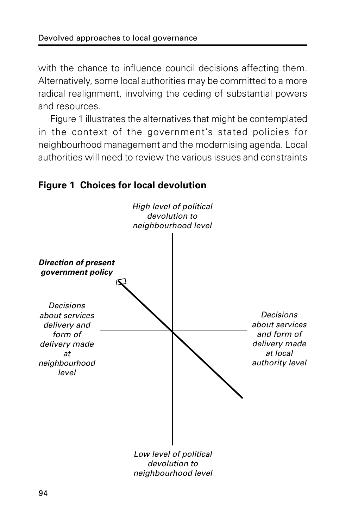with the chance to influence council decisions affecting them. Alternatively, some local authorities may be committed to a more radical realignment, involving the ceding of substantial powers and resources.

Figure 1 illustrates the alternatives that might be contemplated in the context of the government's stated policies for neighbourhood management and the modernising agenda. Local authorities will need to review the various issues and constraints

#### **Figure 1 Choices for local devolution**

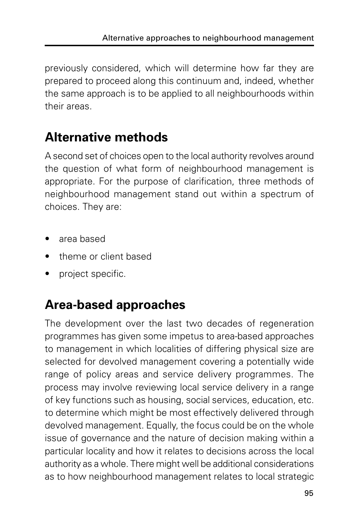previously considered, which will determine how far they are prepared to proceed along this continuum and, indeed, whether the same approach is to be applied to all neighbourhoods within their areas.

## **Alternative methods**

A second set of choices open to the local authority revolves around the question of what form of neighbourhood management is appropriate. For the purpose of clarification, three methods of neighbourhood management stand out within a spectrum of choices. They are:

- area based
- theme or client based
- project specific.

## **Area-based approaches**

The development over the last two decades of regeneration programmes has given some impetus to area-based approaches to management in which localities of differing physical size are selected for devolved management covering a potentially wide range of policy areas and service delivery programmes. The process may involve reviewing local service delivery in a range of key functions such as housing, social services, education, etc. to determine which might be most effectively delivered through devolved management. Equally, the focus could be on the whole issue of governance and the nature of decision making within a particular locality and how it relates to decisions across the local authority as a whole. There might well be additional considerations as to how neighbourhood management relates to local strategic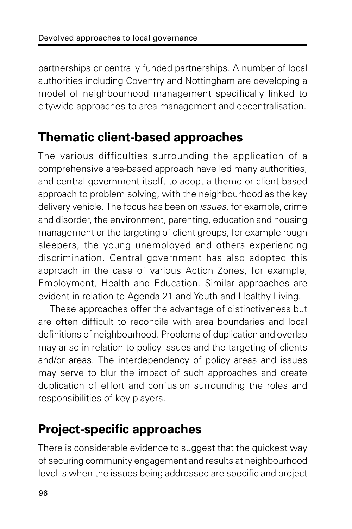partnerships or centrally funded partnerships. A number of local authorities including Coventry and Nottingham are developing a model of neighbourhood management specifically linked to citywide approaches to area management and decentralisation.

## **Thematic client-based approaches**

The various difficulties surrounding the application of a comprehensive area-based approach have led many authorities, and central government itself, to adopt a theme or client based approach to problem solving, with the neighbourhood as the key delivery vehicle. The focus has been on issues, for example, crime and disorder, the environment, parenting, education and housing management or the targeting of client groups, for example rough sleepers, the young unemployed and others experiencing discrimination. Central government has also adopted this approach in the case of various Action Zones, for example, Employment, Health and Education. Similar approaches are evident in relation to Agenda 21 and Youth and Healthy Living.

These approaches offer the advantage of distinctiveness but are often difficult to reconcile with area boundaries and local definitions of neighbourhood. Problems of duplication and overlap may arise in relation to policy issues and the targeting of clients and/or areas. The interdependency of policy areas and issues may serve to blur the impact of such approaches and create duplication of effort and confusion surrounding the roles and responsibilities of key players.

## **Project-specific approaches**

There is considerable evidence to suggest that the quickest way of securing community engagement and results at neighbourhood level is when the issues being addressed are specific and project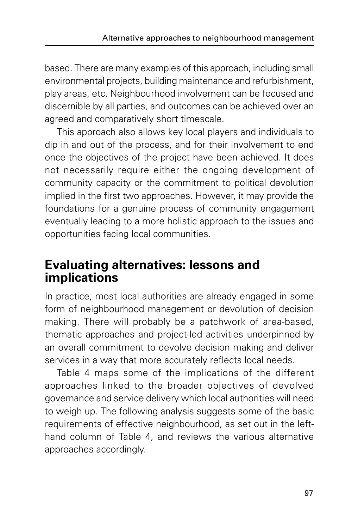based. There are many examples of this approach, including small environmental projects, building maintenance and refurbishment, play areas, etc. Neighbourhood involvement can be focused and discernible by all parties, and outcomes can be achieved over an agreed and comparatively short timescale.

This approach also allows key local players and individuals to dip in and out of the process, and for their involvement to end once the objectives of the project have been achieved. It does not necessarily require either the ongoing development of community capacity or the commitment to political devolution implied in the first two approaches. However, it may provide the foundations for a genuine process of community engagement eventually leading to a more holistic approach to the issues and opportunities facing local communities.

#### **Evaluating alternatives: lessons and implications**

In practice, most local authorities are already engaged in some form of neighbourhood management or devolution of decision making. There will probably be a patchwork of area-based, thematic approaches and project-led activities underpinned by an overall commitment to devolve decision making and deliver services in a way that more accurately reflects local needs.

Table 4 maps some of the implications of the different approaches linked to the broader objectives of devolved governance and service delivery which local authorities will need to weigh up. The following analysis suggests some of the basic requirements of effective neighbourhood, as set out in the lefthand column of Table 4, and reviews the various alternative approaches accordingly.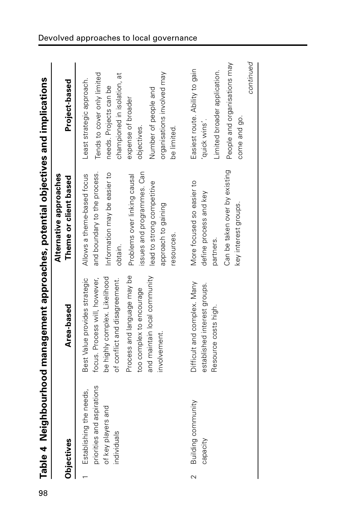| Table 4 Neigh              | hbourhood management approaches, potential objectives and implications |                                                 |                             |
|----------------------------|------------------------------------------------------------------------|-------------------------------------------------|-----------------------------|
| <b>Objectives</b>          | Area-based                                                             | Alternative approaches<br>Theme or client based | Project-based               |
|                            |                                                                        |                                                 |                             |
| Establishing the needs,    | Best Value provides strategic                                          | Allows a theme-based focus                      | Least strategic approach.   |
| priorities and aspirations | focus. Process will, however,                                          | and boundary to the process.                    | Tends to cover only limited |
| and<br>of key players      | be highly complex. Likelihood                                          | Information may be easier to                    | needs. Projects can be      |
| ndividuals                 | of conflict and disagreement.                                          | obtain.                                         | championed in isolation, at |
|                            | Process and language may be                                            | Problems over linking causal                    | expense of broader          |
|                            | too complex to encourage                                               | issues and programmes. Can                      | objectives.                 |
|                            | and maintain local community                                           | lead to strong competitive                      | Number of people and        |
|                            | involvement.                                                           | approach to gaining                             | organisations involved may  |

 $\sim$ 

 Building community capacity

Building community

Difficult and complex. Many established interest groups. Resource costs high.

Difficult and complex. Many established interest groups. Resource costs high.

More focused so easier to define process and key

More focused so easier to define process and key

Easiest route. Ability to gain

Easiest route. Ability to gain

'quick wins'.

'quick wins'.

Limited broader application. People and organisations may

Limited broader application.

People and organisations may

partners.

Can be taken over by existing

Can be taken over by existing

key interest groups.

key interest groups.

come and go.

come and go.

continued continued

resources.

resources.

be limited.

be limited.

|                                                                                                                                                                                                                                                                                                                     | )<br> <br>                                         |
|---------------------------------------------------------------------------------------------------------------------------------------------------------------------------------------------------------------------------------------------------------------------------------------------------------------------|----------------------------------------------------|
|                                                                                                                                                                                                                                                                                                                     |                                                    |
|                                                                                                                                                                                                                                                                                                                     |                                                    |
|                                                                                                                                                                                                                                                                                                                     |                                                    |
|                                                                                                                                                                                                                                                                                                                     |                                                    |
|                                                                                                                                                                                                                                                                                                                     | Internation の                                      |
|                                                                                                                                                                                                                                                                                                                     |                                                    |
|                                                                                                                                                                                                                                                                                                                     |                                                    |
|                                                                                                                                                                                                                                                                                                                     |                                                    |
|                                                                                                                                                                                                                                                                                                                     |                                                    |
|                                                                                                                                                                                                                                                                                                                     |                                                    |
|                                                                                                                                                                                                                                                                                                                     |                                                    |
|                                                                                                                                                                                                                                                                                                                     |                                                    |
|                                                                                                                                                                                                                                                                                                                     |                                                    |
|                                                                                                                                                                                                                                                                                                                     |                                                    |
|                                                                                                                                                                                                                                                                                                                     |                                                    |
|                                                                                                                                                                                                                                                                                                                     |                                                    |
|                                                                                                                                                                                                                                                                                                                     | )<br>2)<br>2)<br>2)                                |
|                                                                                                                                                                                                                                                                                                                     |                                                    |
|                                                                                                                                                                                                                                                                                                                     |                                                    |
|                                                                                                                                                                                                                                                                                                                     |                                                    |
|                                                                                                                                                                                                                                                                                                                     |                                                    |
|                                                                                                                                                                                                                                                                                                                     |                                                    |
|                                                                                                                                                                                                                                                                                                                     |                                                    |
|                                                                                                                                                                                                                                                                                                                     |                                                    |
|                                                                                                                                                                                                                                                                                                                     |                                                    |
|                                                                                                                                                                                                                                                                                                                     |                                                    |
|                                                                                                                                                                                                                                                                                                                     |                                                    |
|                                                                                                                                                                                                                                                                                                                     |                                                    |
|                                                                                                                                                                                                                                                                                                                     |                                                    |
|                                                                                                                                                                                                                                                                                                                     |                                                    |
|                                                                                                                                                                                                                                                                                                                     |                                                    |
|                                                                                                                                                                                                                                                                                                                     |                                                    |
|                                                                                                                                                                                                                                                                                                                     |                                                    |
|                                                                                                                                                                                                                                                                                                                     |                                                    |
|                                                                                                                                                                                                                                                                                                                     |                                                    |
|                                                                                                                                                                                                                                                                                                                     |                                                    |
|                                                                                                                                                                                                                                                                                                                     |                                                    |
|                                                                                                                                                                                                                                                                                                                     |                                                    |
|                                                                                                                                                                                                                                                                                                                     | )<br>}<br>}                                        |
|                                                                                                                                                                                                                                                                                                                     |                                                    |
|                                                                                                                                                                                                                                                                                                                     |                                                    |
|                                                                                                                                                                                                                                                                                                                     |                                                    |
|                                                                                                                                                                                                                                                                                                                     |                                                    |
|                                                                                                                                                                                                                                                                                                                     |                                                    |
|                                                                                                                                                                                                                                                                                                                     |                                                    |
|                                                                                                                                                                                                                                                                                                                     |                                                    |
|                                                                                                                                                                                                                                                                                                                     | י<br>גוני<br>ג                                     |
|                                                                                                                                                                                                                                                                                                                     |                                                    |
|                                                                                                                                                                                                                                                                                                                     |                                                    |
|                                                                                                                                                                                                                                                                                                                     |                                                    |
|                                                                                                                                                                                                                                                                                                                     |                                                    |
|                                                                                                                                                                                                                                                                                                                     | ĺ                                                  |
|                                                                                                                                                                                                                                                                                                                     |                                                    |
|                                                                                                                                                                                                                                                                                                                     |                                                    |
|                                                                                                                                                                                                                                                                                                                     |                                                    |
|                                                                                                                                                                                                                                                                                                                     |                                                    |
|                                                                                                                                                                                                                                                                                                                     |                                                    |
|                                                                                                                                                                                                                                                                                                                     |                                                    |
|                                                                                                                                                                                                                                                                                                                     |                                                    |
|                                                                                                                                                                                                                                                                                                                     |                                                    |
|                                                                                                                                                                                                                                                                                                                     |                                                    |
|                                                                                                                                                                                                                                                                                                                     |                                                    |
|                                                                                                                                                                                                                                                                                                                     |                                                    |
|                                                                                                                                                                                                                                                                                                                     |                                                    |
|                                                                                                                                                                                                                                                                                                                     |                                                    |
|                                                                                                                                                                                                                                                                                                                     | Nainhainh ann mananamant annnnanamant mananamanina |
|                                                                                                                                                                                                                                                                                                                     |                                                    |
|                                                                                                                                                                                                                                                                                                                     |                                                    |
|                                                                                                                                                                                                                                                                                                                     |                                                    |
|                                                                                                                                                                                                                                                                                                                     |                                                    |
|                                                                                                                                                                                                                                                                                                                     |                                                    |
| $\frac{1}{2}$ $\frac{1}{2}$ $\frac{1}{2}$ $\frac{1}{2}$ $\frac{1}{2}$ $\frac{1}{2}$ $\frac{1}{2}$ $\frac{1}{2}$ $\frac{1}{2}$ $\frac{1}{2}$ $\frac{1}{2}$ $\frac{1}{2}$ $\frac{1}{2}$ $\frac{1}{2}$ $\frac{1}{2}$ $\frac{1}{2}$ $\frac{1}{2}$ $\frac{1}{2}$ $\frac{1}{2}$ $\frac{1}{2}$ $\frac{1}{2}$ $\frac{1}{2}$ | Table 4 Neig                                       |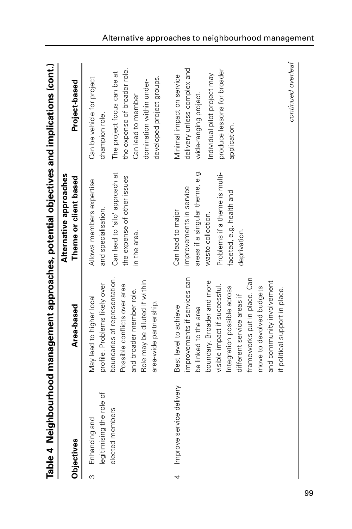|              | Table 4 Neigh                                                    | hbourhood management approaches, potential objectives and implications (cont.)                                                                                                                                                                                                                                                        |                                                                                                                                                                                   |                                                                                                                                                                                            |
|--------------|------------------------------------------------------------------|---------------------------------------------------------------------------------------------------------------------------------------------------------------------------------------------------------------------------------------------------------------------------------------------------------------------------------------|-----------------------------------------------------------------------------------------------------------------------------------------------------------------------------------|--------------------------------------------------------------------------------------------------------------------------------------------------------------------------------------------|
|              | Objectives                                                       | Area-based                                                                                                                                                                                                                                                                                                                            | Alternative approaches<br>Theme or client based                                                                                                                                   | Project-based                                                                                                                                                                              |
| <sub>လ</sub> | legitimising the role of<br>ers<br>Enhancing and<br>elected memb | boundaries of representation.<br>Role may be diluted if within<br>profile. Problems likely over<br>Possible conflicts over area<br>and broader member role.<br>May lead to higher local<br>area-wide partnership.                                                                                                                     | Can lead to 'silo' approach at<br>the expense of other issues<br>Allows members expertise<br>and specialisation.<br>in the area.                                                  | the expense of broader role.<br>The project focus can be at<br>developed project groups.<br>Can be vehicle for project<br>domination within under-<br>Can lead to member<br>champion role. |
| 4            | Improve service delivery                                         | improvements if services can<br>frameworks put in place. Can<br>boundary. Broader and more<br>and community involvement<br>visible impact if successful.<br>Integration possible across<br>move to devolved budgets<br>if political support in place.<br>different service areas if<br>Best level to achieve<br>be linked to the area | areas if a singular theme, e.g.<br>Problems if a theme is multi-<br>improvements in service<br>faceted, e.g. health and<br>Can lead to major<br>waste collection.<br>deprivation. | delivery unless complex and<br>produce lessons for broader<br>Individual pilot project may<br>Minimal impact on service<br>wide-ranging project.<br>application.                           |
|              |                                                                  |                                                                                                                                                                                                                                                                                                                                       |                                                                                                                                                                                   | continued overleaf                                                                                                                                                                         |

Alternative approaches to neighbourhood management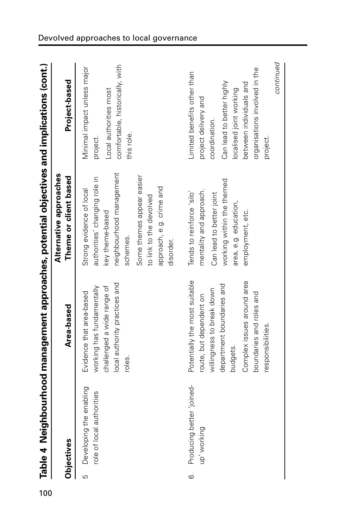|          | Table 4 Neighl                                          |                                                                                                                                                                                                               | oourhood management approaches, potential objectives and implications (cont.)                                                                                                                                         |                                                                                                                                                                                                                   |
|----------|---------------------------------------------------------|---------------------------------------------------------------------------------------------------------------------------------------------------------------------------------------------------------------|-----------------------------------------------------------------------------------------------------------------------------------------------------------------------------------------------------------------------|-------------------------------------------------------------------------------------------------------------------------------------------------------------------------------------------------------------------|
|          | Objectives                                              | Area-based                                                                                                                                                                                                    | Alternative approaches<br>Theme or client based                                                                                                                                                                       | Project-based                                                                                                                                                                                                     |
| <u>က</u> | enabling<br>role of local authorities<br>Developing the | local authority practices and<br>challenged a wide range of<br>working has fundamentally<br>Evidence that area-based<br>roles.                                                                                | neighbourhood management<br>Some themes appear easier<br>authorities' changing role in<br>approach, e.g. crime and<br>Strong evidence of local<br>to link to the devolved<br>key theme-based<br>schemes.<br>disorder. | comfortable, historically, with<br>Minimal impact unless major<br>Local authorities most<br>this role.<br>project.                                                                                                |
| $\circ$  | Producing better 'joined-<br>up' working                | Potentially the most suitable<br>Complex issues around area<br>department boundaries and<br>willingness to break down<br>boundaries and roles and<br>route, but dependent on<br>responsibilities.<br>budgets. | working within the themed<br>mentality and approach.<br>Tends to reinforce 'silo'<br>Can lead to better joint<br>area, e.g. education,<br>employment, etc.                                                            | continued<br>organisations involved in the<br>Limited benefits other than<br>Can lead to better highly<br>between individuals and<br>localised joint working<br>project delivery and<br>coordination.<br>project. |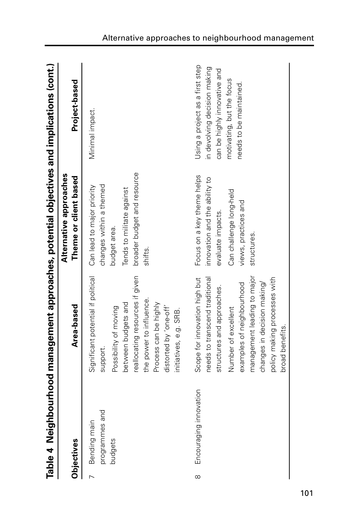|                | Table 4 Neighl                                | bourhood management approaches, potential objectives and implications (cont.)                                                                                                                                                                                      |                                                                                                                                                    |                                                                                                                                                         |
|----------------|-----------------------------------------------|--------------------------------------------------------------------------------------------------------------------------------------------------------------------------------------------------------------------------------------------------------------------|----------------------------------------------------------------------------------------------------------------------------------------------------|---------------------------------------------------------------------------------------------------------------------------------------------------------|
|                | Objectives                                    | Area-based                                                                                                                                                                                                                                                         | Alternative approaches<br>Theme or client based                                                                                                    | Project-based                                                                                                                                           |
| $\overline{1}$ | p<br>programmes ar<br>Bending main<br>budgets | Significant potential if political<br>reallocating resources if given<br>the power to influence.<br>between budgets and<br>Process can be highly<br>Possibility of moving<br>distorted by 'one-off'<br>initiatives, e.g. SRB.<br>support.                          | broader budget and resource<br>changes within a themed<br>Can lead to major priority<br>Tends to militate against<br>budget area.<br>shifts.       | Minimal impact.                                                                                                                                         |
| $\infty$       | Encouraging innovation                        | management leading to major<br>Scope for innovation high but<br>needs to transcend traditional<br>policy making processes with<br>changes in decision making/<br>examples of neighbourhood<br>structures and approaches.<br>Number of excellent<br>broad benefits. | Focus on a key theme helps<br>innovation and the ability to<br>Can challenge long-held<br>views, practices and<br>evaluate impacts.<br>structures. | Using a project as a first step<br>in devolving decision making<br>can be highly innovative and<br>motivating, but the focus<br>needs to be maintained. |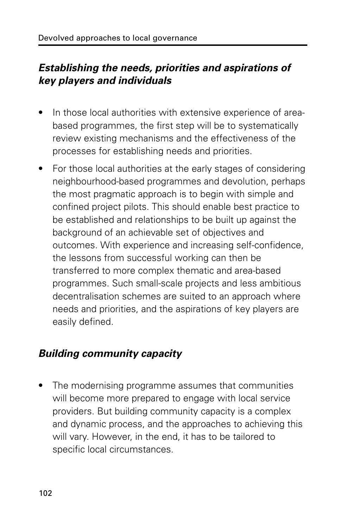#### **Establishing the needs, priorities and aspirations of key players and individuals**

- In those local authorities with extensive experience of areabased programmes, the first step will be to systematically review existing mechanisms and the effectiveness of the processes for establishing needs and priorities.
- For those local authorities at the early stages of considering neighbourhood-based programmes and devolution, perhaps the most pragmatic approach is to begin with simple and confined project pilots. This should enable best practice to be established and relationships to be built up against the background of an achievable set of objectives and outcomes. With experience and increasing self-confidence, the lessons from successful working can then be transferred to more complex thematic and area-based programmes. Such small-scale projects and less ambitious decentralisation schemes are suited to an approach where needs and priorities, and the aspirations of key players are easily defined.

#### **Building community capacity**

• The modernising programme assumes that communities will become more prepared to engage with local service providers. But building community capacity is a complex and dynamic process, and the approaches to achieving this will vary. However, in the end, it has to be tailored to specific local circumstances.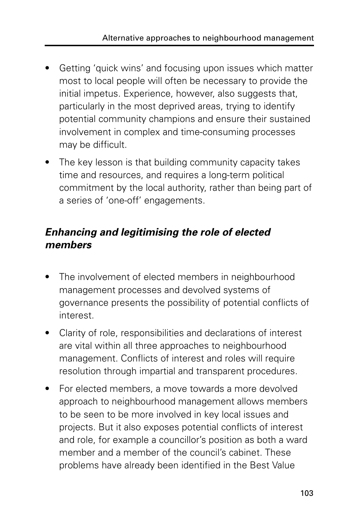- Getting 'quick wins' and focusing upon issues which matter most to local people will often be necessary to provide the initial impetus. Experience, however, also suggests that, particularly in the most deprived areas, trying to identify potential community champions and ensure their sustained involvement in complex and time-consuming processes may be difficult.
- The key lesson is that building community capacity takes time and resources, and requires a long-term political commitment by the local authority, rather than being part of a series of 'one-off' engagements.

#### **Enhancing and legitimising the role of elected members**

- The involvement of elected members in neighbourhood management processes and devolved systems of governance presents the possibility of potential conflicts of interest.
- Clarity of role, responsibilities and declarations of interest are vital within all three approaches to neighbourhood management. Conflicts of interest and roles will require resolution through impartial and transparent procedures.
- For elected members, a move towards a more devolved approach to neighbourhood management allows members to be seen to be more involved in key local issues and projects. But it also exposes potential conflicts of interest and role, for example a councillor's position as both a ward member and a member of the council's cabinet. These problems have already been identified in the Best Value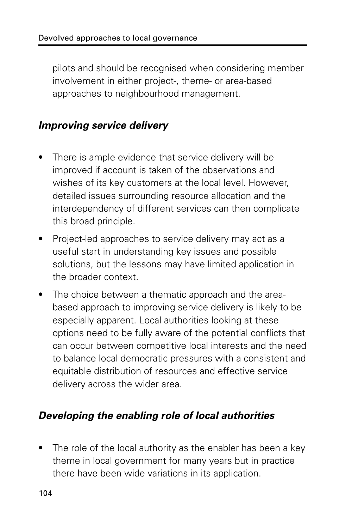pilots and should be recognised when considering member involvement in either project-, theme- or area-based approaches to neighbourhood management.

#### **Improving service delivery**

- There is ample evidence that service delivery will be improved if account is taken of the observations and wishes of its key customers at the local level. However, detailed issues surrounding resource allocation and the interdependency of different services can then complicate this broad principle.
- Project-led approaches to service delivery may act as a useful start in understanding key issues and possible solutions, but the lessons may have limited application in the broader context.
- The choice between a thematic approach and the areabased approach to improving service delivery is likely to be especially apparent. Local authorities looking at these options need to be fully aware of the potential conflicts that can occur between competitive local interests and the need to balance local democratic pressures with a consistent and equitable distribution of resources and effective service delivery across the wider area.

#### **Developing the enabling role of local authorities**

• The role of the local authority as the enabler has been a key theme in local government for many years but in practice there have been wide variations in its application.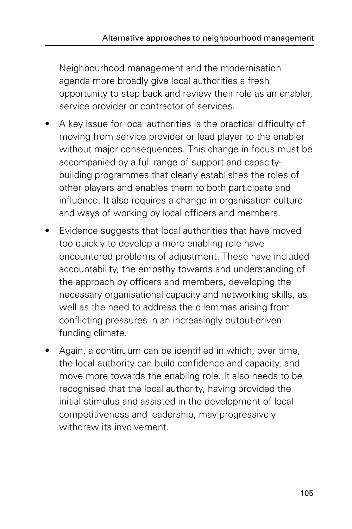Neighbourhood management and the modernisation agenda more broadly give local authorities a fresh opportunity to step back and review their role as an enabler, service provider or contractor of services.

- A key issue for local authorities is the practical difficulty of moving from service provider or lead player to the enabler without major consequences. This change in focus must be accompanied by a full range of support and capacitybuilding programmes that clearly establishes the roles of other players and enables them to both participate and influence. It also requires a change in organisation culture and ways of working by local officers and members.
- Evidence suggests that local authorities that have moved too quickly to develop a more enabling role have encountered problems of adjustment. These have included accountability, the empathy towards and understanding of the approach by officers and members, developing the necessary organisational capacity and networking skills, as well as the need to address the dilemmas arising from conflicting pressures in an increasingly output-driven funding climate.
- Again, a continuum can be identified in which, over time, the local authority can build confidence and capacity, and move more towards the enabling role. It also needs to be recognised that the local authority, having provided the initial stimulus and assisted in the development of local competitiveness and leadership, may progressively withdraw its involvement.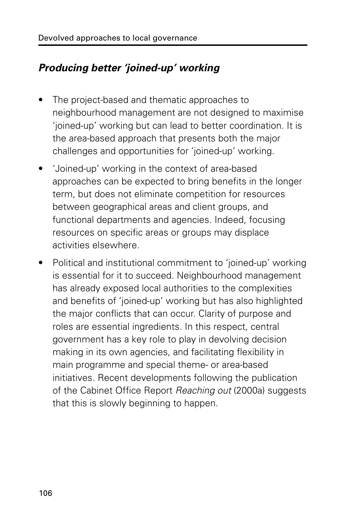#### **Producing better 'joined-up' working**

- The project-based and thematic approaches to neighbourhood management are not designed to maximise 'joined-up' working but can lead to better coordination. It is the area-based approach that presents both the major challenges and opportunities for 'joined-up' working.
- 'Joined-up' working in the context of area-based approaches can be expected to bring benefits in the longer term, but does not eliminate competition for resources between geographical areas and client groups, and functional departments and agencies. Indeed, focusing resources on specific areas or groups may displace activities elsewhere.
- Political and institutional commitment to 'joined-up' working is essential for it to succeed. Neighbourhood management has already exposed local authorities to the complexities and benefits of 'joined-up' working but has also highlighted the major conflicts that can occur. Clarity of purpose and roles are essential ingredients. In this respect, central government has a key role to play in devolving decision making in its own agencies, and facilitating flexibility in main programme and special theme- or area-based initiatives. Recent developments following the publication of the Cabinet Office Report Reaching out (2000a) suggests that this is slowly beginning to happen.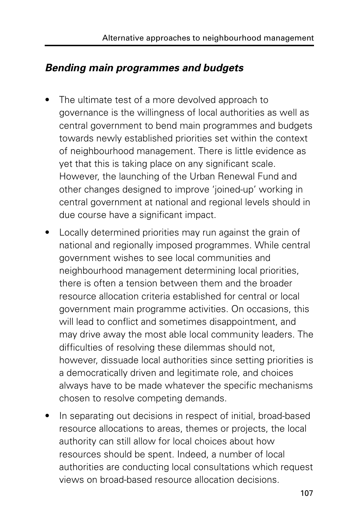#### **Bending main programmes and budgets**

- The ultimate test of a more devolved approach to governance is the willingness of local authorities as well as central government to bend main programmes and budgets towards newly established priorities set within the context of neighbourhood management. There is little evidence as yet that this is taking place on any significant scale. However, the launching of the Urban Renewal Fund and other changes designed to improve 'joined-up' working in central government at national and regional levels should in due course have a significant impact.
- Locally determined priorities may run against the grain of national and regionally imposed programmes. While central government wishes to see local communities and neighbourhood management determining local priorities, there is often a tension between them and the broader resource allocation criteria established for central or local government main programme activities. On occasions, this will lead to conflict and sometimes disappointment, and may drive away the most able local community leaders. The difficulties of resolving these dilemmas should not, however, dissuade local authorities since setting priorities is a democratically driven and legitimate role, and choices always have to be made whatever the specific mechanisms chosen to resolve competing demands.
- In separating out decisions in respect of initial, broad-based resource allocations to areas, themes or projects, the local authority can still allow for local choices about how resources should be spent. Indeed, a number of local authorities are conducting local consultations which request views on broad-based resource allocation decisions.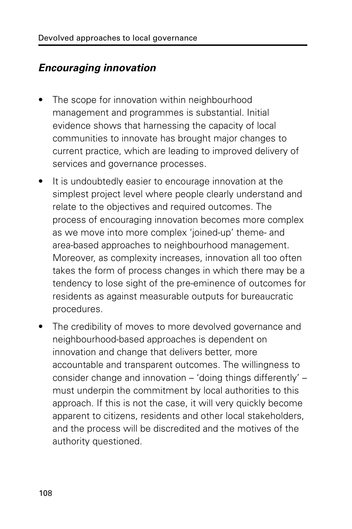#### **Encouraging innovation**

- The scope for innovation within neighbourhood management and programmes is substantial. Initial evidence shows that harnessing the capacity of local communities to innovate has brought major changes to current practice, which are leading to improved delivery of services and governance processes.
- It is undoubtedly easier to encourage innovation at the simplest project level where people clearly understand and relate to the objectives and required outcomes. The process of encouraging innovation becomes more complex as we move into more complex 'joined-up' theme- and area-based approaches to neighbourhood management. Moreover, as complexity increases, innovation all too often takes the form of process changes in which there may be a tendency to lose sight of the pre-eminence of outcomes for residents as against measurable outputs for bureaucratic procedures.
- The credibility of moves to more devolved governance and neighbourhood-based approaches is dependent on innovation and change that delivers better, more accountable and transparent outcomes. The willingness to consider change and innovation – 'doing things differently' – must underpin the commitment by local authorities to this approach. If this is not the case, it will very quickly become apparent to citizens, residents and other local stakeholders, and the process will be discredited and the motives of the authority questioned.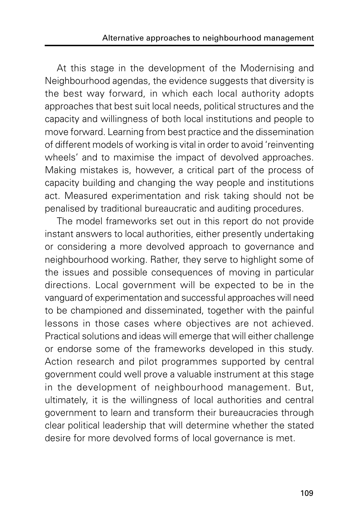At this stage in the development of the Modernising and Neighbourhood agendas, the evidence suggests that diversity is the best way forward, in which each local authority adopts approaches that best suit local needs, political structures and the capacity and willingness of both local institutions and people to move forward. Learning from best practice and the dissemination of different models of working is vital in order to avoid 'reinventing wheels' and to maximise the impact of devolved approaches. Making mistakes is, however, a critical part of the process of capacity building and changing the way people and institutions act. Measured experimentation and risk taking should not be penalised by traditional bureaucratic and auditing procedures.

The model frameworks set out in this report do not provide instant answers to local authorities, either presently undertaking or considering a more devolved approach to governance and neighbourhood working. Rather, they serve to highlight some of the issues and possible consequences of moving in particular directions. Local government will be expected to be in the vanguard of experimentation and successful approaches will need to be championed and disseminated, together with the painful lessons in those cases where objectives are not achieved. Practical solutions and ideas will emerge that will either challenge or endorse some of the frameworks developed in this study. Action research and pilot programmes supported by central government could well prove a valuable instrument at this stage in the development of neighbourhood management. But, ultimately, it is the willingness of local authorities and central government to learn and transform their bureaucracies through clear political leadership that will determine whether the stated desire for more devolved forms of local governance is met.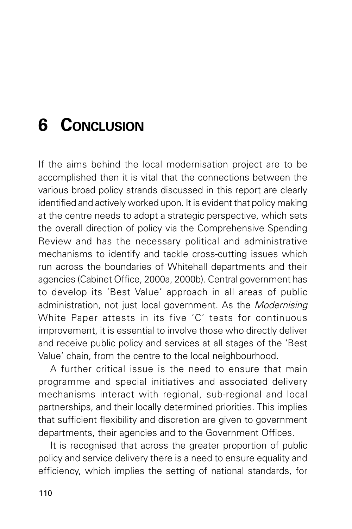# **6 CONCLUSION**

If the aims behind the local modernisation project are to be accomplished then it is vital that the connections between the various broad policy strands discussed in this report are clearly identified and actively worked upon. It is evident that policy making at the centre needs to adopt a strategic perspective, which sets the overall direction of policy via the Comprehensive Spending Review and has the necessary political and administrative mechanisms to identify and tackle cross-cutting issues which run across the boundaries of Whitehall departments and their agencies (Cabinet Office, 2000a, 2000b). Central government has to develop its 'Best Value' approach in all areas of public administration, not just local government. As the Modernising White Paper attests in its five 'C' tests for continuous improvement, it is essential to involve those who directly deliver and receive public policy and services at all stages of the 'Best Value' chain, from the centre to the local neighbourhood.

A further critical issue is the need to ensure that main programme and special initiatives and associated delivery mechanisms interact with regional, sub-regional and local partnerships, and their locally determined priorities. This implies that sufficient flexibility and discretion are given to government departments, their agencies and to the Government Offices.

It is recognised that across the greater proportion of public policy and service delivery there is a need to ensure equality and efficiency, which implies the setting of national standards, for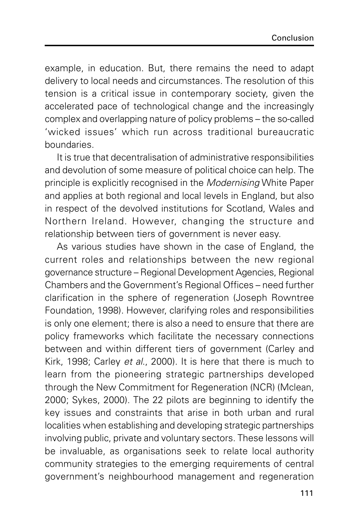example, in education. But, there remains the need to adapt delivery to local needs and circumstances. The resolution of this tension is a critical issue in contemporary society, given the accelerated pace of technological change and the increasingly complex and overlapping nature of policy problems – the so-called 'wicked issues' which run across traditional bureaucratic boundaries.

It is true that decentralisation of administrative responsibilities and devolution of some measure of political choice can help. The principle is explicitly recognised in the Modernising White Paper and applies at both regional and local levels in England, but also in respect of the devolved institutions for Scotland, Wales and Northern Ireland. However, changing the structure and relationship between tiers of government is never easy.

As various studies have shown in the case of England, the current roles and relationships between the new regional governance structure – Regional Development Agencies, Regional Chambers and the Government's Regional Offices – need further clarification in the sphere of regeneration (Joseph Rowntree Foundation, 1998). However, clarifying roles and responsibilities is only one element; there is also a need to ensure that there are policy frameworks which facilitate the necessary connections between and within different tiers of government (Carley and Kirk, 1998; Carley et al., 2000). It is here that there is much to learn from the pioneering strategic partnerships developed through the New Commitment for Regeneration (NCR) (Mclean, 2000; Sykes, 2000). The 22 pilots are beginning to identify the key issues and constraints that arise in both urban and rural localities when establishing and developing strategic partnerships involving public, private and voluntary sectors. These lessons will be invaluable, as organisations seek to relate local authority community strategies to the emerging requirements of central government's neighbourhood management and regeneration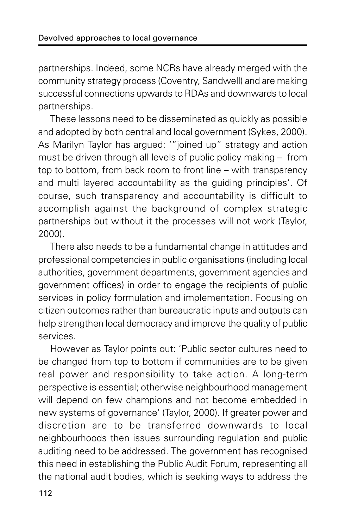partnerships. Indeed, some NCRs have already merged with the community strategy process (Coventry, Sandwell) and are making successful connections upwards to RDAs and downwards to local partnerships.

These lessons need to be disseminated as quickly as possible and adopted by both central and local government (Sykes, 2000). As Marilyn Taylor has argued: '"joined up" strategy and action must be driven through all levels of public policy making – from top to bottom, from back room to front line – with transparency and multi layered accountability as the guiding principles'. Of course, such transparency and accountability is difficult to accomplish against the background of complex strategic partnerships but without it the processes will not work (Taylor, 2000).

There also needs to be a fundamental change in attitudes and professional competencies in public organisations (including local authorities, government departments, government agencies and government offices) in order to engage the recipients of public services in policy formulation and implementation. Focusing on citizen outcomes rather than bureaucratic inputs and outputs can help strengthen local democracy and improve the quality of public services.

However as Taylor points out: 'Public sector cultures need to be changed from top to bottom if communities are to be given real power and responsibility to take action. A long-term perspective is essential; otherwise neighbourhood management will depend on few champions and not become embedded in new systems of governance' (Taylor, 2000). If greater power and discretion are to be transferred downwards to local neighbourhoods then issues surrounding regulation and public auditing need to be addressed. The government has recognised this need in establishing the Public Audit Forum, representing all the national audit bodies, which is seeking ways to address the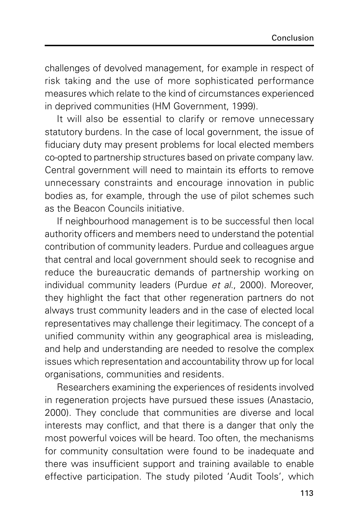challenges of devolved management, for example in respect of risk taking and the use of more sophisticated performance measures which relate to the kind of circumstances experienced in deprived communities (HM Government, 1999).

It will also be essential to clarify or remove unnecessary statutory burdens. In the case of local government, the issue of fiduciary duty may present problems for local elected members co-opted to partnership structures based on private company law. Central government will need to maintain its efforts to remove unnecessary constraints and encourage innovation in public bodies as, for example, through the use of pilot schemes such as the Beacon Councils initiative.

If neighbourhood management is to be successful then local authority officers and members need to understand the potential contribution of community leaders. Purdue and colleagues argue that central and local government should seek to recognise and reduce the bureaucratic demands of partnership working on individual community leaders (Purdue et al., 2000). Moreover, they highlight the fact that other regeneration partners do not always trust community leaders and in the case of elected local representatives may challenge their legitimacy. The concept of a unified community within any geographical area is misleading, and help and understanding are needed to resolve the complex issues which representation and accountability throw up for local organisations, communities and residents.

Researchers examining the experiences of residents involved in regeneration projects have pursued these issues (Anastacio, 2000). They conclude that communities are diverse and local interests may conflict, and that there is a danger that only the most powerful voices will be heard. Too often, the mechanisms for community consultation were found to be inadequate and there was insufficient support and training available to enable effective participation. The study piloted 'Audit Tools', which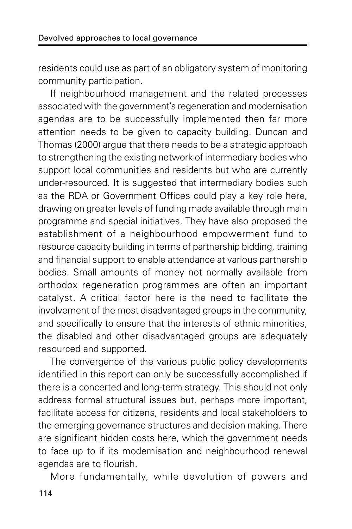residents could use as part of an obligatory system of monitoring community participation.

If neighbourhood management and the related processes associated with the government's regeneration and modernisation agendas are to be successfully implemented then far more attention needs to be given to capacity building. Duncan and Thomas (2000) argue that there needs to be a strategic approach to strengthening the existing network of intermediary bodies who support local communities and residents but who are currently under-resourced. It is suggested that intermediary bodies such as the RDA or Government Offices could play a key role here, drawing on greater levels of funding made available through main programme and special initiatives. They have also proposed the establishment of a neighbourhood empowerment fund to resource capacity building in terms of partnership bidding, training and financial support to enable attendance at various partnership bodies. Small amounts of money not normally available from orthodox regeneration programmes are often an important catalyst. A critical factor here is the need to facilitate the involvement of the most disadvantaged groups in the community, and specifically to ensure that the interests of ethnic minorities, the disabled and other disadvantaged groups are adequately resourced and supported.

The convergence of the various public policy developments identified in this report can only be successfully accomplished if there is a concerted and long-term strategy. This should not only address formal structural issues but, perhaps more important, facilitate access for citizens, residents and local stakeholders to the emerging governance structures and decision making. There are significant hidden costs here, which the government needs to face up to if its modernisation and neighbourhood renewal agendas are to flourish.

More fundamentally, while devolution of powers and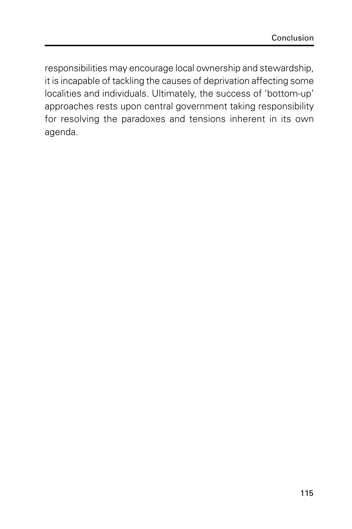responsibilities may encourage local ownership and stewardship, it is incapable of tackling the causes of deprivation affecting some localities and individuals. Ultimately, the success of 'bottom-up' approaches rests upon central government taking responsibility for resolving the paradoxes and tensions inherent in its own agenda.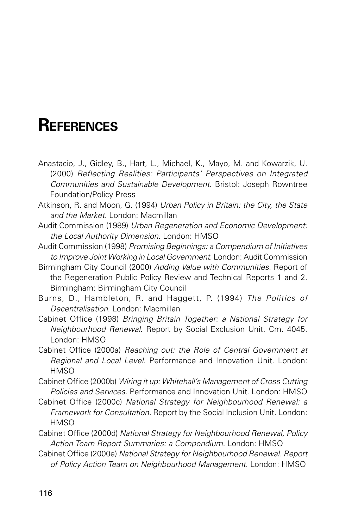## **REFERENCES**

- Anastacio, J., Gidley, B., Hart, L., Michael, K., Mayo, M. and Kowarzik, U. (2000) Reflecting Realities: Participants' Perspectives on Integrated Communities and Sustainable Development. Bristol: Joseph Rowntree Foundation/Policy Press
- Atkinson, R. and Moon, G. (1994) Urban Policy in Britain: the City, the State and the Market. London: Macmillan
- Audit Commission (1989) Urban Regeneration and Economic Development: the Local Authority Dimension. London: HMSO
- Audit Commission (1998) Promising Beginnings: a Compendium of Initiatives to Improve Joint Working in Local Government. London: Audit Commission
- Birmingham City Council (2000) Adding Value with Communities. Report of the Regeneration Public Policy Review and Technical Reports 1 and 2. Birmingham: Birmingham City Council
- Burns, D., Hambleton, R. and Haggett, P. (1994) The Politics of Decentralisation. London: Macmillan
- Cabinet Office (1998) Bringing Britain Together: a National Strategy for Neighbourhood Renewal. Report by Social Exclusion Unit. Cm. 4045. London: HMSO
- Cabinet Office (2000a) Reaching out: the Role of Central Government at Regional and Local Level. Performance and Innovation Unit. London: **HMSO**
- Cabinet Office (2000b) Wiring it up: Whitehall's Management of Cross Cutting Policies and Services. Performance and Innovation Unit. London: HMSO
- Cabinet Office (2000c) National Strategy for Neighbourhood Renewal: a Framework for Consultation. Report by the Social Inclusion Unit. London: **HMSO**
- Cabinet Office (2000d) National Strategy for Neighbourhood Renewal, Policy Action Team Report Summaries: a Compendium. London: HMSO
- Cabinet Office (2000e) National Strategy for Neighbourhood Renewal. Report of Policy Action Team on Neighbourhood Management. London: HMSO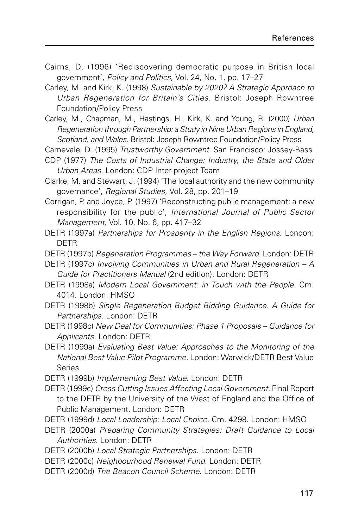- Cairns, D. (1996) 'Rediscovering democratic purpose in British local government', Policy and Politics, Vol. 24, No. 1, pp. 17–27
- Carley, M. and Kirk, K. (1998) Sustainable by 2020? A Strategic Approach to Urban Regeneration for Britain's Cities. Bristol: Joseph Rowntree Foundation/Policy Press
- Carley, M., Chapman, M., Hastings, H., Kirk, K. and Young, R. (2000) Urban Regeneration through Partnership: a Study in Nine Urban Regions in England, Scotland, and Wales. Bristol: Joseph Rowntree Foundation/Policy Press
- Carnevale, D. (1995) Trustworthy Government. San Francisco: Jossey-Bass
- CDP (1977) The Costs of Industrial Change: Industry, the State and Older Urban Areas. London: CDP Inter-project Team
- Clarke, M. and Stewart, J. (1994) 'The local authority and the new community governance', Regional Studies, Vol. 28, pp. 201–19
- Corrigan, P. and Joyce, P. (1997) 'Reconstructing public management: a new responsibility for the public', International Journal of Public Sector Management, Vol. 10, No. 6, pp. 417–32
- DETR (1997a) Partnerships for Prosperity in the English Regions. London: DETR
- DETR (1997b) Regeneration Programmes the Way Forward. London: DETR
- DETR (1997c) Involving Communities in Urban and Rural Regeneration A Guide for Practitioners Manual (2nd edition). London: DETR
- DETR (1998a) Modern Local Government: in Touch with the People. Cm. 4014. London: HMSO
- DETR (1998b) Single Regeneration Budget Bidding Guidance. A Guide for Partnerships. London: DETR
- DETR (1998c) New Deal for Communities: Phase 1 Proposals Guidance for Applicants. London: DETR
- DETR (1999a) Evaluating Best Value: Approaches to the Monitoring of the National Best Value Pilot Programme. London: Warwick/DETR Best Value Series
- DETR (1999b) Implementing Best Value. London: DETR
- DETR (1999c) Cross Cutting Issues Affecting Local Government. Final Report to the DETR by the University of the West of England and the Office of Public Management. London: DETR
- DETR (1999d) Local Leadership: Local Choice. Cm. 4298. London: HMSO
- DETR (2000a) Preparing Community Strategies: Draft Guidance to Local Authorities. London: DETR
- DETR (2000b) Local Strategic Partnerships. London: DETR
- DETR (2000c) Neighbourhood Renewal Fund. London: DETR
- DETR (2000d) The Beacon Council Scheme. London: DETR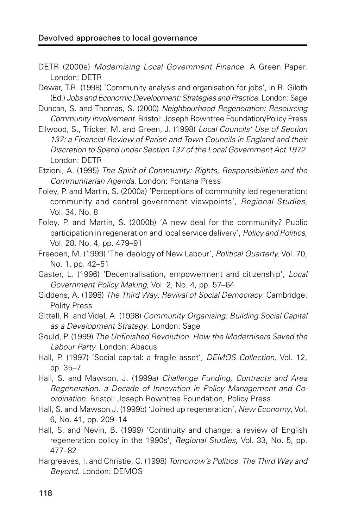- DETR (2000e) Modernising Local Government Finance. A Green Paper. London: DETR
- Dewar, T.R. (1998) 'Community analysis and organisation for jobs', in R. Giloth (Ed.) Jobs and Economic Development: Strategies and Practice. London: Sage
- Duncan, S. and Thomas, S. (2000) Neighbourhood Regeneration: Resourcing Community Involvement. Bristol: Joseph Rowntree Foundation/Policy Press
- Ellwood, S., Tricker, M. and Green, J. (1998) Local Councils' Use of Section 137: a Financial Review of Parish and Town Councils in England and their Discretion to Spend under Section 137 of the Local Government Act 1972. London: DETR
- Etzioni, A. (1995) The Spirit of Community: Rights, Responsibilities and the Communitarian Agenda. London: Fontana Press
- Foley, P. and Martin, S. (2000a) 'Perceptions of community led regeneration: community and central government viewpoints', Regional Studies, Vol. 34, No. 8
- Foley, P. and Martin, S. (2000b) 'A new deal for the community? Public participation in regeneration and local service delivery', Policy and Politics, Vol. 28, No. 4, pp. 479–91
- Freeden, M. (1999) 'The ideology of New Labour', Political Quarterly, Vol. 70, No. 1, pp. 42–51
- Gaster, L. (1996) 'Decentralisation, empowerment and citizenship', Local Government Policy Making, Vol. 2, No. 4, pp. 57–64
- Giddens, A. (1998) The Third Way: Revival of Social Democracy. Cambridge: Polity Press
- Gittell, R. and Videl, A. (1998) Community Organising: Building Social Capital as a Development Strategy. London: Sage
- Gould, P. (1999) The Unfinished Revolution. How the Modernisers Saved the Labour Party. London: Abacus
- Hall, P. (1997) 'Social capital: a fragile asset', DEMOS Collection, Vol. 12, pp. 35–7
- Hall, S. and Mawson, J. (1999a) Challenge Funding, Contracts and Area Regeneration. a Decade of Innovation in Policy Management and Coordination. Bristol: Joseph Rowntree Foundation, Policy Press
- Hall, S. and Mawson J. (1999b) 'Joined up regeneration', New Economy, Vol. 6, No. 41, pp. 209–14
- Hall, S. and Nevin, B. (1999) 'Continuity and change: a review of English regeneration policy in the 1990s', Regional Studies, Vol. 33, No. 5, pp. 477–82
- Hargreaves, I. and Christie, C. (1998) Tomorrow's Politics. The Third Way and Beyond. London: DEMOS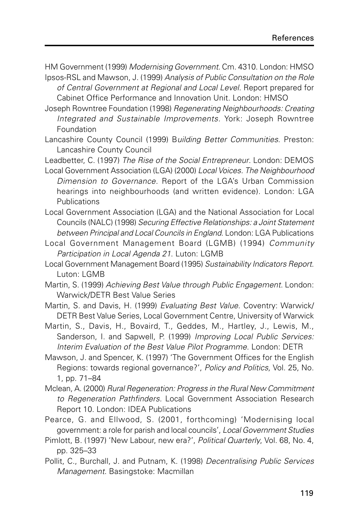HM Government (1999) Modernising Government. Cm. 4310. London: HMSO Ipsos-RSL and Mawson, J. (1999) Analysis of Public Consultation on the Role

of Central Government at Regional and Local Level. Report prepared for Cabinet Office Performance and Innovation Unit. London: HMSO

Joseph Rowntree Foundation (1998) Regenerating Neighbourhoods: Creating Integrated and Sustainable Improvements. York: Joseph Rowntree Foundation

Lancashire County Council (1999) Building Better Communities. Preston: Lancashire County Council

Leadbetter, C. (1997) The Rise of the Social Entrepreneur. London: DEMOS

Local Government Association (LGA) (2000) Local Voices. The Neighbourhood Dimension to Governance. Report of the LGA's Urban Commission hearings into neighbourhoods (and written evidence). London: LGA Publications

Local Government Association (LGA) and the National Association for Local Councils (NALC) (1998) Securing Effective Relationships: a Joint Statement between Principal and Local Councils in England. London: LGA Publications

Local Government Management Board (LGMB) (1994) Community Participation in Local Agenda 21. Luton: LGMB

Local Government Management Board (1995) Sustainability Indicators Report. Luton: LGMB

Martin, S. (1999) Achieving Best Value through Public Engagement. London: Warwick/DETR Best Value Series

Martin, S. and Davis, H. (1999) Evaluating Best Value. Coventry: Warwick/ DETR Best Value Series, Local Government Centre, University of Warwick

Martin, S., Davis, H., Bovaird, T., Geddes, M., Hartley, J., Lewis, M., Sanderson, I. and Sapwell, P. (1999) Improving Local Public Services: Interim Evaluation of the Best Value Pilot Programme. London: DETR

Mawson, J. and Spencer, K. (1997) 'The Government Offices for the English Regions: towards regional governance?', Policy and Politics, Vol. 25, No. 1, pp. 71–84

Mclean, A. (2000) Rural Regeneration: Progress in the Rural New Commitment to Regeneration Pathfinders. Local Government Association Research Report 10. London: IDEA Publications

Pearce, G. and Ellwood, S. (2001, forthcoming) 'Modernising local government: a role for parish and local councils', Local Government Studies

Pimlott, B. (1997) 'New Labour, new era?', Political Quarterly, Vol. 68, No. 4, pp. 325–33

Pollit, C., Burchall, J. and Putnam, K. (1998) Decentralising Public Services Management. Basingstoke: Macmillan